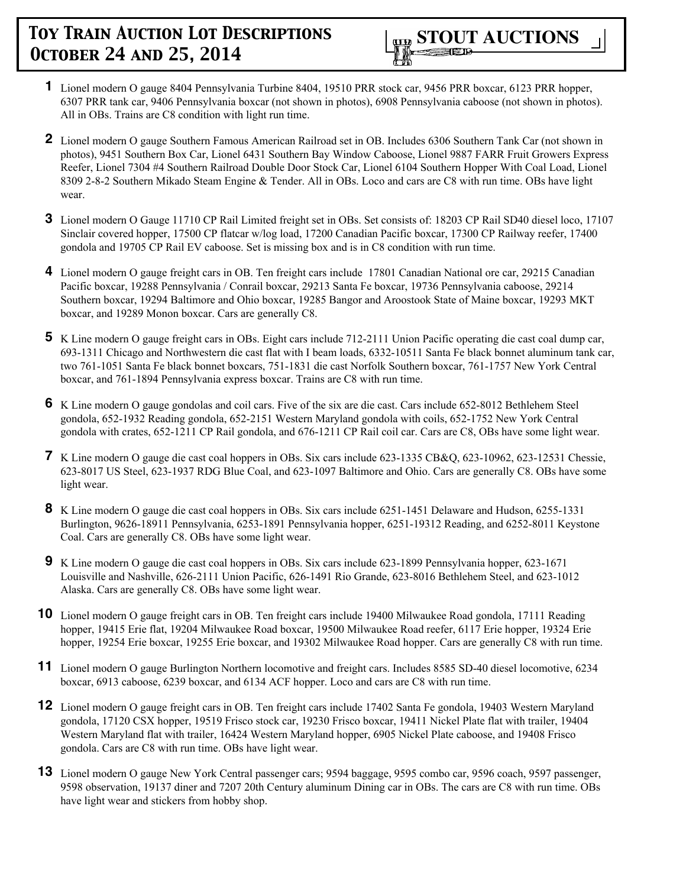

- **1** Lionel modern O gauge 8404 Pennsylvania Turbine 8404, 19510 PRR stock car, 9456 PRR boxcar, 6123 PRR hopper, 6307 PRR tank car, 9406 Pennsylvania boxcar (not shown in photos), 6908 Pennsylvania caboose (not shown in photos). All in OBs. Trains are C8 condition with light run time.
- **2** Lionel modern O gauge Southern Famous American Railroad set in OB. Includes 6306 Southern Tank Car (not shown in photos), 9451 Southern Box Car, Lionel 6431 Southern Bay Window Caboose, Lionel 9887 FARR Fruit Growers Express Reefer, Lionel 7304 #4 Southern Railroad Double Door Stock Car, Lionel 6104 Southern Hopper With Coal Load, Lionel 8309 2-8-2 Southern Mikado Steam Engine & Tender. All in OBs. Loco and cars are C8 with run time. OBs have light wear.
- **3** Lionel modern O Gauge 11710 CP Rail Limited freight set in OBs. Set consists of: 18203 CP Rail SD40 diesel loco, 17107 Sinclair covered hopper, 17500 CP flatcar w/log load, 17200 Canadian Pacific boxcar, 17300 CP Railway reefer, 17400 gondola and 19705 CP Rail EV caboose. Set is missing box and is in C8 condition with run time.
- **4** Lionel modern O gauge freight cars in OB. Ten freight cars include 17801 Canadian National ore car, 29215 Canadian Pacific boxcar, 19288 Pennsylvania / Conrail boxcar, 29213 Santa Fe boxcar, 19736 Pennsylvania caboose, 29214 Southern boxcar, 19294 Baltimore and Ohio boxcar, 19285 Bangor and Aroostook State of Maine boxcar, 19293 MKT boxcar, and 19289 Monon boxcar. Cars are generally C8.
- **5** K Line modern O gauge freight cars in OBs. Eight cars include 712-2111 Union Pacific operating die cast coal dump car, 693-1311 Chicago and Northwestern die cast flat with I beam loads, 6332-10511 Santa Fe black bonnet aluminum tank car, two 761-1051 Santa Fe black bonnet boxcars, 751-1831 die cast Norfolk Southern boxcar, 761-1757 New York Central boxcar, and 761-1894 Pennsylvania express boxcar. Trains are C8 with run time.
- **6** K Line modern O gauge gondolas and coil cars. Five of the six are die cast. Cars include 652-8012 Bethlehem Steel gondola, 652-1932 Reading gondola, 652-2151 Western Maryland gondola with coils, 652-1752 New York Central gondola with crates, 652-1211 CP Rail gondola, and 676-1211 CP Rail coil car. Cars are C8, OBs have some light wear.
- **7** K Line modern O gauge die cast coal hoppers in OBs. Six cars include 623-1335 CB&Q, 623-10962, 623-12531 Chessie, 623-8017 US Steel, 623-1937 RDG Blue Coal, and 623-1097 Baltimore and Ohio. Cars are generally C8. OBs have some light wear.
- **8** K Line modern O gauge die cast coal hoppers in OBs. Six cars include 6251-1451 Delaware and Hudson, 6255-1331 Burlington, 9626-18911 Pennsylvania, 6253-1891 Pennsylvania hopper, 6251-19312 Reading, and 6252-8011 Keystone Coal. Cars are generally C8. OBs have some light wear.
- **9** K Line modern O gauge die cast coal hoppers in OBs. Six cars include 623-1899 Pennsylvania hopper, 623-1671 Louisville and Nashville, 626-2111 Union Pacific, 626-1491 Rio Grande, 623-8016 Bethlehem Steel, and 623-1012 Alaska. Cars are generally C8. OBs have some light wear.
- **10** Lionel modern O gauge freight cars in OB. Ten freight cars include 19400 Milwaukee Road gondola, 17111 Reading hopper, 19415 Erie flat, 19204 Milwaukee Road boxcar, 19500 Milwaukee Road reefer, 6117 Erie hopper, 19324 Erie hopper, 19254 Erie boxcar, 19255 Erie boxcar, and 19302 Milwaukee Road hopper. Cars are generally C8 with run time.
- **11** Lionel modern O gauge Burlington Northern locomotive and freight cars. Includes 8585 SD-40 diesel locomotive, 6234 boxcar, 6913 caboose, 6239 boxcar, and 6134 ACF hopper. Loco and cars are C8 with run time.
- **12** Lionel modern O gauge freight cars in OB. Ten freight cars include 17402 Santa Fe gondola, 19403 Western Maryland gondola, 17120 CSX hopper, 19519 Frisco stock car, 19230 Frisco boxcar, 19411 Nickel Plate flat with trailer, 19404 Western Maryland flat with trailer, 16424 Western Maryland hopper, 6905 Nickel Plate caboose, and 19408 Frisco gondola. Cars are C8 with run time. OBs have light wear.
- **13** Lionel modern O gauge New York Central passenger cars; 9594 baggage, 9595 combo car, 9596 coach, 9597 passenger, 9598 observation, 19137 diner and 7207 20th Century aluminum Dining car in OBs. The cars are C8 with run time. OBs have light wear and stickers from hobby shop.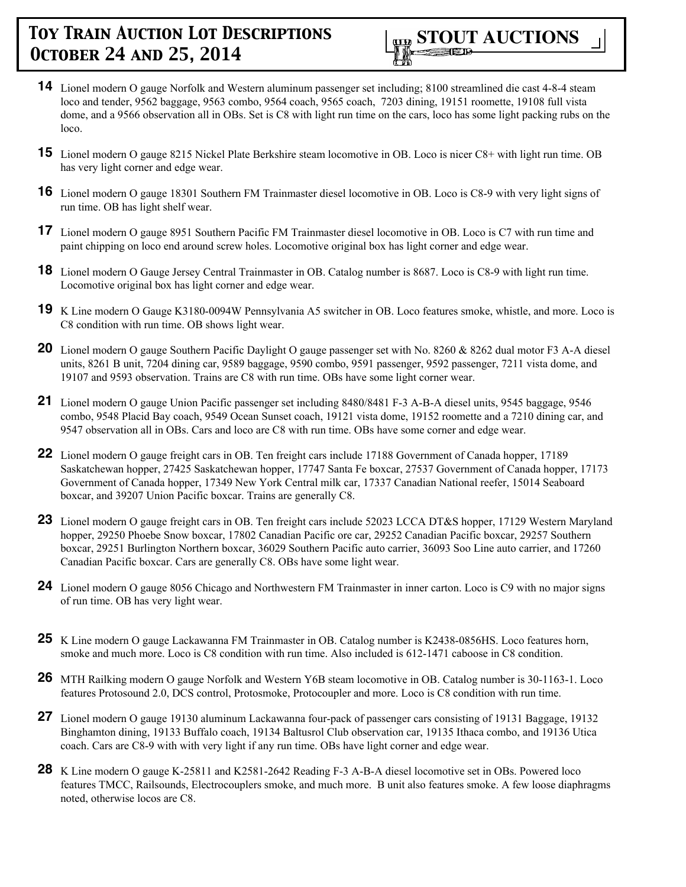

- **14** Lionel modern O gauge Norfolk and Western aluminum passenger set including; 8100 streamlined die cast 4-8-4 steam loco and tender, 9562 baggage, 9563 combo, 9564 coach, 9565 coach, 7203 dining, 19151 roomette, 19108 full vista dome, and a 9566 observation all in OBs. Set is C8 with light run time on the cars, loco has some light packing rubs on the loco.
- **15** Lionel modern O gauge 8215 Nickel Plate Berkshire steam locomotive in OB. Loco is nicer C8+ with light run time. OB has very light corner and edge wear.
- **16** Lionel modern O gauge 18301 Southern FM Trainmaster diesel locomotive in OB. Loco is C8-9 with very light signs of run time. OB has light shelf wear.
- **17** Lionel modern O gauge 8951 Southern Pacific FM Trainmaster diesel locomotive in OB. Loco is C7 with run time and paint chipping on loco end around screw holes. Locomotive original box has light corner and edge wear.
- **18** Lionel modern O Gauge Jersey Central Trainmaster in OB. Catalog number is 8687. Loco is C8-9 with light run time. Locomotive original box has light corner and edge wear.
- **19** K Line modern O Gauge K3180-0094W Pennsylvania A5 switcher in OB. Loco features smoke, whistle, and more. Loco is C8 condition with run time. OB shows light wear.
- **20** Lionel modern O gauge Southern Pacific Daylight O gauge passenger set with No. 8260 & 8262 dual motor F3 A-A diesel units, 8261 B unit, 7204 dining car, 9589 baggage, 9590 combo, 9591 passenger, 9592 passenger, 7211 vista dome, and 19107 and 9593 observation. Trains are C8 with run time. OBs have some light corner wear.
- **21** Lionel modern O gauge Union Pacific passenger set including 8480/8481 F-3 A-B-A diesel units, 9545 baggage, 9546 combo, 9548 Placid Bay coach, 9549 Ocean Sunset coach, 19121 vista dome, 19152 roomette and a 7210 dining car, and 9547 observation all in OBs. Cars and loco are C8 with run time. OBs have some corner and edge wear.
- **22** Lionel modern O gauge freight cars in OB. Ten freight cars include 17188 Government of Canada hopper, 17189 Saskatchewan hopper, 27425 Saskatchewan hopper, 17747 Santa Fe boxcar, 27537 Government of Canada hopper, 17173 Government of Canada hopper, 17349 New York Central milk car, 17337 Canadian National reefer, 15014 Seaboard boxcar, and 39207 Union Pacific boxcar. Trains are generally C8.
- **23** Lionel modern O gauge freight cars in OB. Ten freight cars include 52023 LCCA DT&S hopper, 17129 Western Maryland hopper, 29250 Phoebe Snow boxcar, 17802 Canadian Pacific ore car, 29252 Canadian Pacific boxcar, 29257 Southern boxcar, 29251 Burlington Northern boxcar, 36029 Southern Pacific auto carrier, 36093 Soo Line auto carrier, and 17260 Canadian Pacific boxcar. Cars are generally C8. OBs have some light wear.
- **24** Lionel modern O gauge 8056 Chicago and Northwestern FM Trainmaster in inner carton. Loco is C9 with no major signs of run time. OB has very light wear.
- **25** K Line modern O gauge Lackawanna FM Trainmaster in OB. Catalog number is K2438-0856HS. Loco features horn, smoke and much more. Loco is C8 condition with run time. Also included is 612-1471 caboose in C8 condition.
- **26** MTH Railking modern O gauge Norfolk and Western Y6B steam locomotive in OB. Catalog number is 30-1163-1. Loco features Protosound 2.0, DCS control, Protosmoke, Protocoupler and more. Loco is C8 condition with run time.
- **27** Lionel modern O gauge 19130 aluminum Lackawanna four-pack of passenger cars consisting of 19131 Baggage, 19132 Binghamton dining, 19133 Buffalo coach, 19134 Baltusrol Club observation car, 19135 Ithaca combo, and 19136 Utica coach. Cars are C8-9 with with very light if any run time. OBs have light corner and edge wear.
- **28** K Line modern O gauge K-25811 and K2581-2642 Reading F-3 A-B-A diesel locomotive set in OBs. Powered loco features TMCC, Railsounds, Electrocouplers smoke, and much more. B unit also features smoke. A few loose diaphragms noted, otherwise locos are C8.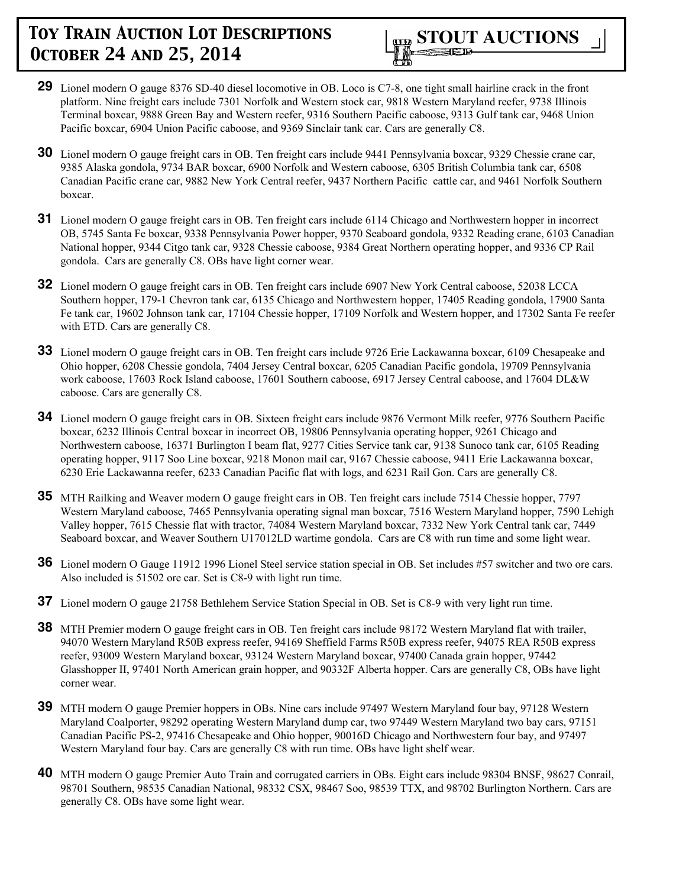

- **29** Lionel modern O gauge 8376 SD-40 diesel locomotive in OB. Loco is C7-8, one tight small hairline crack in the front platform. Nine freight cars include 7301 Norfolk and Western stock car, 9818 Western Maryland reefer, 9738 Illinois Terminal boxcar, 9888 Green Bay and Western reefer, 9316 Southern Pacific caboose, 9313 Gulf tank car, 9468 Union Pacific boxcar, 6904 Union Pacific caboose, and 9369 Sinclair tank car. Cars are generally C8.
- **30** Lionel modern O gauge freight cars in OB. Ten freight cars include 9441 Pennsylvania boxcar, 9329 Chessie crane car, 9385 Alaska gondola, 9734 BAR boxcar, 6900 Norfolk and Western caboose, 6305 British Columbia tank car, 6508 Canadian Pacific crane car, 9882 New York Central reefer, 9437 Northern Pacific cattle car, and 9461 Norfolk Southern boxcar.
- **31** Lionel modern O gauge freight cars in OB. Ten freight cars include 6114 Chicago and Northwestern hopper in incorrect OB, 5745 Santa Fe boxcar, 9338 Pennsylvania Power hopper, 9370 Seaboard gondola, 9332 Reading crane, 6103 Canadian National hopper, 9344 Citgo tank car, 9328 Chessie caboose, 9384 Great Northern operating hopper, and 9336 CP Rail gondola. Cars are generally C8. OBs have light corner wear.
- **32** Lionel modern O gauge freight cars in OB. Ten freight cars include 6907 New York Central caboose, 52038 LCCA Southern hopper, 179-1 Chevron tank car, 6135 Chicago and Northwestern hopper, 17405 Reading gondola, 17900 Santa Fe tank car, 19602 Johnson tank car, 17104 Chessie hopper, 17109 Norfolk and Western hopper, and 17302 Santa Fe reefer with ETD. Cars are generally C8.
- **33** Lionel modern O gauge freight cars in OB. Ten freight cars include 9726 Erie Lackawanna boxcar, 6109 Chesapeake and Ohio hopper, 6208 Chessie gondola, 7404 Jersey Central boxcar, 6205 Canadian Pacific gondola, 19709 Pennsylvania work caboose, 17603 Rock Island caboose, 17601 Southern caboose, 6917 Jersey Central caboose, and 17604 DL&W caboose. Cars are generally C8.
- **34** Lionel modern O gauge freight cars in OB. Sixteen freight cars include 9876 Vermont Milk reefer, 9776 Southern Pacific boxcar, 6232 Illinois Central boxcar in incorrect OB, 19806 Pennsylvania operating hopper, 9261 Chicago and Northwestern caboose, 16371 Burlington I beam flat, 9277 Cities Service tank car, 9138 Sunoco tank car, 6105 Reading operating hopper, 9117 Soo Line boxcar, 9218 Monon mail car, 9167 Chessie caboose, 9411 Erie Lackawanna boxcar, 6230 Erie Lackawanna reefer, 6233 Canadian Pacific flat with logs, and 6231 Rail Gon. Cars are generally C8.
- **35** MTH Railking and Weaver modern O gauge freight cars in OB. Ten freight cars include 7514 Chessie hopper, 7797 Western Maryland caboose, 7465 Pennsylvania operating signal man boxcar, 7516 Western Maryland hopper, 7590 Lehigh Valley hopper, 7615 Chessie flat with tractor, 74084 Western Maryland boxcar, 7332 New York Central tank car, 7449 Seaboard boxcar, and Weaver Southern U17012LD wartime gondola. Cars are C8 with run time and some light wear.
- **36** Lionel modern O Gauge 11912 1996 Lionel Steel service station special in OB. Set includes #57 switcher and two ore cars. Also included is 51502 ore car. Set is C8-9 with light run time.
- **37** Lionel modern O gauge 21758 Bethlehem Service Station Special in OB. Set is C8-9 with very light run time.
- **38** MTH Premier modern O gauge freight cars in OB. Ten freight cars include 98172 Western Maryland flat with trailer, 94070 Western Maryland R50B express reefer, 94169 Sheffield Farms R50B express reefer, 94075 REA R50B express reefer, 93009 Western Maryland boxcar, 93124 Western Maryland boxcar, 97400 Canada grain hopper, 97442 Glasshopper II, 97401 North American grain hopper, and 90332F Alberta hopper. Cars are generally C8, OBs have light corner wear.
- **39** MTH modern O gauge Premier hoppers in OBs. Nine cars include 97497 Western Maryland four bay, 97128 Western Maryland Coalporter, 98292 operating Western Maryland dump car, two 97449 Western Maryland two bay cars, 97151 Canadian Pacific PS-2, 97416 Chesapeake and Ohio hopper, 90016D Chicago and Northwestern four bay, and 97497 Western Maryland four bay. Cars are generally C8 with run time. OBs have light shelf wear.
- **40** MTH modern O gauge Premier Auto Train and corrugated carriers in OBs. Eight cars include 98304 BNSF, 98627 Conrail, 98701 Southern, 98535 Canadian National, 98332 CSX, 98467 Soo, 98539 TTX, and 98702 Burlington Northern. Cars are generally C8. OBs have some light wear.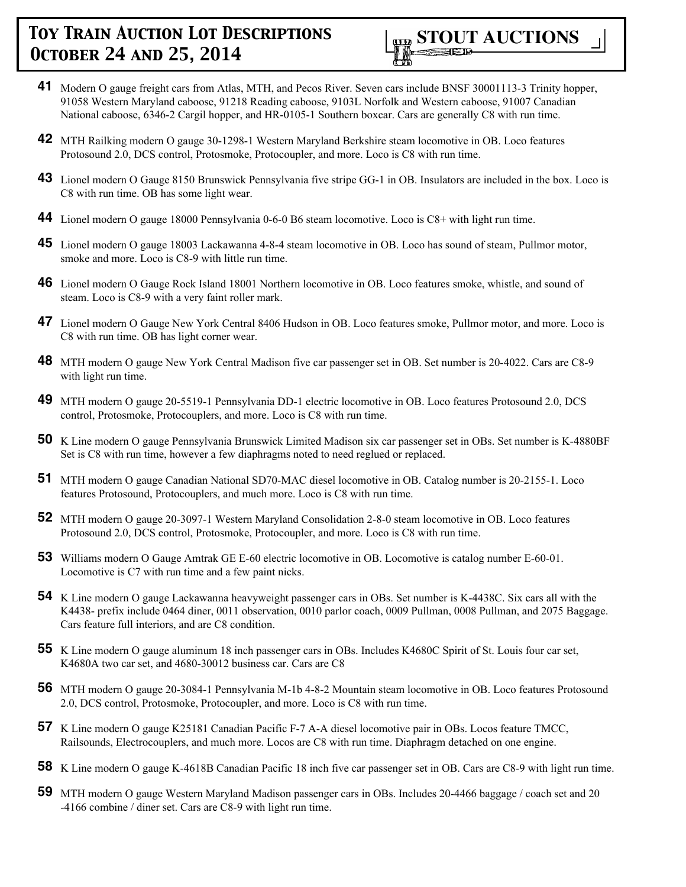

- **41** Modern O gauge freight cars from Atlas, MTH, and Pecos River. Seven cars include BNSF 30001113-3 Trinity hopper, 91058 Western Maryland caboose, 91218 Reading caboose, 9103L Norfolk and Western caboose, 91007 Canadian National caboose, 6346-2 Cargil hopper, and HR-0105-1 Southern boxcar. Cars are generally C8 with run time.
- **42** MTH Railking modern O gauge 30-1298-1 Western Maryland Berkshire steam locomotive in OB. Loco features Protosound 2.0, DCS control, Protosmoke, Protocoupler, and more. Loco is C8 with run time.
- **43** Lionel modern O Gauge 8150 Brunswick Pennsylvania five stripe GG-1 in OB. Insulators are included in the box. Loco is C8 with run time. OB has some light wear.
- **44** Lionel modern O gauge 18000 Pennsylvania 0-6-0 B6 steam locomotive. Loco is C8+ with light run time.
- **45** Lionel modern O gauge 18003 Lackawanna 4-8-4 steam locomotive in OB. Loco has sound of steam, Pullmor motor, smoke and more. Loco is C8-9 with little run time.
- **46** Lionel modern O Gauge Rock Island 18001 Northern locomotive in OB. Loco features smoke, whistle, and sound of steam. Loco is C8-9 with a very faint roller mark.
- **47** Lionel modern O Gauge New York Central 8406 Hudson in OB. Loco features smoke, Pullmor motor, and more. Loco is C8 with run time. OB has light corner wear.
- **48** MTH modern O gauge New York Central Madison five car passenger set in OB. Set number is 20-4022. Cars are C8-9 with light run time.
- **49** MTH modern O gauge 20-5519-1 Pennsylvania DD-1 electric locomotive in OB. Loco features Protosound 2.0, DCS control, Protosmoke, Protocouplers, and more. Loco is C8 with run time.
- **50** K Line modern O gauge Pennsylvania Brunswick Limited Madison six car passenger set in OBs. Set number is K-4880BF Set is C8 with run time, however a few diaphragms noted to need reglued or replaced.
- **51** MTH modern O gauge Canadian National SD70-MAC diesel locomotive in OB. Catalog number is 20-2155-1. Loco features Protosound, Protocouplers, and much more. Loco is C8 with run time.
- **52** MTH modern O gauge 20-3097-1 Western Maryland Consolidation 2-8-0 steam locomotive in OB. Loco features Protosound 2.0, DCS control, Protosmoke, Protocoupler, and more. Loco is C8 with run time.
- **53** Williams modern O Gauge Amtrak GE E-60 electric locomotive in OB. Locomotive is catalog number E-60-01. Locomotive is C7 with run time and a few paint nicks.
- **54** K Line modern O gauge Lackawanna heavyweight passenger cars in OBs. Set number is K-4438C. Six cars all with the K4438- prefix include 0464 diner, 0011 observation, 0010 parlor coach, 0009 Pullman, 0008 Pullman, and 2075 Baggage. Cars feature full interiors, and are C8 condition.
- **55** K Line modern O gauge aluminum 18 inch passenger cars in OBs. Includes K4680C Spirit of St. Louis four car set, K4680A two car set, and 4680-30012 business car. Cars are C8
- **56** MTH modern O gauge 20-3084-1 Pennsylvania M-1b 4-8-2 Mountain steam locomotive in OB. Loco features Protosound 2.0, DCS control, Protosmoke, Protocoupler, and more. Loco is C8 with run time.
- **57** K Line modern O gauge K25181 Canadian Pacific F-7 A-A diesel locomotive pair in OBs. Locos feature TMCC, Railsounds, Electrocouplers, and much more. Locos are C8 with run time. Diaphragm detached on one engine.
- **58** K Line modern O gauge K-4618B Canadian Pacific 18 inch five car passenger set in OB. Cars are C8-9 with light run time.
- **59** MTH modern O gauge Western Maryland Madison passenger cars in OBs. Includes 20-4466 baggage / coach set and 20 -4166 combine / diner set. Cars are C8-9 with light run time.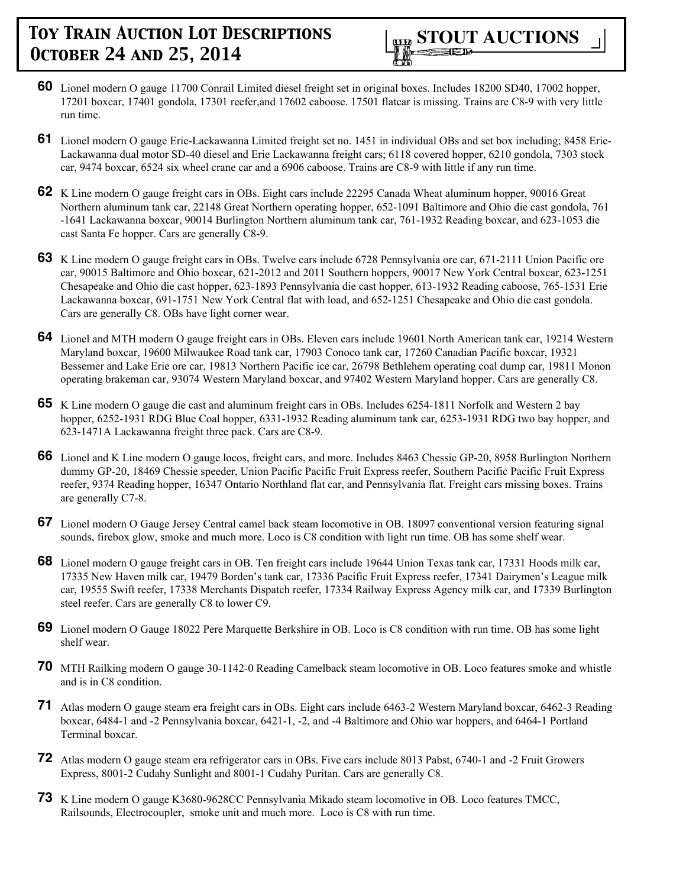

- **60** Lionel modern O gauge 11700 Conrail Limited diesel freight set in original boxes. Includes 18200 SD40, 17002 hopper, 17201 boxcar, 17401 gondola, 17301 reefer,and 17602 caboose. 17501 flatcar is missing. Trains are C8-9 with very little run time.
- **61** Lionel modern O gauge Erie-Lackawanna Limited freight set no. 1451 in individual OBs and set box including; 8458 Erie-Lackawanna dual motor SD-40 diesel and Erie Lackawanna freight cars; 6118 covered hopper, 6210 gondola, 7303 stock car, 9474 boxcar, 6524 six wheel crane car and a 6906 caboose. Trains are C8-9 with little if any run time.
- **62** K Line modern O gauge freight cars in OBs. Eight cars include 22295 Canada Wheat aluminum hopper, 90016 Great Northern aluminum tank car, 22148 Great Northern operating hopper, 652-1091 Baltimore and Ohio die cast gondola, 761 -1641 Lackawanna boxcar, 90014 Burlington Northern aluminum tank car, 761-1932 Reading boxcar, and 623-1053 die cast Santa Fe hopper. Cars are generally C8-9.
- **63** K Line modern O gauge freight cars in OBs. Twelve cars include 6728 Pennsylvania ore car, 671-2111 Union Pacific ore car, 90015 Baltimore and Ohio boxcar, 621-2012 and 2011 Southern hoppers, 90017 New York Central boxcar, 623-1251 Chesapeake and Ohio die cast hopper, 623-1893 Pennsylvania die cast hopper, 613-1932 Reading caboose, 765-1531 Erie Lackawanna boxcar, 691-1751 New York Central flat with load, and 652-1251 Chesapeake and Ohio die cast gondola. Cars are generally C8. OBs have light corner wear.
- **64** Lionel and MTH modern O gauge freight cars in OBs. Eleven cars include 19601 North American tank car, 19214 Western Maryland boxcar, 19600 Milwaukee Road tank car, 17903 Conoco tank car, 17260 Canadian Pacific boxcar, 19321 Bessemer and Lake Erie ore car, 19813 Northern Pacific ice car, 26798 Bethlehem operating coal dump car, 19811 Monon operating brakeman car, 93074 Western Maryland boxcar, and 97402 Western Maryland hopper. Cars are generally C8.
- **65** K Line modern O gauge die cast and aluminum freight cars in OBs. Includes 6254-1811 Norfolk and Western 2 bay hopper, 6252-1931 RDG Blue Coal hopper, 6331-1932 Reading aluminum tank car, 6253-1931 RDG two bay hopper, and 623-1471A Lackawanna freight three pack. Cars are C8-9.
- **66** Lionel and K Line modern O gauge locos, freight cars, and more. Includes 8463 Chessie GP-20, 8958 Burlington Northern dummy GP-20, 18469 Chessie speeder, Union Pacific Pacific Fruit Express reefer, Southern Pacific Pacific Fruit Express reefer, 9374 Reading hopper, 16347 Ontario Northland flat car, and Pennsylvania flat. Freight cars missing boxes. Trains are generally C7-8.
- **67** Lionel modern O Gauge Jersey Central camel back steam locomotive in OB. 18097 conventional version featuring signal sounds, firebox glow, smoke and much more. Loco is C8 condition with light run time. OB has some shelf wear.
- **68** Lionel modern O gauge freight cars in OB. Ten freight cars include 19644 Union Texas tank car, 17331 Hoods milk car, 17335 New Haven milk car, 19479 Borden's tank car, 17336 Pacific Fruit Express reefer, 17341 Dairymen's League milk car, 19555 Swift reefer, 17338 Merchants Dispatch reefer, 17334 Railway Express Agency milk car, and 17339 Burlington steel reefer. Cars are generally C8 to lower C9.
- **69** Lionel modern O Gauge 18022 Pere Marquette Berkshire in OB. Loco is C8 condition with run time. OB has some light shelf wear.
- **70** MTH Railking modern O gauge 30-1142-0 Reading Camelback steam locomotive in OB. Loco features smoke and whistle and is in C8 condition.
- **71** Atlas modern O gauge steam era freight cars in OBs. Eight cars include 6463-2 Western Maryland boxcar, 6462-3 Reading boxcar, 6484-1 and -2 Pennsylvania boxcar, 6421-1, -2, and -4 Baltimore and Ohio war hoppers, and 6464-1 Portland Terminal boxcar.
- **72** Atlas modern O gauge steam era refrigerator cars in OBs. Five cars include 8013 Pabst, 6740-1 and -2 Fruit Growers Express, 8001-2 Cudahy Sunlight and 8001-1 Cudahy Puritan. Cars are generally C8.
- **73** K Line modern O gauge K3680-9628CC Pennsylvania Mikado steam locomotive in OB. Loco features TMCC, Railsounds, Electrocoupler, smoke unit and much more. Loco is C8 with run time.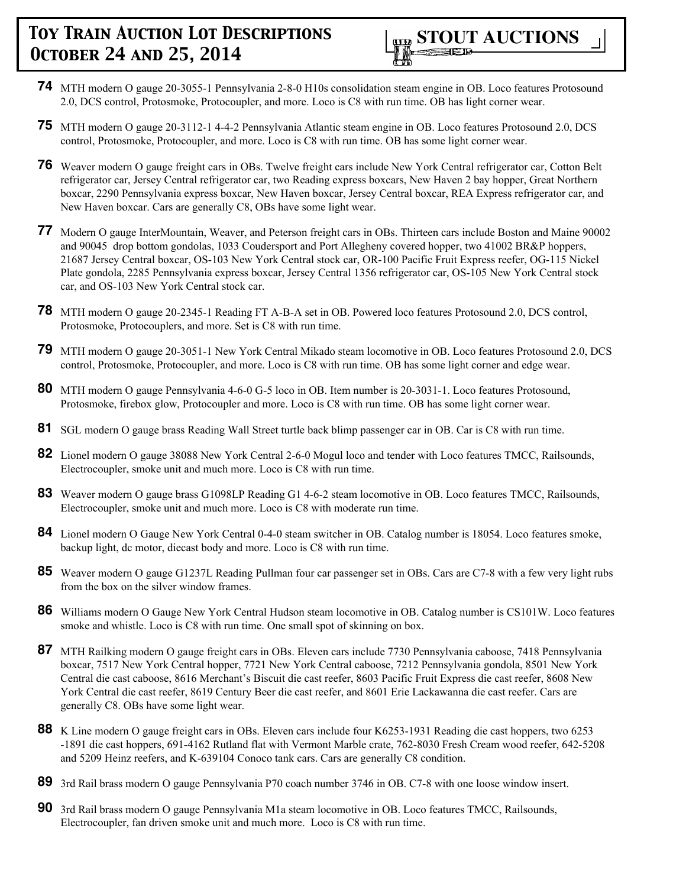- **74** MTH modern O gauge 20-3055-1 Pennsylvania 2-8-0 H10s consolidation steam engine in OB. Loco features Protosound 2.0, DCS control, Protosmoke, Protocoupler, and more. Loco is C8 with run time. OB has light corner wear.
- **75** MTH modern O gauge 20-3112-1 4-4-2 Pennsylvania Atlantic steam engine in OB. Loco features Protosound 2.0, DCS control, Protosmoke, Protocoupler, and more. Loco is C8 with run time. OB has some light corner wear.
- **76** Weaver modern O gauge freight cars in OBs. Twelve freight cars include New York Central refrigerator car, Cotton Belt refrigerator car, Jersey Central refrigerator car, two Reading express boxcars, New Haven 2 bay hopper, Great Northern boxcar, 2290 Pennsylvania express boxcar, New Haven boxcar, Jersey Central boxcar, REA Express refrigerator car, and New Haven boxcar. Cars are generally C8, OBs have some light wear.
- **77** Modern O gauge InterMountain, Weaver, and Peterson freight cars in OBs. Thirteen cars include Boston and Maine 90002 and 90045 drop bottom gondolas, 1033 Coudersport and Port Allegheny covered hopper, two 41002 BR&P hoppers, 21687 Jersey Central boxcar, OS-103 New York Central stock car, OR-100 Pacific Fruit Express reefer, OG-115 Nickel Plate gondola, 2285 Pennsylvania express boxcar, Jersey Central 1356 refrigerator car, OS-105 New York Central stock car, and OS-103 New York Central stock car.
- **78** MTH modern O gauge 20-2345-1 Reading FT A-B-A set in OB. Powered loco features Protosound 2.0, DCS control, Protosmoke, Protocouplers, and more. Set is C8 with run time.
- **79** MTH modern O gauge 20-3051-1 New York Central Mikado steam locomotive in OB. Loco features Protosound 2.0, DCS control, Protosmoke, Protocoupler, and more. Loco is C8 with run time. OB has some light corner and edge wear.
- **80** MTH modern O gauge Pennsylvania 4-6-0 G-5 loco in OB. Item number is 20-3031-1. Loco features Protosound, Protosmoke, firebox glow, Protocoupler and more. Loco is C8 with run time. OB has some light corner wear.
- **81** SGL modern O gauge brass Reading Wall Street turtle back blimp passenger car in OB. Car is C8 with run time.
- **82** Lionel modern O gauge 38088 New York Central 2-6-0 Mogul loco and tender with Loco features TMCC, Railsounds, Electrocoupler, smoke unit and much more. Loco is C8 with run time.
- **83** Weaver modern O gauge brass G1098LP Reading G1 4-6-2 steam locomotive in OB. Loco features TMCC, Railsounds, Electrocoupler, smoke unit and much more. Loco is C8 with moderate run time.
- **84** Lionel modern O Gauge New York Central 0-4-0 steam switcher in OB. Catalog number is 18054. Loco features smoke, backup light, dc motor, diecast body and more. Loco is C8 with run time.
- **85** Weaver modern O gauge G1237L Reading Pullman four car passenger set in OBs. Cars are C7-8 with a few very light rubs from the box on the silver window frames.
- **86** Williams modern O Gauge New York Central Hudson steam locomotive in OB. Catalog number is CS101W. Loco features smoke and whistle. Loco is C8 with run time. One small spot of skinning on box.
- **87** MTH Railking modern O gauge freight cars in OBs. Eleven cars include 7730 Pennsylvania caboose, 7418 Pennsylvania boxcar, 7517 New York Central hopper, 7721 New York Central caboose, 7212 Pennsylvania gondola, 8501 New York Central die cast caboose, 8616 Merchant's Biscuit die cast reefer, 8603 Pacific Fruit Express die cast reefer, 8608 New York Central die cast reefer, 8619 Century Beer die cast reefer, and 8601 Erie Lackawanna die cast reefer. Cars are generally C8. OBs have some light wear.
- **88** K Line modern O gauge freight cars in OBs. Eleven cars include four K6253-1931 Reading die cast hoppers, two 6253 -1891 die cast hoppers, 691-4162 Rutland flat with Vermont Marble crate, 762-8030 Fresh Cream wood reefer, 642-5208 and 5209 Heinz reefers, and K-639104 Conoco tank cars. Cars are generally C8 condition.
- **89** 3rd Rail brass modern O gauge Pennsylvania P70 coach number 3746 in OB. C7-8 with one loose window insert.
- **90** 3rd Rail brass modern O gauge Pennsylvania M1a steam locomotive in OB. Loco features TMCC, Railsounds, Electrocoupler, fan driven smoke unit and much more. Loco is C8 with run time.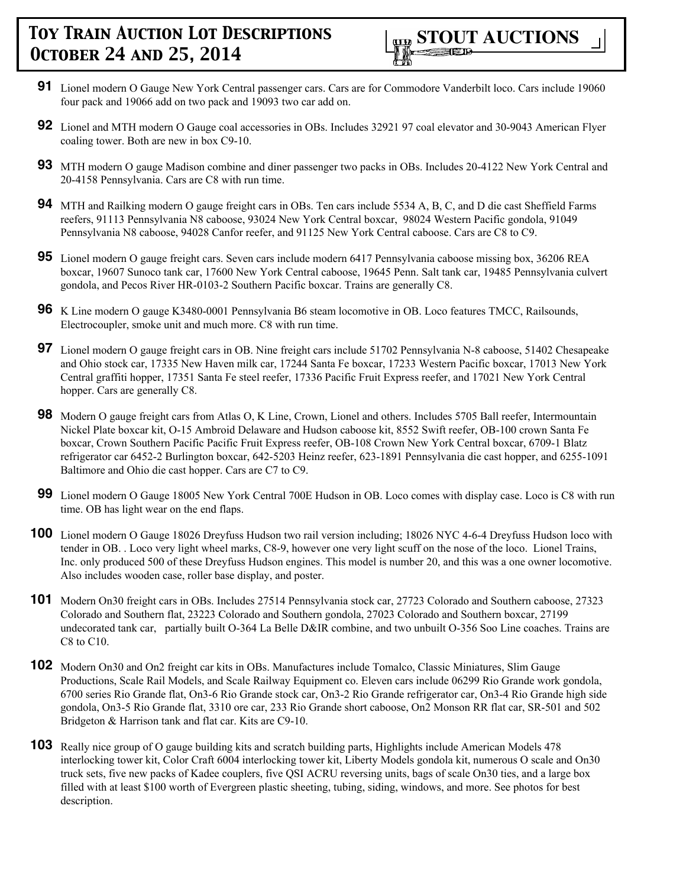

- **91** Lionel modern O Gauge New York Central passenger cars. Cars are for Commodore Vanderbilt loco. Cars include 19060 four pack and 19066 add on two pack and 19093 two car add on.
- **92** Lionel and MTH modern O Gauge coal accessories in OBs. Includes 32921 97 coal elevator and 30-9043 American Flyer coaling tower. Both are new in box C9-10.
- **93** MTH modern O gauge Madison combine and diner passenger two packs in OBs. Includes 20-4122 New York Central and 20-4158 Pennsylvania. Cars are C8 with run time.
- **94** MTH and Railking modern O gauge freight cars in OBs. Ten cars include 5534 A, B, C, and D die cast Sheffield Farms reefers, 91113 Pennsylvania N8 caboose, 93024 New York Central boxcar, 98024 Western Pacific gondola, 91049 Pennsylvania N8 caboose, 94028 Canfor reefer, and 91125 New York Central caboose. Cars are C8 to C9.
- **95** Lionel modern O gauge freight cars. Seven cars include modern 6417 Pennsylvania caboose missing box, 36206 REA boxcar, 19607 Sunoco tank car, 17600 New York Central caboose, 19645 Penn. Salt tank car, 19485 Pennsylvania culvert gondola, and Pecos River HR-0103-2 Southern Pacific boxcar. Trains are generally C8.
- **96** K Line modern O gauge K3480-0001 Pennsylvania B6 steam locomotive in OB. Loco features TMCC, Railsounds, Electrocoupler, smoke unit and much more. C8 with run time.
- **97** Lionel modern O gauge freight cars in OB. Nine freight cars include 51702 Pennsylvania N-8 caboose, 51402 Chesapeake and Ohio stock car, 17335 New Haven milk car, 17244 Santa Fe boxcar, 17233 Western Pacific boxcar, 17013 New York Central graffiti hopper, 17351 Santa Fe steel reefer, 17336 Pacific Fruit Express reefer, and 17021 New York Central hopper. Cars are generally C8.
- **98** Modern O gauge freight cars from Atlas O, K Line, Crown, Lionel and others. Includes 5705 Ball reefer, Intermountain Nickel Plate boxcar kit, O-15 Ambroid Delaware and Hudson caboose kit, 8552 Swift reefer, OB-100 crown Santa Fe boxcar, Crown Southern Pacific Pacific Fruit Express reefer, OB-108 Crown New York Central boxcar, 6709-1 Blatz refrigerator car 6452-2 Burlington boxcar, 642-5203 Heinz reefer, 623-1891 Pennsylvania die cast hopper, and 6255-1091 Baltimore and Ohio die cast hopper. Cars are C7 to C9.
- **99** Lionel modern O Gauge 18005 New York Central 700E Hudson in OB. Loco comes with display case. Loco is C8 with run time. OB has light wear on the end flaps.
- **100** Lionel modern O Gauge 18026 Dreyfuss Hudson two rail version including; 18026 NYC 4-6-4 Dreyfuss Hudson loco with tender in OB. . Loco very light wheel marks, C8-9, however one very light scuff on the nose of the loco. Lionel Trains, Inc. only produced 500 of these Dreyfuss Hudson engines. This model is number 20, and this was a one owner locomotive. Also includes wooden case, roller base display, and poster.
- **101** Modern On30 freight cars in OBs. Includes 27514 Pennsylvania stock car, 27723 Colorado and Southern caboose, 27323 Colorado and Southern flat, 23223 Colorado and Southern gondola, 27023 Colorado and Southern boxcar, 27199 undecorated tank car, partially built O-364 La Belle D&IR combine, and two unbuilt O-356 Soo Line coaches. Trains are C8 to C10.
- **102** Modern On30 and On2 freight car kits in OBs. Manufactures include Tomalco, Classic Miniatures, Slim Gauge Productions, Scale Rail Models, and Scale Railway Equipment co. Eleven cars include 06299 Rio Grande work gondola, 6700 series Rio Grande flat, On3-6 Rio Grande stock car, On3-2 Rio Grande refrigerator car, On3-4 Rio Grande high side gondola, On3-5 Rio Grande flat, 3310 ore car, 233 Rio Grande short caboose, On2 Monson RR flat car, SR-501 and 502 Bridgeton & Harrison tank and flat car. Kits are C9-10.
- **103** Really nice group of O gauge building kits and scratch building parts, Highlights include American Models 478 interlocking tower kit, Color Craft 6004 interlocking tower kit, Liberty Models gondola kit, numerous O scale and On30 truck sets, five new packs of Kadee couplers, five QSI ACRU reversing units, bags of scale On30 ties, and a large box filled with at least \$100 worth of Evergreen plastic sheeting, tubing, siding, windows, and more. See photos for best description.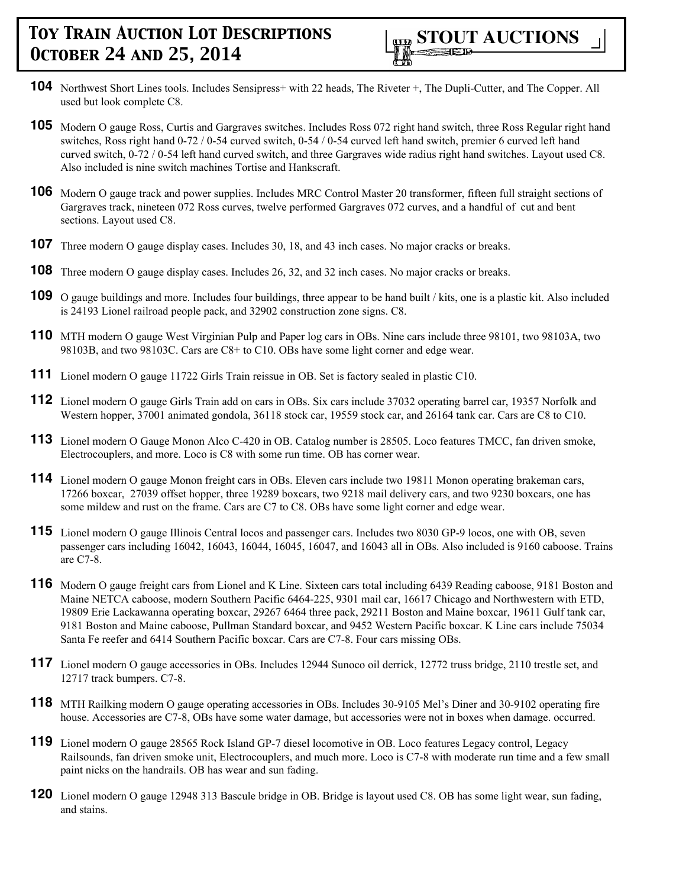- **104** Northwest Short Lines tools. Includes Sensipress+ with 22 heads, The Riveter +, The Dupli-Cutter, and The Copper. All used but look complete C8.
- **105** Modern O gauge Ross, Curtis and Gargraves switches. Includes Ross 072 right hand switch, three Ross Regular right hand switches, Ross right hand 0-72 / 0-54 curved switch, 0-54 / 0-54 curved left hand switch, premier 6 curved left hand curved switch, 0-72 / 0-54 left hand curved switch, and three Gargraves wide radius right hand switches. Layout used C8. Also included is nine switch machines Tortise and Hankscraft.
- 106 Modern O gauge track and power supplies. Includes MRC Control Master 20 transformer, fifteen full straight sections of Gargraves track, nineteen 072 Ross curves, twelve performed Gargraves 072 curves, and a handful of cut and bent sections. Layout used C8.
- **107** Three modern O gauge display cases. Includes 30, 18, and 43 inch cases. No major cracks or breaks.
- **108** Three modern O gauge display cases. Includes 26, 32, and 32 inch cases. No major cracks or breaks.
- **109** O gauge buildings and more. Includes four buildings, three appear to be hand built / kits, one is a plastic kit. Also included is 24193 Lionel railroad people pack, and 32902 construction zone signs. C8.
- **110** MTH modern O gauge West Virginian Pulp and Paper log cars in OBs. Nine cars include three 98101, two 98103A, two 98103B, and two 98103C. Cars are C8+ to C10. OBs have some light corner and edge wear.
- **111** Lionel modern O gauge 11722 Girls Train reissue in OB. Set is factory sealed in plastic C10.
- **112** Lionel modern O gauge Girls Train add on cars in OBs. Six cars include 37032 operating barrel car, 19357 Norfolk and Western hopper, 37001 animated gondola, 36118 stock car, 19559 stock car, and 26164 tank car. Cars are C8 to C10.
- **113** Lionel modern O Gauge Monon Alco C-420 in OB. Catalog number is 28505. Loco features TMCC, fan driven smoke, Electrocouplers, and more. Loco is C8 with some run time. OB has corner wear.
- **114** Lionel modern O gauge Monon freight cars in OBs. Eleven cars include two 19811 Monon operating brakeman cars, 17266 boxcar, 27039 offset hopper, three 19289 boxcars, two 9218 mail delivery cars, and two 9230 boxcars, one has some mildew and rust on the frame. Cars are C7 to C8. OBs have some light corner and edge wear.
- **115** Lionel modern O gauge Illinois Central locos and passenger cars. Includes two 8030 GP-9 locos, one with OB, seven passenger cars including 16042, 16043, 16044, 16045, 16047, and 16043 all in OBs. Also included is 9160 caboose. Trains are C7-8.
- **116** Modern O gauge freight cars from Lionel and K Line. Sixteen cars total including 6439 Reading caboose, 9181 Boston and Maine NETCA caboose, modern Southern Pacific 6464-225, 9301 mail car, 16617 Chicago and Northwestern with ETD, 19809 Erie Lackawanna operating boxcar, 29267 6464 three pack, 29211 Boston and Maine boxcar, 19611 Gulf tank car, 9181 Boston and Maine caboose, Pullman Standard boxcar, and 9452 Western Pacific boxcar. K Line cars include 75034 Santa Fe reefer and 6414 Southern Pacific boxcar. Cars are C7-8. Four cars missing OBs.
- **117** Lionel modern O gauge accessories in OBs. Includes 12944 Sunoco oil derrick, 12772 truss bridge, 2110 trestle set, and 12717 track bumpers. C7-8.
- **118** MTH Railking modern O gauge operating accessories in OBs. Includes 30-9105 Mel's Diner and 30-9102 operating fire house. Accessories are C7-8, OBs have some water damage, but accessories were not in boxes when damage. occurred.
- **119** Lionel modern O gauge 28565 Rock Island GP-7 diesel locomotive in OB. Loco features Legacy control, Legacy Railsounds, fan driven smoke unit, Electrocouplers, and much more. Loco is C7-8 with moderate run time and a few small paint nicks on the handrails. OB has wear and sun fading.
- **120** Lionel modern O gauge 12948 313 Bascule bridge in OB. Bridge is layout used C8. OB has some light wear, sun fading, and stains.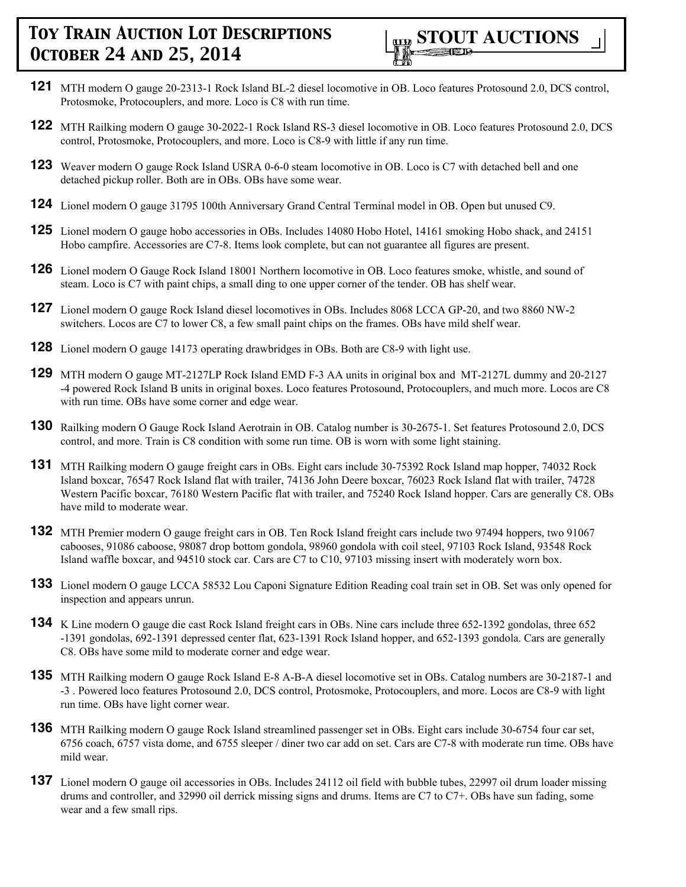

- **121** MTH modern O gauge 20-2313-1 Rock Island BL-2 diesel locomotive in OB. Loco features Protosound 2.0, DCS control, Protosmoke, Protocouplers, and more. Loco is C8 with run time.
- **122** MTH Railking modern O gauge 30-2022-1 Rock Island RS-3 diesel locomotive in OB. Loco features Protosound 2.0, DCS control, Protosmoke, Protocouplers, and more. Loco is C8-9 with little if any run time.
- **123** Weaver modern O gauge Rock Island USRA 0-6-0 steam locomotive in OB. Loco is C7 with detached bell and one detached pickup roller. Both are in OBs. OBs have some wear.
- **124** Lionel modern O gauge 31795 100th Anniversary Grand Central Terminal model in OB. Open but unused C9.
- **125** Lionel modern O gauge hobo accessories in OBs. Includes 14080 Hobo Hotel, 14161 smoking Hobo shack, and 24151 Hobo campfire. Accessories are C7-8. Items look complete, but can not guarantee all figures are present.
- **126** Lionel modern O Gauge Rock Island 18001 Northern locomotive in OB. Loco features smoke, whistle, and sound of steam. Loco is C7 with paint chips, a small ding to one upper corner of the tender. OB has shelf wear.
- **127** Lionel modern O gauge Rock Island diesel locomotives in OBs. Includes 8068 LCCA GP-20, and two 8860 NW-2 switchers. Locos are C7 to lower C8, a few small paint chips on the frames. OBs have mild shelf wear.
- **128** Lionel modern O gauge 14173 operating drawbridges in OBs. Both are C8-9 with light use.
- **129** MTH modern O gauge MT-2127LP Rock Island EMD F-3 AA units in original box and MT-2127L dummy and 20-2127 -4 powered Rock Island B units in original boxes. Loco features Protosound, Protocouplers, and much more. Locos are C8 with run time. OBs have some corner and edge wear.
- **130** Railking modern O Gauge Rock Island Aerotrain in OB. Catalog number is 30-2675-1. Set features Protosound 2.0, DCS control, and more. Train is C8 condition with some run time. OB is worn with some light staining.
- **131** MTH Railking modern O gauge freight cars in OBs. Eight cars include 30-75392 Rock Island map hopper, 74032 Rock Island boxcar, 76547 Rock Island flat with trailer, 74136 John Deere boxcar, 76023 Rock Island flat with trailer, 74728 Western Pacific boxcar, 76180 Western Pacific flat with trailer, and 75240 Rock Island hopper. Cars are generally C8. OBs have mild to moderate wear.
- **132** MTH Premier modern O gauge freight cars in OB. Ten Rock Island freight cars include two 97494 hoppers, two 91067 cabooses, 91086 caboose, 98087 drop bottom gondola, 98960 gondola with coil steel, 97103 Rock Island, 93548 Rock Island waffle boxcar, and 94510 stock car. Cars are C7 to C10, 97103 missing insert with moderately worn box.
- **133** Lionel modern O gauge LCCA 58532 Lou Caponi Signature Edition Reading coal train set in OB. Set was only opened for inspection and appears unrun.
- **134** K Line modern O gauge die cast Rock Island freight cars in OBs. Nine cars include three 652-1392 gondolas, three 652 -1391 gondolas, 692-1391 depressed center flat, 623-1391 Rock Island hopper, and 652-1393 gondola. Cars are generally C8. OBs have some mild to moderate corner and edge wear.
- **135** MTH Railking modern O gauge Rock Island E-8 A-B-A diesel locomotive set in OBs. Catalog numbers are 30-2187-1 and -3 . Powered loco features Protosound 2.0, DCS control, Protosmoke, Protocouplers, and more. Locos are C8-9 with light run time. OBs have light corner wear.
- **136** MTH Railking modern O gauge Rock Island streamlined passenger set in OBs. Eight cars include 30-6754 four car set, 6756 coach, 6757 vista dome, and 6755 sleeper / diner two car add on set. Cars are C7-8 with moderate run time. OBs have mild wear.
- **137** Lionel modern O gauge oil accessories in OBs. Includes 24112 oil field with bubble tubes, 22997 oil drum loader missing drums and controller, and 32990 oil derrick missing signs and drums. Items are C7 to C7+. OBs have sun fading, some wear and a few small rips.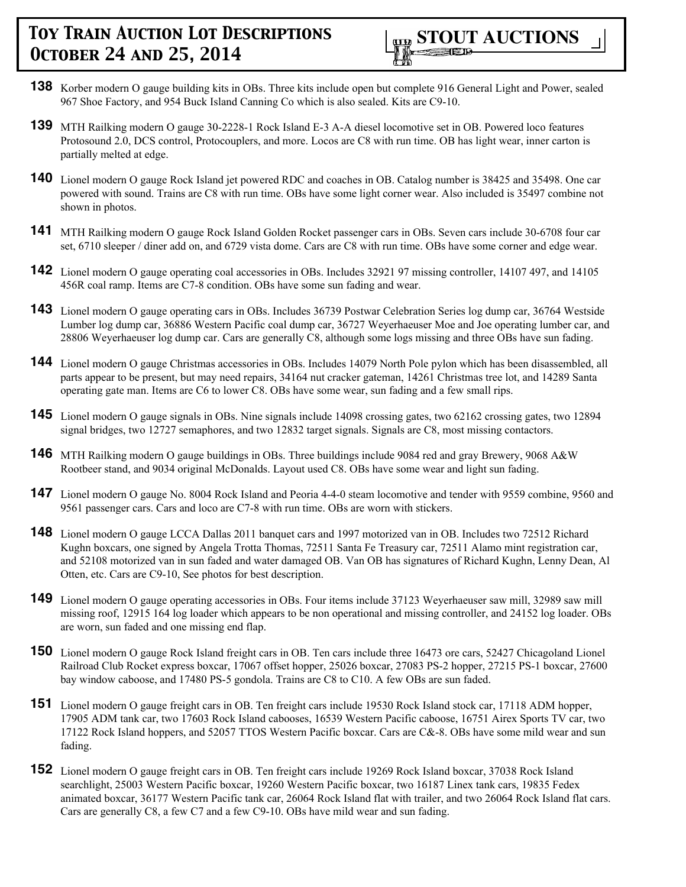

- **138** Korber modern O gauge building kits in OBs. Three kits include open but complete 916 General Light and Power, sealed 967 Shoe Factory, and 954 Buck Island Canning Co which is also sealed. Kits are C9-10.
- **139** MTH Railking modern O gauge 30-2228-1 Rock Island E-3 A-A diesel locomotive set in OB. Powered loco features Protosound 2.0, DCS control, Protocouplers, and more. Locos are C8 with run time. OB has light wear, inner carton is partially melted at edge.
- **140** Lionel modern O gauge Rock Island jet powered RDC and coaches in OB. Catalog number is 38425 and 35498. One car powered with sound. Trains are C8 with run time. OBs have some light corner wear. Also included is 35497 combine not shown in photos.
- **141** MTH Railking modern O gauge Rock Island Golden Rocket passenger cars in OBs. Seven cars include 30-6708 four car set, 6710 sleeper / diner add on, and 6729 vista dome. Cars are C8 with run time. OBs have some corner and edge wear.
- **142** Lionel modern O gauge operating coal accessories in OBs. Includes 32921 97 missing controller, 14107 497, and 14105 456R coal ramp. Items are C7-8 condition. OBs have some sun fading and wear.
- **143** Lionel modern O gauge operating cars in OBs. Includes 36739 Postwar Celebration Series log dump car, 36764 Westside Lumber log dump car, 36886 Western Pacific coal dump car, 36727 Weyerhaeuser Moe and Joe operating lumber car, and 28806 Weyerhaeuser log dump car. Cars are generally C8, although some logs missing and three OBs have sun fading.
- **144** Lionel modern O gauge Christmas accessories in OBs. Includes 14079 North Pole pylon which has been disassembled, all parts appear to be present, but may need repairs, 34164 nut cracker gateman, 14261 Christmas tree lot, and 14289 Santa operating gate man. Items are C6 to lower C8. OBs have some wear, sun fading and a few small rips.
- **145** Lionel modern O gauge signals in OBs. Nine signals include 14098 crossing gates, two 62162 crossing gates, two 12894 signal bridges, two 12727 semaphores, and two 12832 target signals. Signals are C8, most missing contactors.
- **146** MTH Railking modern O gauge buildings in OBs. Three buildings include 9084 red and gray Brewery, 9068 A&W Rootbeer stand, and 9034 original McDonalds. Layout used C8. OBs have some wear and light sun fading.
- **147** Lionel modern O gauge No. 8004 Rock Island and Peoria 4-4-0 steam locomotive and tender with 9559 combine, 9560 and 9561 passenger cars. Cars and loco are C7-8 with run time. OBs are worn with stickers.
- **148** Lionel modern O gauge LCCA Dallas 2011 banquet cars and 1997 motorized van in OB. Includes two 72512 Richard Kughn boxcars, one signed by Angela Trotta Thomas, 72511 Santa Fe Treasury car, 72511 Alamo mint registration car, and 52108 motorized van in sun faded and water damaged OB. Van OB has signatures of Richard Kughn, Lenny Dean, Al Otten, etc. Cars are C9-10, See photos for best description.
- **149** Lionel modern O gauge operating accessories in OBs. Four items include 37123 Weyerhaeuser saw mill, 32989 saw mill missing roof, 12915 164 log loader which appears to be non operational and missing controller, and 24152 log loader. OBs are worn, sun faded and one missing end flap.
- **150** Lionel modern O gauge Rock Island freight cars in OB. Ten cars include three 16473 ore cars, 52427 Chicagoland Lionel Railroad Club Rocket express boxcar, 17067 offset hopper, 25026 boxcar, 27083 PS-2 hopper, 27215 PS-1 boxcar, 27600 bay window caboose, and 17480 PS-5 gondola. Trains are C8 to C10. A few OBs are sun faded.
- **151** Lionel modern O gauge freight cars in OB. Ten freight cars include 19530 Rock Island stock car, 17118 ADM hopper, 17905 ADM tank car, two 17603 Rock Island cabooses, 16539 Western Pacific caboose, 16751 Airex Sports TV car, two 17122 Rock Island hoppers, and 52057 TTOS Western Pacific boxcar. Cars are C&-8. OBs have some mild wear and sun fading.
- **152** Lionel modern O gauge freight cars in OB. Ten freight cars include 19269 Rock Island boxcar, 37038 Rock Island searchlight, 25003 Western Pacific boxcar, 19260 Western Pacific boxcar, two 16187 Linex tank cars, 19835 Fedex animated boxcar, 36177 Western Pacific tank car, 26064 Rock Island flat with trailer, and two 26064 Rock Island flat cars. Cars are generally C8, a few C7 and a few C9-10. OBs have mild wear and sun fading.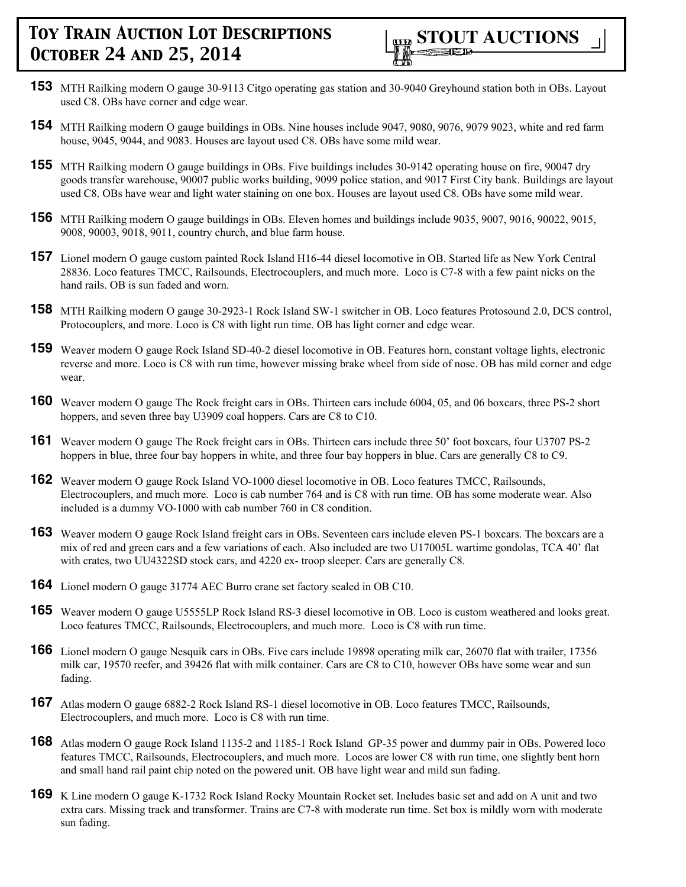- **153** MTH Railking modern O gauge 30-9113 Citgo operating gas station and 30-9040 Greyhound station both in OBs. Layout used C8. OBs have corner and edge wear.
- **154** MTH Railking modern O gauge buildings in OBs. Nine houses include 9047, 9080, 9076, 9079 9023, white and red farm house, 9045, 9044, and 9083. Houses are layout used C8. OBs have some mild wear.
- **155** MTH Railking modern O gauge buildings in OBs. Five buildings includes 30-9142 operating house on fire, 90047 dry goods transfer warehouse, 90007 public works building, 9099 police station, and 9017 First City bank. Buildings are layout used C8. OBs have wear and light water staining on one box. Houses are layout used C8. OBs have some mild wear.
- **156** MTH Railking modern O gauge buildings in OBs. Eleven homes and buildings include 9035, 9007, 9016, 90022, 9015, 9008, 90003, 9018, 9011, country church, and blue farm house.
- **157** Lionel modern O gauge custom painted Rock Island H16-44 diesel locomotive in OB. Started life as New York Central 28836. Loco features TMCC, Railsounds, Electrocouplers, and much more. Loco is C7-8 with a few paint nicks on the hand rails. OB is sun faded and worn.
- **158** MTH Railking modern O gauge 30-2923-1 Rock Island SW-1 switcher in OB. Loco features Protosound 2.0, DCS control, Protocouplers, and more. Loco is C8 with light run time. OB has light corner and edge wear.
- **159** Weaver modern O gauge Rock Island SD-40-2 diesel locomotive in OB. Features horn, constant voltage lights, electronic reverse and more. Loco is C8 with run time, however missing brake wheel from side of nose. OB has mild corner and edge wear.
- **160** Weaver modern O gauge The Rock freight cars in OBs. Thirteen cars include 6004, 05, and 06 boxcars, three PS-2 short hoppers, and seven three bay U3909 coal hoppers. Cars are C8 to C10.
- **161** Weaver modern O gauge The Rock freight cars in OBs. Thirteen cars include three 50' foot boxcars, four U3707 PS-2 hoppers in blue, three four bay hoppers in white, and three four bay hoppers in blue. Cars are generally C8 to C9.
- **162** Weaver modern O gauge Rock Island VO-1000 diesel locomotive in OB. Loco features TMCC, Railsounds, Electrocouplers, and much more. Loco is cab number 764 and is C8 with run time. OB has some moderate wear. Also included is a dummy VO-1000 with cab number 760 in C8 condition.
- **163** Weaver modern O gauge Rock Island freight cars in OBs. Seventeen cars include eleven PS-1 boxcars. The boxcars are a mix of red and green cars and a few variations of each. Also included are two U17005L wartime gondolas, TCA 40' flat with crates, two UU4322SD stock cars, and 4220 ex- troop sleeper. Cars are generally C8.
- **164** Lionel modern O gauge 31774 AEC Burro crane set factory sealed in OB C10.
- **165** Weaver modern O gauge U5555LP Rock Island RS-3 diesel locomotive in OB. Loco is custom weathered and looks great. Loco features TMCC, Railsounds, Electrocouplers, and much more. Loco is C8 with run time.
- **166** Lionel modern O gauge Nesquik cars in OBs. Five cars include 19898 operating milk car, 26070 flat with trailer, 17356 milk car, 19570 reefer, and 39426 flat with milk container. Cars are C8 to C10, however OBs have some wear and sun fading.
- **167** Atlas modern O gauge 6882-2 Rock Island RS-1 diesel locomotive in OB. Loco features TMCC, Railsounds, Electrocouplers, and much more. Loco is C8 with run time.
- **168** Atlas modern O gauge Rock Island 1135-2 and 1185-1 Rock Island GP-35 power and dummy pair in OBs. Powered loco features TMCC, Railsounds, Electrocouplers, and much more. Locos are lower C8 with run time, one slightly bent horn and small hand rail paint chip noted on the powered unit. OB have light wear and mild sun fading.
- **169** K Line modern O gauge K-1732 Rock Island Rocky Mountain Rocket set. Includes basic set and add on A unit and two extra cars. Missing track and transformer. Trains are C7-8 with moderate run time. Set box is mildly worn with moderate sun fading.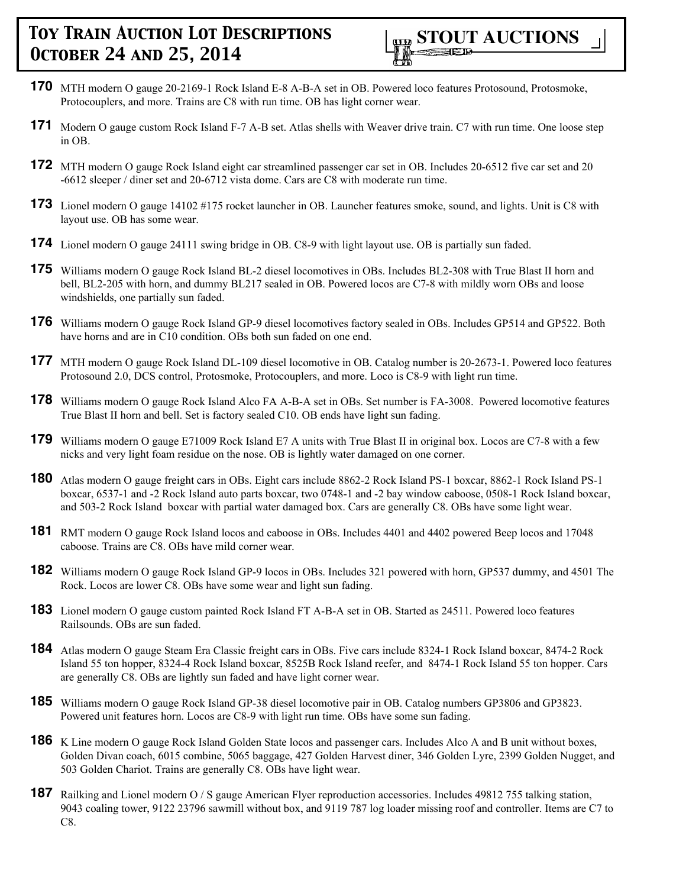

- **170** MTH modern O gauge 20-2169-1 Rock Island E-8 A-B-A set in OB. Powered loco features Protosound, Protosmoke, Protocouplers, and more. Trains are C8 with run time. OB has light corner wear.
- **171** Modern O gauge custom Rock Island F-7 A-B set. Atlas shells with Weaver drive train. C7 with run time. One loose step in OB.
- **172** MTH modern O gauge Rock Island eight car streamlined passenger car set in OB. Includes 20-6512 five car set and 20 -6612 sleeper / diner set and 20-6712 vista dome. Cars are C8 with moderate run time.
- **173** Lionel modern O gauge 14102 #175 rocket launcher in OB. Launcher features smoke, sound, and lights. Unit is C8 with layout use. OB has some wear.
- **174** Lionel modern O gauge 24111 swing bridge in OB. C8-9 with light layout use. OB is partially sun faded.
- **175** Williams modern O gauge Rock Island BL-2 diesel locomotives in OBs. Includes BL2-308 with True Blast II horn and bell, BL2-205 with horn, and dummy BL217 sealed in OB. Powered locos are C7-8 with mildly worn OBs and loose windshields, one partially sun faded.
- **176** Williams modern O gauge Rock Island GP-9 diesel locomotives factory sealed in OBs. Includes GP514 and GP522. Both have horns and are in C10 condition. OBs both sun faded on one end.
- **177** MTH modern O gauge Rock Island DL-109 diesel locomotive in OB. Catalog number is 20-2673-1. Powered loco features Protosound 2.0, DCS control, Protosmoke, Protocouplers, and more. Loco is C8-9 with light run time.
- **178** Williams modern O gauge Rock Island Alco FA A-B-A set in OBs. Set number is FA-3008. Powered locomotive features True Blast II horn and bell. Set is factory sealed C10. OB ends have light sun fading.
- **179** Williams modern O gauge E71009 Rock Island E7 A units with True Blast II in original box. Locos are C7-8 with a few nicks and very light foam residue on the nose. OB is lightly water damaged on one corner.
- **180** Atlas modern O gauge freight cars in OBs. Eight cars include 8862-2 Rock Island PS-1 boxcar, 8862-1 Rock Island PS-1 boxcar, 6537-1 and -2 Rock Island auto parts boxcar, two 0748-1 and -2 bay window caboose, 0508-1 Rock Island boxcar, and 503-2 Rock Island boxcar with partial water damaged box. Cars are generally C8. OBs have some light wear.
- **181** RMT modern O gauge Rock Island locos and caboose in OBs. Includes 4401 and 4402 powered Beep locos and 17048 caboose. Trains are C8. OBs have mild corner wear.
- **182** Williams modern O gauge Rock Island GP-9 locos in OBs. Includes 321 powered with horn, GP537 dummy, and 4501 The Rock. Locos are lower C8. OBs have some wear and light sun fading.
- **183** Lionel modern O gauge custom painted Rock Island FT A-B-A set in OB. Started as 24511. Powered loco features Railsounds. OBs are sun faded.
- **184** Atlas modern O gauge Steam Era Classic freight cars in OBs. Five cars include 8324-1 Rock Island boxcar, 8474-2 Rock Island 55 ton hopper, 8324-4 Rock Island boxcar, 8525B Rock Island reefer, and 8474-1 Rock Island 55 ton hopper. Cars are generally C8. OBs are lightly sun faded and have light corner wear.
- **185** Williams modern O gauge Rock Island GP-38 diesel locomotive pair in OB. Catalog numbers GP3806 and GP3823. Powered unit features horn. Locos are C8-9 with light run time. OBs have some sun fading.
- **186** K Line modern O gauge Rock Island Golden State locos and passenger cars. Includes Alco A and B unit without boxes, Golden Divan coach, 6015 combine, 5065 baggage, 427 Golden Harvest diner, 346 Golden Lyre, 2399 Golden Nugget, and 503 Golden Chariot. Trains are generally C8. OBs have light wear.
- **187** Railking and Lionel modern O / S gauge American Flyer reproduction accessories. Includes 49812 755 talking station, 9043 coaling tower, 9122 23796 sawmill without box, and 9119 787 log loader missing roof and controller. Items are C7 to C8.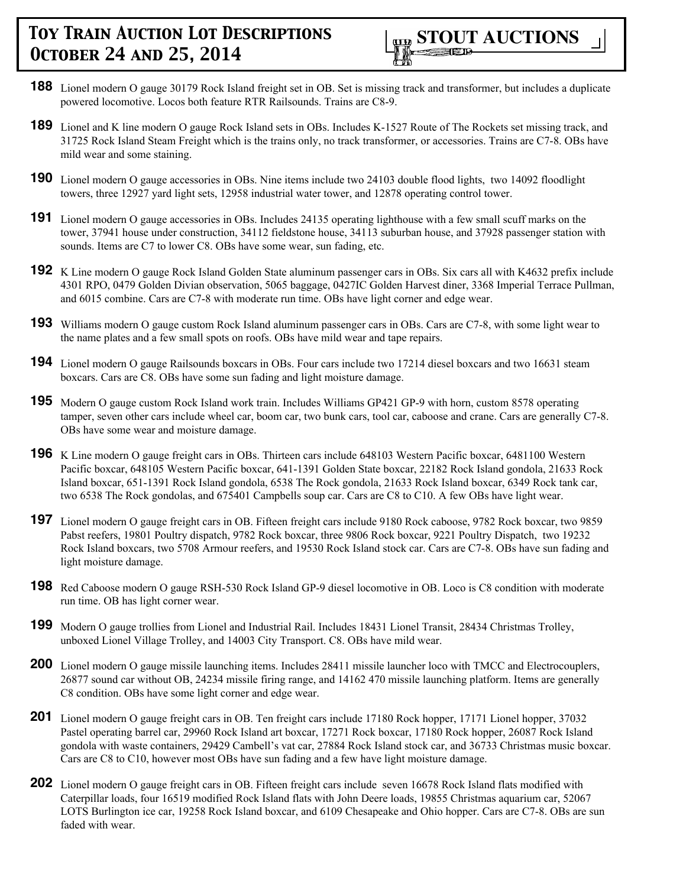

- **188** Lionel modern O gauge 30179 Rock Island freight set in OB. Set is missing track and transformer, but includes a duplicate powered locomotive. Locos both feature RTR Railsounds. Trains are C8-9.
- **189** Lionel and K line modern O gauge Rock Island sets in OBs. Includes K-1527 Route of The Rockets set missing track, and 31725 Rock Island Steam Freight which is the trains only, no track transformer, or accessories. Trains are C7-8. OBs have mild wear and some staining.
- **190** Lionel modern O gauge accessories in OBs. Nine items include two 24103 double flood lights, two 14092 floodlight towers, three 12927 yard light sets, 12958 industrial water tower, and 12878 operating control tower.
- **191** Lionel modern O gauge accessories in OBs. Includes 24135 operating lighthouse with a few small scuff marks on the tower, 37941 house under construction, 34112 fieldstone house, 34113 suburban house, and 37928 passenger station with sounds. Items are C7 to lower C8. OBs have some wear, sun fading, etc.
- **192** K Line modern O gauge Rock Island Golden State aluminum passenger cars in OBs. Six cars all with K4632 prefix include 4301 RPO, 0479 Golden Divian observation, 5065 baggage, 0427IC Golden Harvest diner, 3368 Imperial Terrace Pullman, and 6015 combine. Cars are C7-8 with moderate run time. OBs have light corner and edge wear.
- **193** Williams modern O gauge custom Rock Island aluminum passenger cars in OBs. Cars are C7-8, with some light wear to the name plates and a few small spots on roofs. OBs have mild wear and tape repairs.
- **194** Lionel modern O gauge Railsounds boxcars in OBs. Four cars include two 17214 diesel boxcars and two 16631 steam boxcars. Cars are C8. OBs have some sun fading and light moisture damage.
- **195** Modern O gauge custom Rock Island work train. Includes Williams GP421 GP-9 with horn, custom 8578 operating tamper, seven other cars include wheel car, boom car, two bunk cars, tool car, caboose and crane. Cars are generally C7-8. OBs have some wear and moisture damage.
- **196** K Line modern O gauge freight cars in OBs. Thirteen cars include 648103 Western Pacific boxcar, 6481100 Western Pacific boxcar, 648105 Western Pacific boxcar, 641-1391 Golden State boxcar, 22182 Rock Island gondola, 21633 Rock Island boxcar, 651-1391 Rock Island gondola, 6538 The Rock gondola, 21633 Rock Island boxcar, 6349 Rock tank car, two 6538 The Rock gondolas, and 675401 Campbells soup car. Cars are C8 to C10. A few OBs have light wear.
- **197** Lionel modern O gauge freight cars in OB. Fifteen freight cars include 9180 Rock caboose, 9782 Rock boxcar, two 9859 Pabst reefers, 19801 Poultry dispatch, 9782 Rock boxcar, three 9806 Rock boxcar, 9221 Poultry Dispatch, two 19232 Rock Island boxcars, two 5708 Armour reefers, and 19530 Rock Island stock car. Cars are C7-8. OBs have sun fading and light moisture damage.
- **198** Red Caboose modern O gauge RSH-530 Rock Island GP-9 diesel locomotive in OB. Loco is C8 condition with moderate run time. OB has light corner wear.
- **199** Modern O gauge trollies from Lionel and Industrial Rail. Includes 18431 Lionel Transit, 28434 Christmas Trolley, unboxed Lionel Village Trolley, and 14003 City Transport. C8. OBs have mild wear.
- **200** Lionel modern O gauge missile launching items. Includes 28411 missile launcher loco with TMCC and Electrocouplers, 26877 sound car without OB, 24234 missile firing range, and 14162 470 missile launching platform. Items are generally C8 condition. OBs have some light corner and edge wear.
- **201** Lionel modern O gauge freight cars in OB. Ten freight cars include 17180 Rock hopper, 17171 Lionel hopper, 37032 Pastel operating barrel car, 29960 Rock Island art boxcar, 17271 Rock boxcar, 17180 Rock hopper, 26087 Rock Island gondola with waste containers, 29429 Cambell's vat car, 27884 Rock Island stock car, and 36733 Christmas music boxcar. Cars are C8 to C10, however most OBs have sun fading and a few have light moisture damage.
- **202** Lionel modern O gauge freight cars in OB. Fifteen freight cars include seven 16678 Rock Island flats modified with Caterpillar loads, four 16519 modified Rock Island flats with John Deere loads, 19855 Christmas aquarium car, 52067 LOTS Burlington ice car, 19258 Rock Island boxcar, and 6109 Chesapeake and Ohio hopper. Cars are C7-8. OBs are sun faded with wear.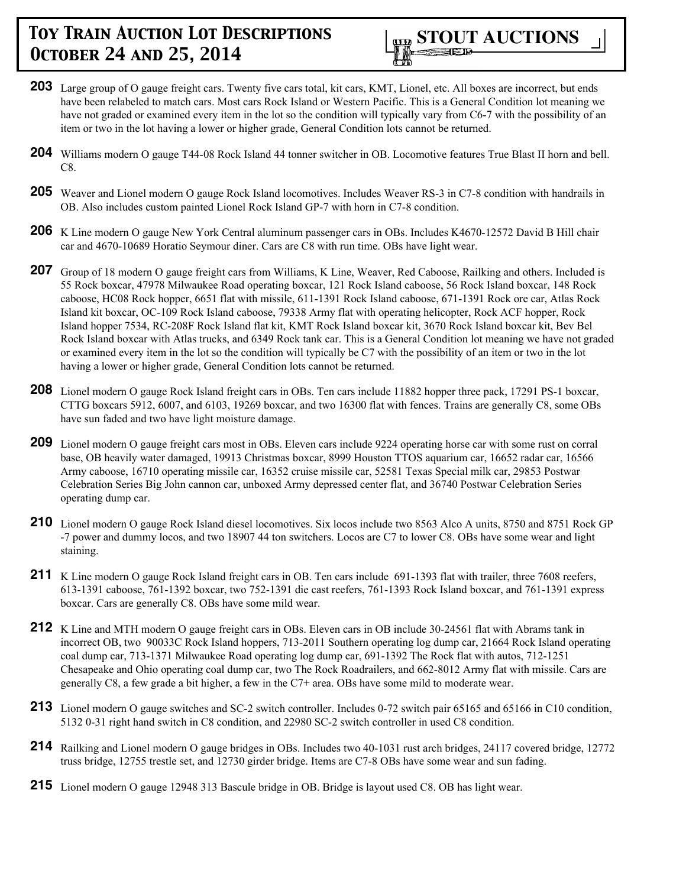

- **203** Large group of O gauge freight cars. Twenty five cars total, kit cars, KMT, Lionel, etc. All boxes are incorrect, but ends have been relabeled to match cars. Most cars Rock Island or Western Pacific. This is a General Condition lot meaning we have not graded or examined every item in the lot so the condition will typically vary from C6-7 with the possibility of an item or two in the lot having a lower or higher grade, General Condition lots cannot be returned.
- **204** Williams modern O gauge T44-08 Rock Island 44 tonner switcher in OB. Locomotive features True Blast II horn and bell. C8.
- **205** Weaver and Lionel modern O gauge Rock Island locomotives. Includes Weaver RS-3 in C7-8 condition with handrails in OB. Also includes custom painted Lionel Rock Island GP-7 with horn in C7-8 condition.
- **206** K Line modern O gauge New York Central aluminum passenger cars in OBs. Includes K4670-12572 David B Hill chair car and 4670-10689 Horatio Seymour diner. Cars are C8 with run time. OBs have light wear.
- **207** Group of 18 modern O gauge freight cars from Williams, K Line, Weaver, Red Caboose, Railking and others. Included is 55 Rock boxcar, 47978 Milwaukee Road operating boxcar, 121 Rock Island caboose, 56 Rock Island boxcar, 148 Rock caboose, HC08 Rock hopper, 6651 flat with missile, 611-1391 Rock Island caboose, 671-1391 Rock ore car, Atlas Rock Island kit boxcar, OC-109 Rock Island caboose, 79338 Army flat with operating helicopter, Rock ACF hopper, Rock Island hopper 7534, RC-208F Rock Island flat kit, KMT Rock Island boxcar kit, 3670 Rock Island boxcar kit, Bev Bel Rock Island boxcar with Atlas trucks, and 6349 Rock tank car. This is a General Condition lot meaning we have not graded or examined every item in the lot so the condition will typically be C7 with the possibility of an item or two in the lot having a lower or higher grade, General Condition lots cannot be returned.
- **208** Lionel modern O gauge Rock Island freight cars in OBs. Ten cars include 11882 hopper three pack, 17291 PS-1 boxcar, CTTG boxcars 5912, 6007, and 6103, 19269 boxcar, and two 16300 flat with fences. Trains are generally C8, some OBs have sun faded and two have light moisture damage.
- **209** Lionel modern O gauge freight cars most in OBs. Eleven cars include 9224 operating horse car with some rust on corral base, OB heavily water damaged, 19913 Christmas boxcar, 8999 Houston TTOS aquarium car, 16652 radar car, 16566 Army caboose, 16710 operating missile car, 16352 cruise missile car, 52581 Texas Special milk car, 29853 Postwar Celebration Series Big John cannon car, unboxed Army depressed center flat, and 36740 Postwar Celebration Series operating dump car.
- **210** Lionel modern O gauge Rock Island diesel locomotives. Six locos include two 8563 Alco A units, 8750 and 8751 Rock GP -7 power and dummy locos, and two 18907 44 ton switchers. Locos are C7 to lower C8. OBs have some wear and light staining.
- 211 K Line modern O gauge Rock Island freight cars in OB. Ten cars include 691-1393 flat with trailer, three 7608 reefers, 613-1391 caboose, 761-1392 boxcar, two 752-1391 die cast reefers, 761-1393 Rock Island boxcar, and 761-1391 express boxcar. Cars are generally C8. OBs have some mild wear.
- 212 K Line and MTH modern O gauge freight cars in OBs. Eleven cars in OB include 30-24561 flat with Abrams tank in incorrect OB, two 90033C Rock Island hoppers, 713-2011 Southern operating log dump car, 21664 Rock Island operating coal dump car, 713-1371 Milwaukee Road operating log dump car, 691-1392 The Rock flat with autos, 712-1251 Chesapeake and Ohio operating coal dump car, two The Rock Roadrailers, and 662-8012 Army flat with missile. Cars are generally C8, a few grade a bit higher, a few in the C7+ area. OBs have some mild to moderate wear.
- **213** Lionel modern O gauge switches and SC-2 switch controller. Includes 0-72 switch pair 65165 and 65166 in C10 condition, 5132 0-31 right hand switch in C8 condition, and 22980 SC-2 switch controller in used C8 condition.
- **214** Railking and Lionel modern O gauge bridges in OBs. Includes two 40-1031 rust arch bridges, 24117 covered bridge, 12772 truss bridge, 12755 trestle set, and 12730 girder bridge. Items are C7-8 OBs have some wear and sun fading.
- **215** Lionel modern O gauge 12948 313 Bascule bridge in OB. Bridge is layout used C8. OB has light wear.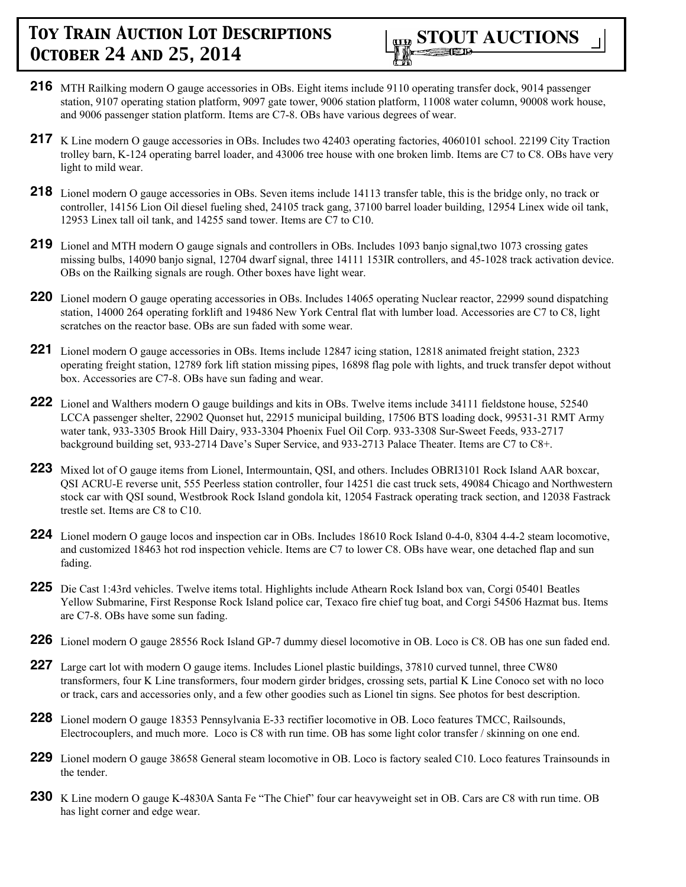- **216** MTH Railking modern O gauge accessories in OBs. Eight items include 9110 operating transfer dock, 9014 passenger station, 9107 operating station platform, 9097 gate tower, 9006 station platform, 11008 water column, 90008 work house, and 9006 passenger station platform. Items are C7-8. OBs have various degrees of wear.
- 217 K Line modern O gauge accessories in OBs. Includes two 42403 operating factories, 4060101 school. 22199 City Traction trolley barn, K-124 operating barrel loader, and 43006 tree house with one broken limb. Items are C7 to C8. OBs have very light to mild wear.
- **218** Lionel modern O gauge accessories in OBs. Seven items include 14113 transfer table, this is the bridge only, no track or controller, 14156 Lion Oil diesel fueling shed, 24105 track gang, 37100 barrel loader building, 12954 Linex wide oil tank, 12953 Linex tall oil tank, and 14255 sand tower. Items are C7 to C10.
- **219** Lionel and MTH modern O gauge signals and controllers in OBs. Includes 1093 banjo signal,two 1073 crossing gates missing bulbs, 14090 banjo signal, 12704 dwarf signal, three 14111 153IR controllers, and 45-1028 track activation device. OBs on the Railking signals are rough. Other boxes have light wear.
- **220** Lionel modern O gauge operating accessories in OBs. Includes 14065 operating Nuclear reactor, 22999 sound dispatching station, 14000 264 operating forklift and 19486 New York Central flat with lumber load. Accessories are C7 to C8, light scratches on the reactor base. OBs are sun faded with some wear.
- **221** Lionel modern O gauge accessories in OBs. Items include 12847 icing station, 12818 animated freight station, 2323 operating freight station, 12789 fork lift station missing pipes, 16898 flag pole with lights, and truck transfer depot without box. Accessories are C7-8. OBs have sun fading and wear.
- **222** Lionel and Walthers modern O gauge buildings and kits in OBs. Twelve items include 34111 fieldstone house, 52540 LCCA passenger shelter, 22902 Quonset hut, 22915 municipal building, 17506 BTS loading dock, 99531-31 RMT Army water tank, 933-3305 Brook Hill Dairy, 933-3304 Phoenix Fuel Oil Corp. 933-3308 Sur-Sweet Feeds, 933-2717 background building set, 933-2714 Dave's Super Service, and 933-2713 Palace Theater. Items are C7 to C8+.
- **223** Mixed lot of O gauge items from Lionel, Intermountain, QSI, and others. Includes OBRI3101 Rock Island AAR boxcar, QSI ACRU-E reverse unit, 555 Peerless station controller, four 14251 die cast truck sets, 49084 Chicago and Northwestern stock car with QSI sound, Westbrook Rock Island gondola kit, 12054 Fastrack operating track section, and 12038 Fastrack trestle set. Items are C8 to C10.
- **224** Lionel modern O gauge locos and inspection car in OBs. Includes 18610 Rock Island 0-4-0, 8304 4-4-2 steam locomotive, and customized 18463 hot rod inspection vehicle. Items are C7 to lower C8. OBs have wear, one detached flap and sun fading.
- **225** Die Cast 1:43rd vehicles. Twelve items total. Highlights include Athearn Rock Island box van, Corgi 05401 Beatles Yellow Submarine, First Response Rock Island police car, Texaco fire chief tug boat, and Corgi 54506 Hazmat bus. Items are C7-8. OBs have some sun fading.
- **226** Lionel modern O gauge 28556 Rock Island GP-7 dummy diesel locomotive in OB. Loco is C8. OB has one sun faded end.
- **227** Large cart lot with modern O gauge items. Includes Lionel plastic buildings, 37810 curved tunnel, three CW80 transformers, four K Line transformers, four modern girder bridges, crossing sets, partial K Line Conoco set with no loco or track, cars and accessories only, and a few other goodies such as Lionel tin signs. See photos for best description.
- **228** Lionel modern O gauge 18353 Pennsylvania E-33 rectifier locomotive in OB. Loco features TMCC, Railsounds, Electrocouplers, and much more. Loco is C8 with run time. OB has some light color transfer / skinning on one end.
- **229** Lionel modern O gauge 38658 General steam locomotive in OB. Loco is factory sealed C10. Loco features Trainsounds in the tender.
- **230** K Line modern O gauge K-4830A Santa Fe "The Chief" four car heavyweight set in OB. Cars are C8 with run time. OB has light corner and edge wear.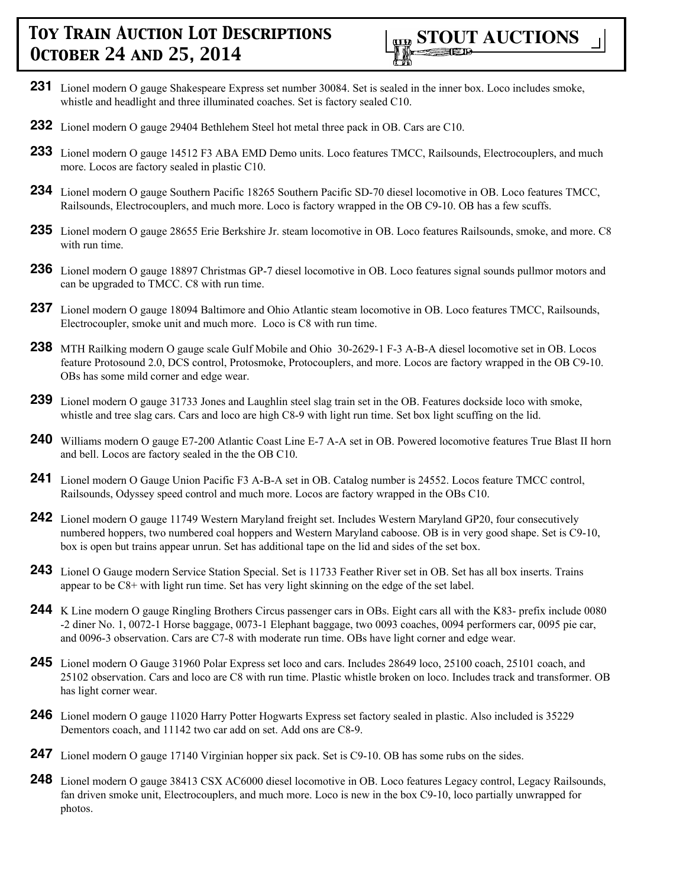

- **231** Lionel modern O gauge Shakespeare Express set number 30084. Set is sealed in the inner box. Loco includes smoke, whistle and headlight and three illuminated coaches. Set is factory sealed C10.
- **232** Lionel modern O gauge 29404 Bethlehem Steel hot metal three pack in OB. Cars are C10.
- **233** Lionel modern O gauge 14512 F3 ABA EMD Demo units. Loco features TMCC, Railsounds, Electrocouplers, and much more. Locos are factory sealed in plastic C10.
- **234** Lionel modern O gauge Southern Pacific 18265 Southern Pacific SD-70 diesel locomotive in OB. Loco features TMCC, Railsounds, Electrocouplers, and much more. Loco is factory wrapped in the OB C9-10. OB has a few scuffs.
- **235** Lionel modern O gauge 28655 Erie Berkshire Jr. steam locomotive in OB. Loco features Railsounds, smoke, and more. C8 with run time.
- **236** Lionel modern O gauge 18897 Christmas GP-7 diesel locomotive in OB. Loco features signal sounds pullmor motors and can be upgraded to TMCC. C8 with run time.
- **237** Lionel modern O gauge 18094 Baltimore and Ohio Atlantic steam locomotive in OB. Loco features TMCC, Railsounds, Electrocoupler, smoke unit and much more. Loco is C8 with run time.
- **238** MTH Railking modern O gauge scale Gulf Mobile and Ohio 30-2629-1 F-3 A-B-A diesel locomotive set in OB. Locos feature Protosound 2.0, DCS control, Protosmoke, Protocouplers, and more. Locos are factory wrapped in the OB C9-10. OBs has some mild corner and edge wear.
- **239** Lionel modern O gauge 31733 Jones and Laughlin steel slag train set in the OB. Features dockside loco with smoke, whistle and tree slag cars. Cars and loco are high C8-9 with light run time. Set box light scuffing on the lid.
- **240** Williams modern O gauge E7-200 Atlantic Coast Line E-7 A-A set in OB. Powered locomotive features True Blast II horn and bell. Locos are factory sealed in the the OB C10.
- **241** Lionel modern O Gauge Union Pacific F3 A-B-A set in OB. Catalog number is 24552. Locos feature TMCC control, Railsounds, Odyssey speed control and much more. Locos are factory wrapped in the OBs C10.
- **242** Lionel modern O gauge 11749 Western Maryland freight set. Includes Western Maryland GP20, four consecutively numbered hoppers, two numbered coal hoppers and Western Maryland caboose. OB is in very good shape. Set is C9-10, box is open but trains appear unrun. Set has additional tape on the lid and sides of the set box.
- **243** Lionel O Gauge modern Service Station Special. Set is 11733 Feather River set in OB. Set has all box inserts. Trains appear to be C8+ with light run time. Set has very light skinning on the edge of the set label.
- **244** K Line modern O gauge Ringling Brothers Circus passenger cars in OBs. Eight cars all with the K83- prefix include 0080 -2 diner No. 1, 0072-1 Horse baggage, 0073-1 Elephant baggage, two 0093 coaches, 0094 performers car, 0095 pie car, and 0096-3 observation. Cars are C7-8 with moderate run time. OBs have light corner and edge wear.
- **245** Lionel modern O Gauge 31960 Polar Express set loco and cars. Includes 28649 loco, 25100 coach, 25101 coach, and 25102 observation. Cars and loco are C8 with run time. Plastic whistle broken on loco. Includes track and transformer. OB has light corner wear.
- **246** Lionel modern O gauge 11020 Harry Potter Hogwarts Express set factory sealed in plastic. Also included is 35229 Dementors coach, and 11142 two car add on set. Add ons are C8-9.
- **247** Lionel modern O gauge 17140 Virginian hopper six pack. Set is C9-10. OB has some rubs on the sides.
- **248** Lionel modern O gauge 38413 CSX AC6000 diesel locomotive in OB. Loco features Legacy control, Legacy Railsounds, fan driven smoke unit, Electrocouplers, and much more. Loco is new in the box C9-10, loco partially unwrapped for photos.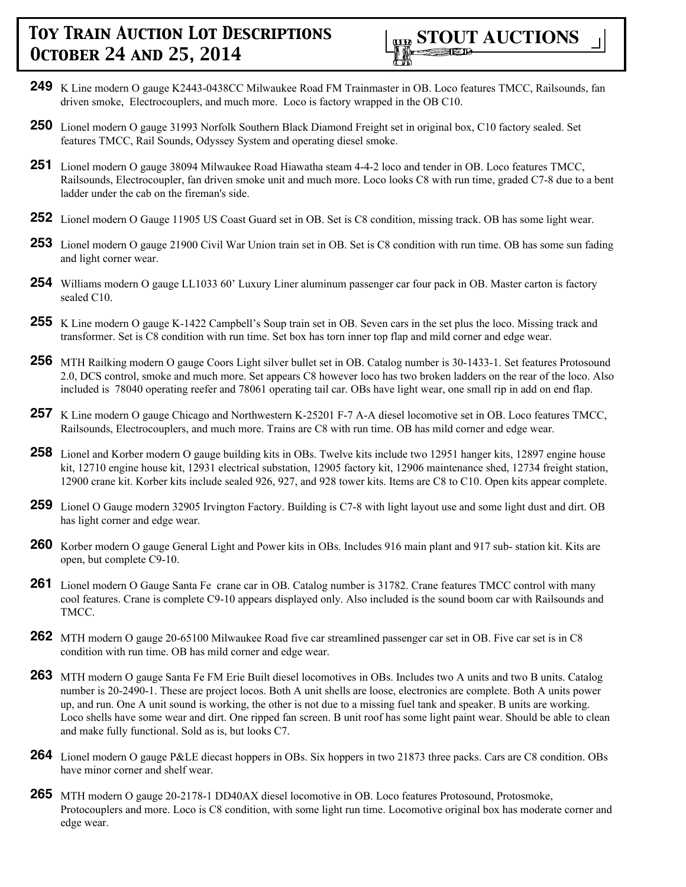

- **249** K Line modern O gauge K2443-0438CC Milwaukee Road FM Trainmaster in OB. Loco features TMCC, Railsounds, fan driven smoke, Electrocouplers, and much more. Loco is factory wrapped in the OB C10.
- **250** Lionel modern O gauge 31993 Norfolk Southern Black Diamond Freight set in original box, C10 factory sealed. Set features TMCC, Rail Sounds, Odyssey System and operating diesel smoke.
- **251** Lionel modern O gauge 38094 Milwaukee Road Hiawatha steam 4-4-2 loco and tender in OB. Loco features TMCC, Railsounds, Electrocoupler, fan driven smoke unit and much more. Loco looks C8 with run time, graded C7-8 due to a bent ladder under the cab on the fireman's side.
- **252** Lionel modern O Gauge 11905 US Coast Guard set in OB. Set is C8 condition, missing track. OB has some light wear.
- **253** Lionel modern O gauge 21900 Civil War Union train set in OB. Set is C8 condition with run time. OB has some sun fading and light corner wear.
- **254** Williams modern O gauge LL1033 60' Luxury Liner aluminum passenger car four pack in OB. Master carton is factory sealed C10.
- **255** K Line modern O gauge K-1422 Campbell's Soup train set in OB. Seven cars in the set plus the loco. Missing track and transformer. Set is C8 condition with run time. Set box has torn inner top flap and mild corner and edge wear.
- **256** MTH Railking modern O gauge Coors Light silver bullet set in OB. Catalog number is 30-1433-1. Set features Protosound 2.0, DCS control, smoke and much more. Set appears C8 however loco has two broken ladders on the rear of the loco. Also included is 78040 operating reefer and 78061 operating tail car. OBs have light wear, one small rip in add on end flap.
- **257** K Line modern O gauge Chicago and Northwestern K-25201 F-7 A-A diesel locomotive set in OB. Loco features TMCC, Railsounds, Electrocouplers, and much more. Trains are C8 with run time. OB has mild corner and edge wear.
- **258** Lionel and Korber modern O gauge building kits in OBs. Twelve kits include two 12951 hanger kits, 12897 engine house kit, 12710 engine house kit, 12931 electrical substation, 12905 factory kit, 12906 maintenance shed, 12734 freight station, 12900 crane kit. Korber kits include sealed 926, 927, and 928 tower kits. Items are C8 to C10. Open kits appear complete.
- **259** Lionel O Gauge modern 32905 Irvington Factory. Building is C7-8 with light layout use and some light dust and dirt. OB has light corner and edge wear.
- **260** Korber modern O gauge General Light and Power kits in OBs. Includes 916 main plant and 917 sub- station kit. Kits are open, but complete C9-10.
- **261** Lionel modern O Gauge Santa Fe crane car in OB. Catalog number is 31782. Crane features TMCC control with many cool features. Crane is complete C9-10 appears displayed only. Also included is the sound boom car with Railsounds and TMCC.
- **262** MTH modern O gauge 20-65100 Milwaukee Road five car streamlined passenger car set in OB. Five car set is in C8 condition with run time. OB has mild corner and edge wear.
- **263** MTH modern O gauge Santa Fe FM Erie Built diesel locomotives in OBs. Includes two A units and two B units. Catalog number is 20-2490-1. These are project locos. Both A unit shells are loose, electronics are complete. Both A units power up, and run. One A unit sound is working, the other is not due to a missing fuel tank and speaker. B units are working. Loco shells have some wear and dirt. One ripped fan screen. B unit roof has some light paint wear. Should be able to clean and make fully functional. Sold as is, but looks C7.
- **264** Lionel modern O gauge P&LE diecast hoppers in OBs. Six hoppers in two 21873 three packs. Cars are C8 condition. OBs have minor corner and shelf wear.
- **265** MTH modern O gauge 20-2178-1 DD40AX diesel locomotive in OB. Loco features Protosound, Protosmoke, Protocouplers and more. Loco is C8 condition, with some light run time. Locomotive original box has moderate corner and edge wear.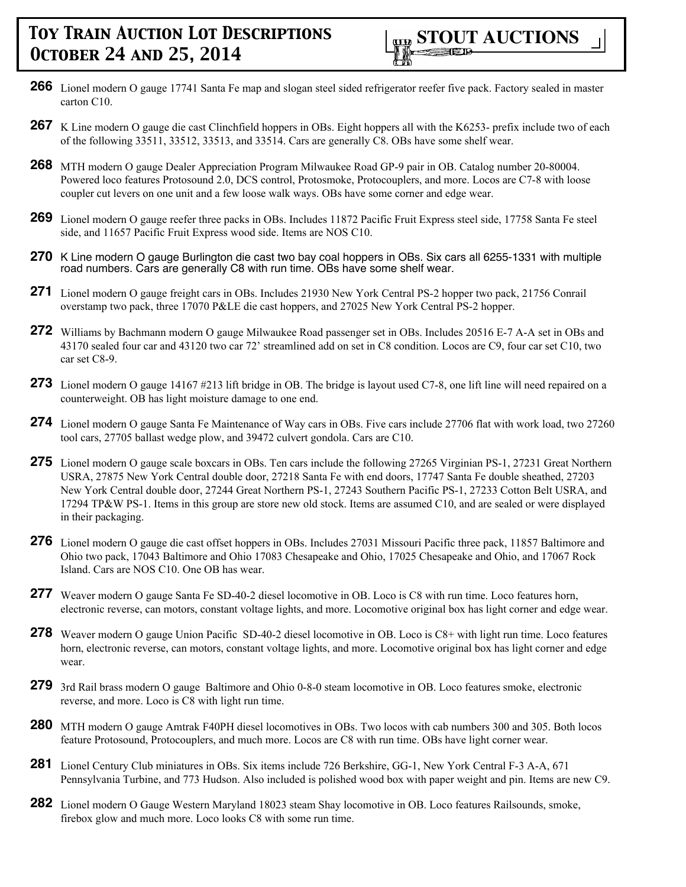- **266** Lionel modern O gauge 17741 Santa Fe map and slogan steel sided refrigerator reefer five pack. Factory sealed in master carton C10.
- **267** K Line modern O gauge die cast Clinchfield hoppers in OBs. Eight hoppers all with the K6253- prefix include two of each of the following 33511, 33512, 33513, and 33514. Cars are generally C8. OBs have some shelf wear.
- **268** MTH modern O gauge Dealer Appreciation Program Milwaukee Road GP-9 pair in OB. Catalog number 20-80004. Powered loco features Protosound 2.0, DCS control, Protosmoke, Protocouplers, and more. Locos are C7-8 with loose coupler cut levers on one unit and a few loose walk ways. OBs have some corner and edge wear.
- **269** Lionel modern O gauge reefer three packs in OBs. Includes 11872 Pacific Fruit Express steel side, 17758 Santa Fe steel side, and 11657 Pacific Fruit Express wood side. Items are NOS C10.
- **270** K Line modern O gauge Burlington die cast two bay coal hoppers in OBs. Six cars all 6255-1331 with multiple road numbers. Cars are generally C8 with run time. OBs have some shelf wear.
- **271** Lionel modern O gauge freight cars in OBs. Includes 21930 New York Central PS-2 hopper two pack, 21756 Conrail overstamp two pack, three 17070 P&LE die cast hoppers, and 27025 New York Central PS-2 hopper.
- **272** Williams by Bachmann modern O gauge Milwaukee Road passenger set in OBs. Includes 20516 E-7 A-A set in OBs and 43170 sealed four car and 43120 two car 72' streamlined add on set in C8 condition. Locos are C9, four car set C10, two car set C8-9.
- **273** Lionel modern O gauge 14167 #213 lift bridge in OB. The bridge is layout used C7-8, one lift line will need repaired on a counterweight. OB has light moisture damage to one end.
- **274** Lionel modern O gauge Santa Fe Maintenance of Way cars in OBs. Five cars include 27706 flat with work load, two 27260 tool cars, 27705 ballast wedge plow, and 39472 culvert gondola. Cars are C10.
- **275** Lionel modern O gauge scale boxcars in OBs. Ten cars include the following 27265 Virginian PS-1, 27231 Great Northern USRA, 27875 New York Central double door, 27218 Santa Fe with end doors, 17747 Santa Fe double sheathed, 27203 New York Central double door, 27244 Great Northern PS-1, 27243 Southern Pacific PS-1, 27233 Cotton Belt USRA, and 17294 TP&W PS-1. Items in this group are store new old stock. Items are assumed C10, and are sealed or were displayed in their packaging.
- **276** Lionel modern O gauge die cast offset hoppers in OBs. Includes 27031 Missouri Pacific three pack, 11857 Baltimore and Ohio two pack, 17043 Baltimore and Ohio 17083 Chesapeake and Ohio, 17025 Chesapeake and Ohio, and 17067 Rock Island. Cars are NOS C10. One OB has wear.
- **277** Weaver modern O gauge Santa Fe SD-40-2 diesel locomotive in OB. Loco is C8 with run time. Loco features horn, electronic reverse, can motors, constant voltage lights, and more. Locomotive original box has light corner and edge wear.
- **278** Weaver modern O gauge Union Pacific SD-40-2 diesel locomotive in OB. Loco is C8+ with light run time. Loco features horn, electronic reverse, can motors, constant voltage lights, and more. Locomotive original box has light corner and edge wear.
- **279** 3rd Rail brass modern O gauge Baltimore and Ohio 0-8-0 steam locomotive in OB. Loco features smoke, electronic reverse, and more. Loco is C8 with light run time.
- **280** MTH modern O gauge Amtrak F40PH diesel locomotives in OBs. Two locos with cab numbers 300 and 305. Both locos feature Protosound, Protocouplers, and much more. Locos are C8 with run time. OBs have light corner wear.
- **281** Lionel Century Club miniatures in OBs. Six items include 726 Berkshire, GG-1, New York Central F-3 A-A, 671 Pennsylvania Turbine, and 773 Hudson. Also included is polished wood box with paper weight and pin. Items are new C9.
- **282** Lionel modern O Gauge Western Maryland 18023 steam Shay locomotive in OB. Loco features Railsounds, smoke, firebox glow and much more. Loco looks C8 with some run time.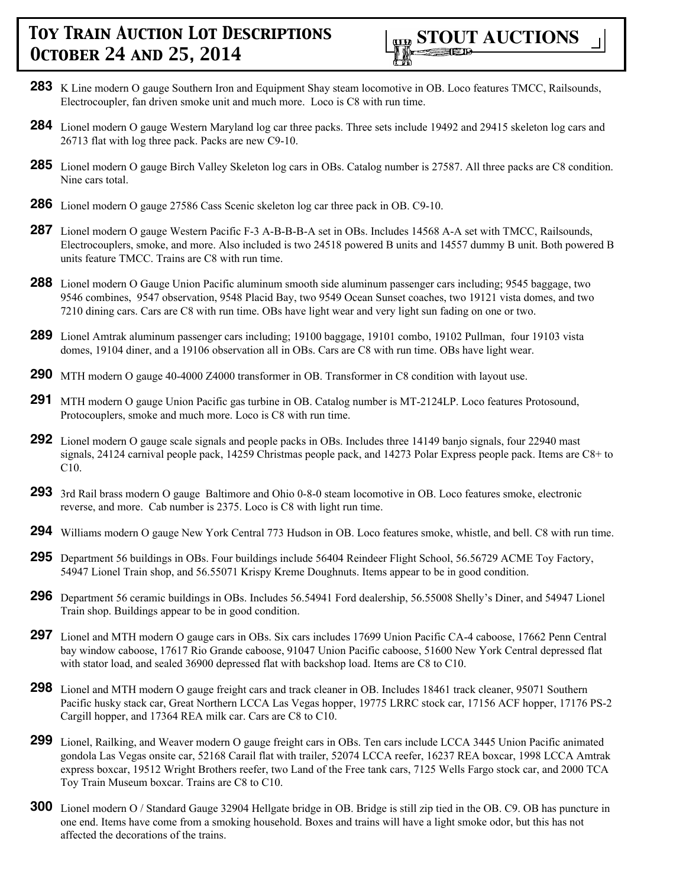

- **283** K Line modern O gauge Southern Iron and Equipment Shay steam locomotive in OB. Loco features TMCC, Railsounds, Electrocoupler, fan driven smoke unit and much more. Loco is C8 with run time.
- **284** Lionel modern O gauge Western Maryland log car three packs. Three sets include 19492 and 29415 skeleton log cars and 26713 flat with log three pack. Packs are new C9-10.
- **285** Lionel modern O gauge Birch Valley Skeleton log cars in OBs. Catalog number is 27587. All three packs are C8 condition. Nine cars total.
- **286** Lionel modern O gauge 27586 Cass Scenic skeleton log car three pack in OB. C9-10.
- **287** Lionel modern O gauge Western Pacific F-3 A-B-B-B-A set in OBs. Includes 14568 A-A set with TMCC, Railsounds, Electrocouplers, smoke, and more. Also included is two 24518 powered B units and 14557 dummy B unit. Both powered B units feature TMCC. Trains are C8 with run time.
- **288** Lionel modern O Gauge Union Pacific aluminum smooth side aluminum passenger cars including; 9545 baggage, two 9546 combines, 9547 observation, 9548 Placid Bay, two 9549 Ocean Sunset coaches, two 19121 vista domes, and two 7210 dining cars. Cars are C8 with run time. OBs have light wear and very light sun fading on one or two.
- **289** Lionel Amtrak aluminum passenger cars including; 19100 baggage, 19101 combo, 19102 Pullman, four 19103 vista domes, 19104 diner, and a 19106 observation all in OBs. Cars are C8 with run time. OBs have light wear.
- **290** MTH modern O gauge 40-4000 Z4000 transformer in OB. Transformer in C8 condition with layout use.
- **291** MTH modern O gauge Union Pacific gas turbine in OB. Catalog number is MT-2124LP. Loco features Protosound, Protocouplers, smoke and much more. Loco is C8 with run time.
- **292** Lionel modern O gauge scale signals and people packs in OBs. Includes three 14149 banjo signals, four 22940 mast signals, 24124 carnival people pack, 14259 Christmas people pack, and 14273 Polar Express people pack. Items are C8+ to C10.
- **293** 3rd Rail brass modern O gauge Baltimore and Ohio 0-8-0 steam locomotive in OB. Loco features smoke, electronic reverse, and more. Cab number is 2375. Loco is C8 with light run time.
- **294** Williams modern O gauge New York Central 773 Hudson in OB. Loco features smoke, whistle, and bell. C8 with run time.
- **295** Department 56 buildings in OBs. Four buildings include 56404 Reindeer Flight School, 56.56729 ACME Toy Factory, 54947 Lionel Train shop, and 56.55071 Krispy Kreme Doughnuts. Items appear to be in good condition.
- **296** Department 56 ceramic buildings in OBs. Includes 56.54941 Ford dealership, 56.55008 Shelly's Diner, and 54947 Lionel Train shop. Buildings appear to be in good condition.
- **297** Lionel and MTH modern O gauge cars in OBs. Six cars includes 17699 Union Pacific CA-4 caboose, 17662 Penn Central bay window caboose, 17617 Rio Grande caboose, 91047 Union Pacific caboose, 51600 New York Central depressed flat with stator load, and sealed 36900 depressed flat with backshop load. Items are C8 to C10.
- **298** Lionel and MTH modern O gauge freight cars and track cleaner in OB. Includes 18461 track cleaner, 95071 Southern Pacific husky stack car, Great Northern LCCA Las Vegas hopper, 19775 LRRC stock car, 17156 ACF hopper, 17176 PS-2 Cargill hopper, and 17364 REA milk car. Cars are C8 to C10.
- **299** Lionel, Railking, and Weaver modern O gauge freight cars in OBs. Ten cars include LCCA 3445 Union Pacific animated gondola Las Vegas onsite car, 52168 Carail flat with trailer, 52074 LCCA reefer, 16237 REA boxcar, 1998 LCCA Amtrak express boxcar, 19512 Wright Brothers reefer, two Land of the Free tank cars, 7125 Wells Fargo stock car, and 2000 TCA Toy Train Museum boxcar. Trains are C8 to C10.
- **300** Lionel modern O / Standard Gauge 32904 Hellgate bridge in OB. Bridge is still zip tied in the OB. C9. OB has puncture in one end. Items have come from a smoking household. Boxes and trains will have a light smoke odor, but this has not affected the decorations of the trains.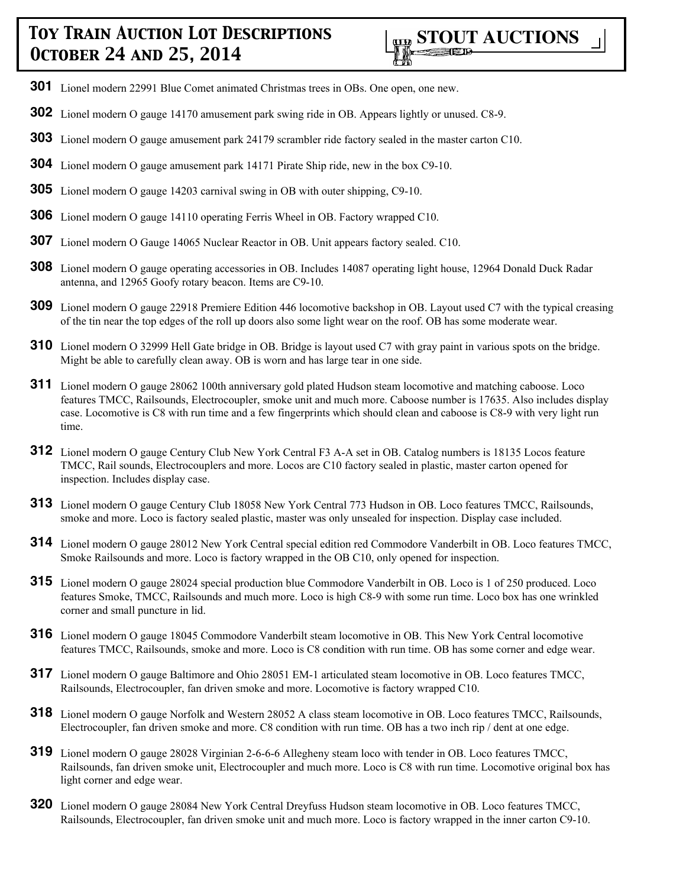- **301** Lionel modern 22991 Blue Comet animated Christmas trees in OBs. One open, one new.
- **302** Lionel modern O gauge 14170 amusement park swing ride in OB. Appears lightly or unused. C8-9.
- **303** Lionel modern O gauge amusement park 24179 scrambler ride factory sealed in the master carton C10.
- **304** Lionel modern O gauge amusement park 14171 Pirate Ship ride, new in the box C9-10.
- **305** Lionel modern O gauge 14203 carnival swing in OB with outer shipping, C9-10.
- **306** Lionel modern O gauge 14110 operating Ferris Wheel in OB. Factory wrapped C10.
- **307** Lionel modern O Gauge 14065 Nuclear Reactor in OB. Unit appears factory sealed. C10.
- **308** Lionel modern O gauge operating accessories in OB. Includes 14087 operating light house, 12964 Donald Duck Radar antenna, and 12965 Goofy rotary beacon. Items are C9-10.
- **309** Lionel modern O gauge 22918 Premiere Edition 446 locomotive backshop in OB. Layout used C7 with the typical creasing of the tin near the top edges of the roll up doors also some light wear on the roof. OB has some moderate wear.
- **310** Lionel modern O 32999 Hell Gate bridge in OB. Bridge is layout used C7 with gray paint in various spots on the bridge. Might be able to carefully clean away. OB is worn and has large tear in one side.
- **311** Lionel modern O gauge 28062 100th anniversary gold plated Hudson steam locomotive and matching caboose. Loco features TMCC, Railsounds, Electrocoupler, smoke unit and much more. Caboose number is 17635. Also includes display case. Locomotive is C8 with run time and a few fingerprints which should clean and caboose is C8-9 with very light run time.
- **312** Lionel modern O gauge Century Club New York Central F3 A-A set in OB. Catalog numbers is 18135 Locos feature TMCC, Rail sounds, Electrocouplers and more. Locos are C10 factory sealed in plastic, master carton opened for inspection. Includes display case.
- **313** Lionel modern O gauge Century Club 18058 New York Central 773 Hudson in OB. Loco features TMCC, Railsounds, smoke and more. Loco is factory sealed plastic, master was only unsealed for inspection. Display case included.
- **314** Lionel modern O gauge 28012 New York Central special edition red Commodore Vanderbilt in OB. Loco features TMCC, Smoke Railsounds and more. Loco is factory wrapped in the OB C10, only opened for inspection.
- **315** Lionel modern O gauge 28024 special production blue Commodore Vanderbilt in OB. Loco is 1 of 250 produced. Loco features Smoke, TMCC, Railsounds and much more. Loco is high C8-9 with some run time. Loco box has one wrinkled corner and small puncture in lid.
- **316** Lionel modern O gauge 18045 Commodore Vanderbilt steam locomotive in OB. This New York Central locomotive features TMCC, Railsounds, smoke and more. Loco is C8 condition with run time. OB has some corner and edge wear.
- **317** Lionel modern O gauge Baltimore and Ohio 28051 EM-1 articulated steam locomotive in OB. Loco features TMCC, Railsounds, Electrocoupler, fan driven smoke and more. Locomotive is factory wrapped C10.
- **318** Lionel modern O gauge Norfolk and Western 28052 A class steam locomotive in OB. Loco features TMCC, Railsounds, Electrocoupler, fan driven smoke and more. C8 condition with run time. OB has a two inch rip / dent at one edge.
- **319** Lionel modern O gauge 28028 Virginian 2-6-6-6 Allegheny steam loco with tender in OB. Loco features TMCC, Railsounds, fan driven smoke unit, Electrocoupler and much more. Loco is C8 with run time. Locomotive original box has light corner and edge wear.
- **320** Lionel modern O gauge 28084 New York Central Dreyfuss Hudson steam locomotive in OB. Loco features TMCC, Railsounds, Electrocoupler, fan driven smoke unit and much more. Loco is factory wrapped in the inner carton C9-10.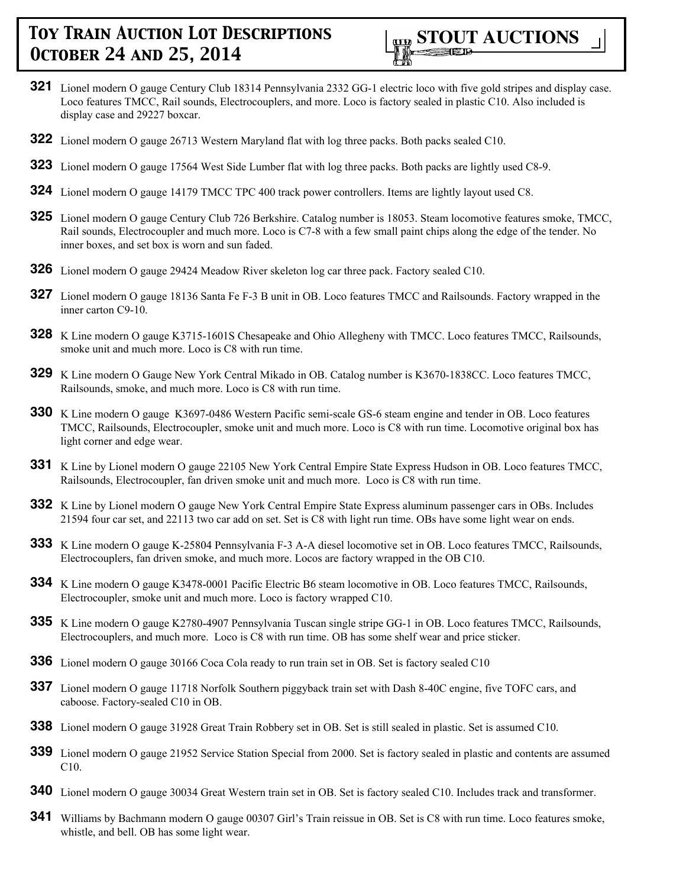

- **321** Lionel modern O gauge Century Club 18314 Pennsylvania 2332 GG-1 electric loco with five gold stripes and display case. Loco features TMCC, Rail sounds, Electrocouplers, and more. Loco is factory sealed in plastic C10. Also included is display case and 29227 boxcar.
- **322** Lionel modern O gauge 26713 Western Maryland flat with log three packs. Both packs sealed C10.
- **323** Lionel modern O gauge 17564 West Side Lumber flat with log three packs. Both packs are lightly used C8-9.
- **324** Lionel modern O gauge 14179 TMCC TPC 400 track power controllers. Items are lightly layout used C8.
- **325** Lionel modern O gauge Century Club 726 Berkshire. Catalog number is 18053. Steam locomotive features smoke, TMCC, Rail sounds, Electrocoupler and much more. Loco is C7-8 with a few small paint chips along the edge of the tender. No inner boxes, and set box is worn and sun faded.
- **326** Lionel modern O gauge 29424 Meadow River skeleton log car three pack. Factory sealed C10.
- **327** Lionel modern O gauge 18136 Santa Fe F-3 B unit in OB. Loco features TMCC and Railsounds. Factory wrapped in the inner carton C9-10.
- **328** K Line modern O gauge K3715-1601S Chesapeake and Ohio Allegheny with TMCC. Loco features TMCC, Railsounds, smoke unit and much more. Loco is C8 with run time.
- **329** K Line modern O Gauge New York Central Mikado in OB. Catalog number is K3670-1838CC. Loco features TMCC, Railsounds, smoke, and much more. Loco is C8 with run time.
- **330** K Line modern O gauge K3697-0486 Western Pacific semi-scale GS-6 steam engine and tender in OB. Loco features TMCC, Railsounds, Electrocoupler, smoke unit and much more. Loco is C8 with run time. Locomotive original box has light corner and edge wear.
- **331** K Line by Lionel modern O gauge 22105 New York Central Empire State Express Hudson in OB. Loco features TMCC, Railsounds, Electrocoupler, fan driven smoke unit and much more. Loco is C8 with run time.
- **332** K Line by Lionel modern O gauge New York Central Empire State Express aluminum passenger cars in OBs. Includes 21594 four car set, and 22113 two car add on set. Set is C8 with light run time. OBs have some light wear on ends.
- **333** K Line modern O gauge K-25804 Pennsylvania F-3 A-A diesel locomotive set in OB. Loco features TMCC, Railsounds, Electrocouplers, fan driven smoke, and much more. Locos are factory wrapped in the OB C10.
- **334** K Line modern O gauge K3478-0001 Pacific Electric B6 steam locomotive in OB. Loco features TMCC, Railsounds, Electrocoupler, smoke unit and much more. Loco is factory wrapped C10.
- **335** K Line modern O gauge K2780-4907 Pennsylvania Tuscan single stripe GG-1 in OB. Loco features TMCC, Railsounds, Electrocouplers, and much more. Loco is C8 with run time. OB has some shelf wear and price sticker.
- **336** Lionel modern O gauge 30166 Coca Cola ready to run train set in OB. Set is factory sealed C10
- **337** Lionel modern O gauge 11718 Norfolk Southern piggyback train set with Dash 8-40C engine, five TOFC cars, and caboose. Factory-sealed C10 in OB.
- **338** Lionel modern O gauge 31928 Great Train Robbery set in OB. Set is still sealed in plastic. Set is assumed C10.
- **339** Lionel modern O gauge 21952 Service Station Special from 2000. Set is factory sealed in plastic and contents are assumed C10.
- **340** Lionel modern O gauge 30034 Great Western train set in OB. Set is factory sealed C10. Includes track and transformer.
- **341** Williams by Bachmann modern O gauge 00307 Girl's Train reissue in OB. Set is C8 with run time. Loco features smoke, whistle, and bell. OB has some light wear.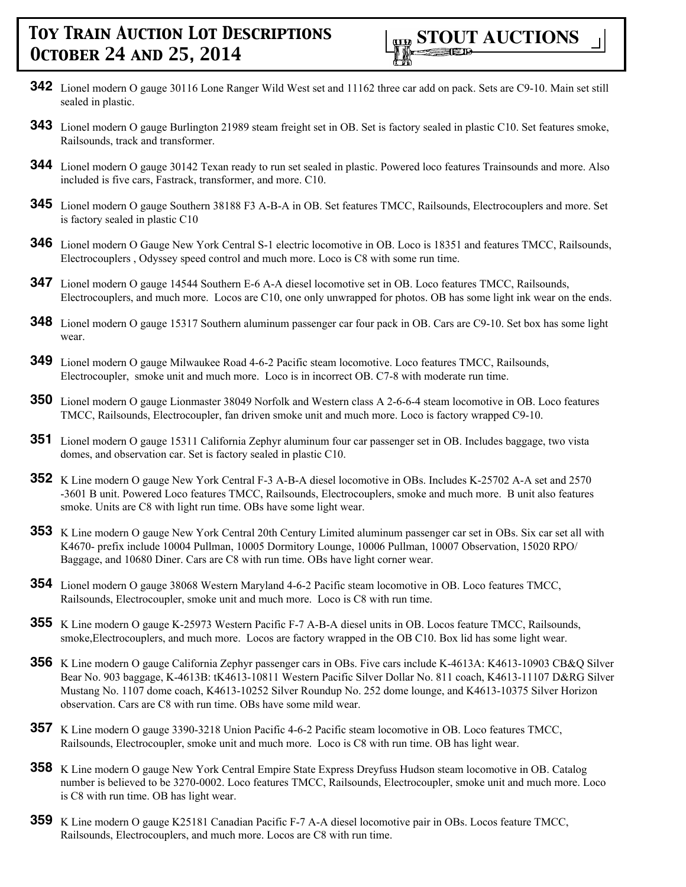- **342** Lionel modern O gauge 30116 Lone Ranger Wild West set and 11162 three car add on pack. Sets are C9-10. Main set still sealed in plastic.
- **343** Lionel modern O gauge Burlington 21989 steam freight set in OB. Set is factory sealed in plastic C10. Set features smoke, Railsounds, track and transformer.
- **344** Lionel modern O gauge 30142 Texan ready to run set sealed in plastic. Powered loco features Trainsounds and more. Also included is five cars, Fastrack, transformer, and more. C10.
- **345** Lionel modern O gauge Southern 38188 F3 A-B-A in OB. Set features TMCC, Railsounds, Electrocouplers and more. Set is factory sealed in plastic C10
- **346** Lionel modern O Gauge New York Central S-1 electric locomotive in OB. Loco is 18351 and features TMCC, Railsounds, Electrocouplers , Odyssey speed control and much more. Loco is C8 with some run time.
- **347** Lionel modern O gauge 14544 Southern E-6 A-A diesel locomotive set in OB. Loco features TMCC, Railsounds, Electrocouplers, and much more. Locos are C10, one only unwrapped for photos. OB has some light ink wear on the ends.
- **348** Lionel modern O gauge 15317 Southern aluminum passenger car four pack in OB. Cars are C9-10. Set box has some light wear.
- **349** Lionel modern O gauge Milwaukee Road 4-6-2 Pacific steam locomotive. Loco features TMCC, Railsounds, Electrocoupler, smoke unit and much more. Loco is in incorrect OB. C7-8 with moderate run time.
- **350** Lionel modern O gauge Lionmaster 38049 Norfolk and Western class A 2-6-6-4 steam locomotive in OB. Loco features TMCC, Railsounds, Electrocoupler, fan driven smoke unit and much more. Loco is factory wrapped C9-10.
- **351** Lionel modern O gauge 15311 California Zephyr aluminum four car passenger set in OB. Includes baggage, two vista domes, and observation car. Set is factory sealed in plastic C10.
- **352** K Line modern O gauge New York Central F-3 A-B-A diesel locomotive in OBs. Includes K-25702 A-A set and 2570 -3601 B unit. Powered Loco features TMCC, Railsounds, Electrocouplers, smoke and much more. B unit also features smoke. Units are C8 with light run time. OBs have some light wear.
- **353** K Line modern O gauge New York Central 20th Century Limited aluminum passenger car set in OBs. Six car set all with K4670- prefix include 10004 Pullman, 10005 Dormitory Lounge, 10006 Pullman, 10007 Observation, 15020 RPO/ Baggage, and 10680 Diner. Cars are C8 with run time. OBs have light corner wear.
- **354** Lionel modern O gauge 38068 Western Maryland 4-6-2 Pacific steam locomotive in OB. Loco features TMCC, Railsounds, Electrocoupler, smoke unit and much more. Loco is C8 with run time.
- **355** K Line modern O gauge K-25973 Western Pacific F-7 A-B-A diesel units in OB. Locos feature TMCC, Railsounds, smoke,Electrocouplers, and much more. Locos are factory wrapped in the OB C10. Box lid has some light wear.
- **356** K Line modern O gauge California Zephyr passenger cars in OBs. Five cars include K-4613A: K4613-10903 CB&Q Silver Bear No. 903 baggage, K-4613B: tK4613-10811 Western Pacific Silver Dollar No. 811 coach, K4613-11107 D&RG Silver Mustang No. 1107 dome coach, K4613-10252 Silver Roundup No. 252 dome lounge, and K4613-10375 Silver Horizon observation. Cars are C8 with run time. OBs have some mild wear.
- **357** K Line modern O gauge 3390-3218 Union Pacific 4-6-2 Pacific steam locomotive in OB. Loco features TMCC, Railsounds, Electrocoupler, smoke unit and much more. Loco is C8 with run time. OB has light wear.
- **358** K Line modern O gauge New York Central Empire State Express Dreyfuss Hudson steam locomotive in OB. Catalog number is believed to be 3270-0002. Loco features TMCC, Railsounds, Electrocoupler, smoke unit and much more. Loco is C8 with run time. OB has light wear.
- **359** K Line modern O gauge K25181 Canadian Pacific F-7 A-A diesel locomotive pair in OBs. Locos feature TMCC, Railsounds, Electrocouplers, and much more. Locos are C8 with run time.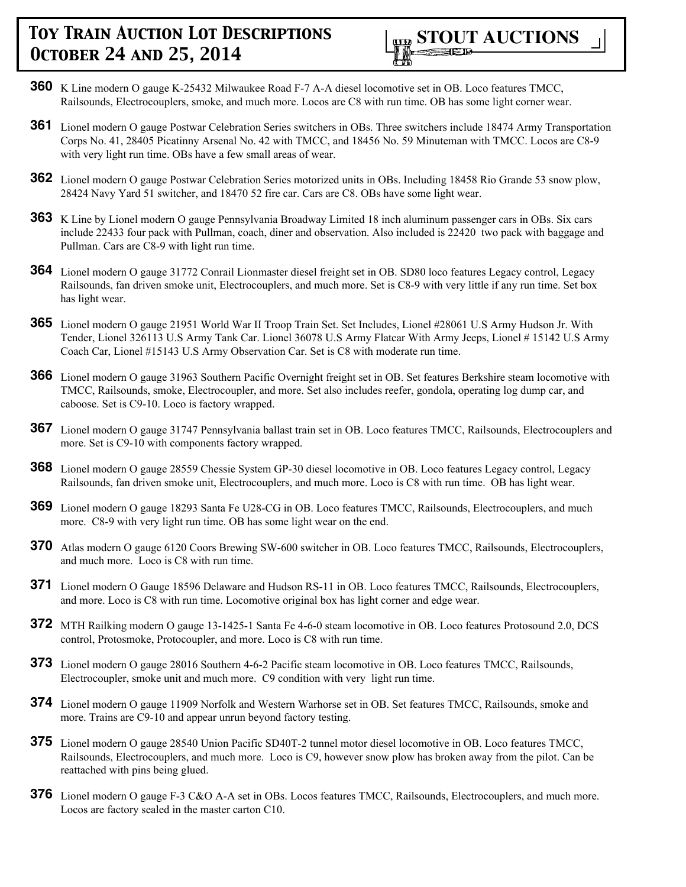

- **360** K Line modern O gauge K-25432 Milwaukee Road F-7 A-A diesel locomotive set in OB. Loco features TMCC, Railsounds, Electrocouplers, smoke, and much more. Locos are C8 with run time. OB has some light corner wear.
- **361** Lionel modern O gauge Postwar Celebration Series switchers in OBs. Three switchers include 18474 Army Transportation Corps No. 41, 28405 Picatinny Arsenal No. 42 with TMCC, and 18456 No. 59 Minuteman with TMCC. Locos are C8-9 with very light run time. OBs have a few small areas of wear.
- **362** Lionel modern O gauge Postwar Celebration Series motorized units in OBs. Including 18458 Rio Grande 53 snow plow, 28424 Navy Yard 51 switcher, and 18470 52 fire car. Cars are C8. OBs have some light wear.
- **363** K Line by Lionel modern O gauge Pennsylvania Broadway Limited 18 inch aluminum passenger cars in OBs. Six cars include 22433 four pack with Pullman, coach, diner and observation. Also included is 22420 two pack with baggage and Pullman. Cars are C8-9 with light run time.
- **364** Lionel modern O gauge 31772 Conrail Lionmaster diesel freight set in OB. SD80 loco features Legacy control, Legacy Railsounds, fan driven smoke unit, Electrocouplers, and much more. Set is C8-9 with very little if any run time. Set box has light wear.
- **365** Lionel modern O gauge 21951 World War II Troop Train Set. Set Includes, Lionel #28061 U.S Army Hudson Jr. With Tender, Lionel 326113 U.S Army Tank Car. Lionel 36078 U.S Army Flatcar With Army Jeeps, Lionel # 15142 U.S Army Coach Car, Lionel #15143 U.S Army Observation Car. Set is C8 with moderate run time.
- **366** Lionel modern O gauge 31963 Southern Pacific Overnight freight set in OB. Set features Berkshire steam locomotive with TMCC, Railsounds, smoke, Electrocoupler, and more. Set also includes reefer, gondola, operating log dump car, and caboose. Set is C9-10. Loco is factory wrapped.
- **367** Lionel modern O gauge 31747 Pennsylvania ballast train set in OB. Loco features TMCC, Railsounds, Electrocouplers and more. Set is C9-10 with components factory wrapped.
- **368** Lionel modern O gauge 28559 Chessie System GP-30 diesel locomotive in OB. Loco features Legacy control, Legacy Railsounds, fan driven smoke unit, Electrocouplers, and much more. Loco is C8 with run time. OB has light wear.
- **369** Lionel modern O gauge 18293 Santa Fe U28-CG in OB. Loco features TMCC, Railsounds, Electrocouplers, and much more. C8-9 with very light run time. OB has some light wear on the end.
- **370** Atlas modern O gauge 6120 Coors Brewing SW-600 switcher in OB. Loco features TMCC, Railsounds, Electrocouplers, and much more. Loco is C8 with run time.
- **371** Lionel modern O Gauge 18596 Delaware and Hudson RS-11 in OB. Loco features TMCC, Railsounds, Electrocouplers, and more. Loco is C8 with run time. Locomotive original box has light corner and edge wear.
- **372** MTH Railking modern O gauge 13-1425-1 Santa Fe 4-6-0 steam locomotive in OB. Loco features Protosound 2.0, DCS control, Protosmoke, Protocoupler, and more. Loco is C8 with run time.
- **373** Lionel modern O gauge 28016 Southern 4-6-2 Pacific steam locomotive in OB. Loco features TMCC, Railsounds, Electrocoupler, smoke unit and much more. C9 condition with very light run time.
- **374** Lionel modern O gauge 11909 Norfolk and Western Warhorse set in OB. Set features TMCC, Railsounds, smoke and more. Trains are C9-10 and appear unrun beyond factory testing.
- **375** Lionel modern O gauge 28540 Union Pacific SD40T-2 tunnel motor diesel locomotive in OB. Loco features TMCC, Railsounds, Electrocouplers, and much more. Loco is C9, however snow plow has broken away from the pilot. Can be reattached with pins being glued.
- **376** Lionel modern O gauge F-3 C&O A-A set in OBs. Locos features TMCC, Railsounds, Electrocouplers, and much more. Locos are factory sealed in the master carton C10.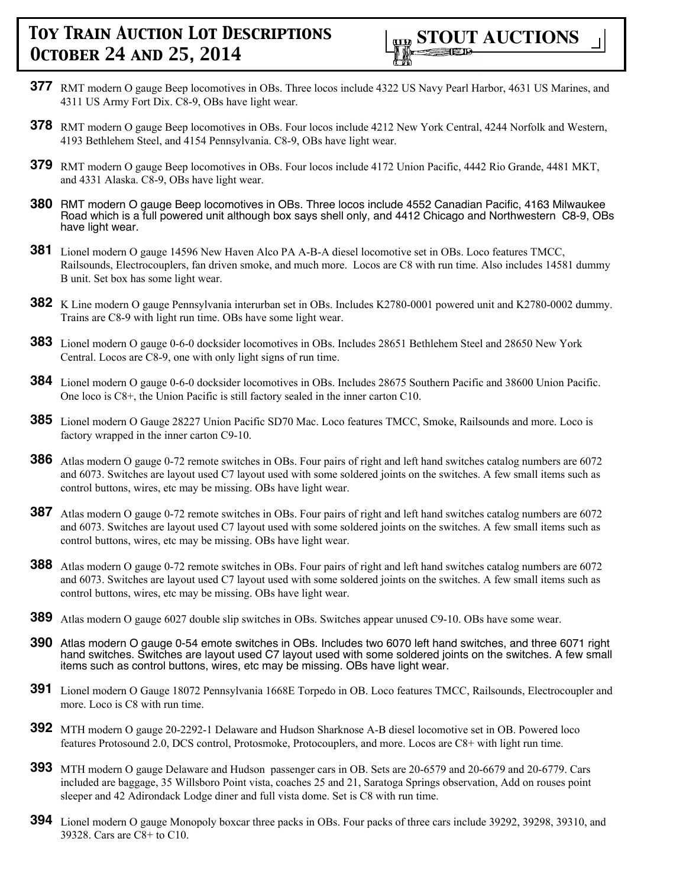- **377** RMT modern O gauge Beep locomotives in OBs. Three locos include 4322 US Navy Pearl Harbor, 4631 US Marines, and 4311 US Army Fort Dix. C8-9, OBs have light wear.
- **378** RMT modern O gauge Beep locomotives in OBs. Four locos include 4212 New York Central, 4244 Norfolk and Western, 4193 Bethlehem Steel, and 4154 Pennsylvania. C8-9, OBs have light wear.
- **379** RMT modern O gauge Beep locomotives in OBs. Four locos include 4172 Union Pacific, 4442 Rio Grande, 4481 MKT, and 4331 Alaska. C8-9, OBs have light wear.
- **380** RMT modern O gauge Beep locomotives in OBs. Three locos include 4552 Canadian Pacific, 4163 Milwaukee Road which is a full powered unit although box says shell only, and 4412 Chicago and Northwestern C8-9, OBs have light wear.
- **381** Lionel modern O gauge 14596 New Haven Alco PA A-B-A diesel locomotive set in OBs. Loco features TMCC, Railsounds, Electrocouplers, fan driven smoke, and much more. Locos are C8 with run time. Also includes 14581 dummy B unit. Set box has some light wear.
- **382** K Line modern O gauge Pennsylvania interurban set in OBs. Includes K2780-0001 powered unit and K2780-0002 dummy. Trains are C8-9 with light run time. OBs have some light wear.
- **383** Lionel modern O gauge 0-6-0 docksider locomotives in OBs. Includes 28651 Bethlehem Steel and 28650 New York Central. Locos are C8-9, one with only light signs of run time.
- **384** Lionel modern O gauge 0-6-0 docksider locomotives in OBs. Includes 28675 Southern Pacific and 38600 Union Pacific. One loco is C8+, the Union Pacific is still factory sealed in the inner carton C10.
- **385** Lionel modern O Gauge 28227 Union Pacific SD70 Mac. Loco features TMCC, Smoke, Railsounds and more. Loco is factory wrapped in the inner carton C9-10.
- **386** Atlas modern O gauge 0-72 remote switches in OBs. Four pairs of right and left hand switches catalog numbers are 6072 and 6073. Switches are layout used C7 layout used with some soldered joints on the switches. A few small items such as control buttons, wires, etc may be missing. OBs have light wear.
- **387** Atlas modern O gauge 0-72 remote switches in OBs. Four pairs of right and left hand switches catalog numbers are 6072 and 6073. Switches are layout used C7 layout used with some soldered joints on the switches. A few small items such as control buttons, wires, etc may be missing. OBs have light wear.
- **388** Atlas modern O gauge 0-72 remote switches in OBs. Four pairs of right and left hand switches catalog numbers are 6072 and 6073. Switches are layout used C7 layout used with some soldered joints on the switches. A few small items such as control buttons, wires, etc may be missing. OBs have light wear.
- **389** Atlas modern O gauge 6027 double slip switches in OBs. Switches appear unused C9-10. OBs have some wear.
- **390** Atlas modern O gauge 0-54 emote switches in OBs. Includes two 6070 left hand switches, and three 6071 right hand switches. Switches are layout used C7 layout used with some soldered joints on the switches. A few small items such as control buttons, wires, etc may be missing. OBs have light wear.
- **391** Lionel modern O Gauge 18072 Pennsylvania 1668E Torpedo in OB. Loco features TMCC, Railsounds, Electrocoupler and more. Loco is C8 with run time.
- **392** MTH modern O gauge 20-2292-1 Delaware and Hudson Sharknose A-B diesel locomotive set in OB. Powered loco features Protosound 2.0, DCS control, Protosmoke, Protocouplers, and more. Locos are C8+ with light run time.
- **393** MTH modern O gauge Delaware and Hudson passenger cars in OB. Sets are 20-6579 and 20-6679 and 20-6779. Cars included are baggage, 35 Willsboro Point vista, coaches 25 and 21, Saratoga Springs observation, Add on rouses point sleeper and 42 Adirondack Lodge diner and full vista dome. Set is C8 with run time.
- **394** Lionel modern O gauge Monopoly boxcar three packs in OBs. Four packs of three cars include 39292, 39298, 39310, and 39328. Cars are C8+ to C10.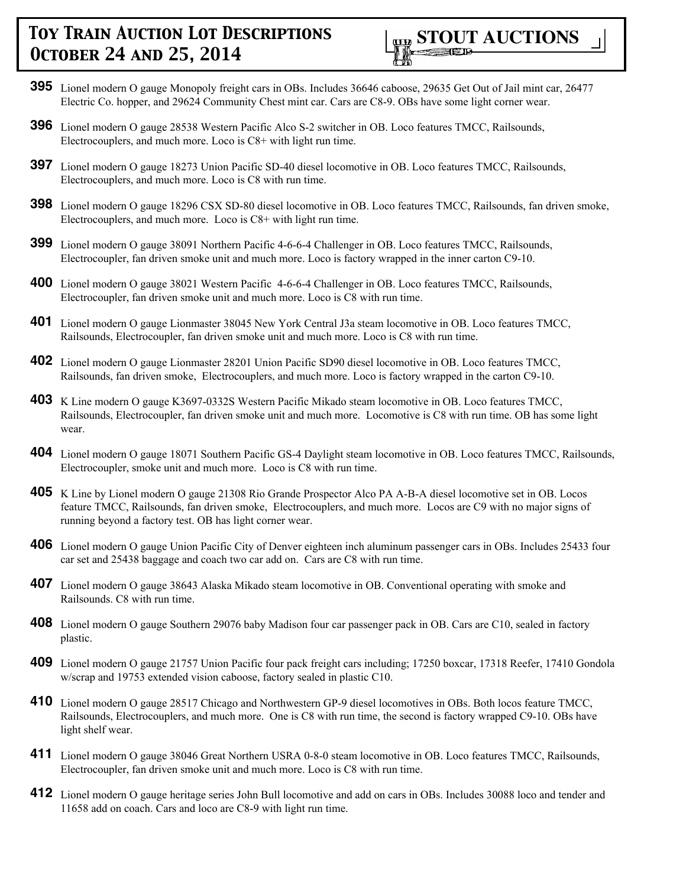

- **395** Lionel modern O gauge Monopoly freight cars in OBs. Includes 36646 caboose, 29635 Get Out of Jail mint car, 26477 Electric Co. hopper, and 29624 Community Chest mint car. Cars are C8-9. OBs have some light corner wear.
- **396** Lionel modern O gauge 28538 Western Pacific Alco S-2 switcher in OB. Loco features TMCC, Railsounds, Electrocouplers, and much more. Loco is C8+ with light run time.
- **397** Lionel modern O gauge 18273 Union Pacific SD-40 diesel locomotive in OB. Loco features TMCC, Railsounds, Electrocouplers, and much more. Loco is C8 with run time.
- **398** Lionel modern O gauge 18296 CSX SD-80 diesel locomotive in OB. Loco features TMCC, Railsounds, fan driven smoke, Electrocouplers, and much more. Loco is C8+ with light run time.
- **399** Lionel modern O gauge 38091 Northern Pacific 4-6-6-4 Challenger in OB. Loco features TMCC, Railsounds, Electrocoupler, fan driven smoke unit and much more. Loco is factory wrapped in the inner carton C9-10.
- **400** Lionel modern O gauge 38021 Western Pacific 4-6-6-4 Challenger in OB. Loco features TMCC, Railsounds, Electrocoupler, fan driven smoke unit and much more. Loco is C8 with run time.
- **401** Lionel modern O gauge Lionmaster 38045 New York Central J3a steam locomotive in OB. Loco features TMCC, Railsounds, Electrocoupler, fan driven smoke unit and much more. Loco is C8 with run time.
- **402** Lionel modern O gauge Lionmaster 28201 Union Pacific SD90 diesel locomotive in OB. Loco features TMCC, Railsounds, fan driven smoke, Electrocouplers, and much more. Loco is factory wrapped in the carton C9-10.
- **403** K Line modern O gauge K3697-0332S Western Pacific Mikado steam locomotive in OB. Loco features TMCC, Railsounds, Electrocoupler, fan driven smoke unit and much more. Locomotive is C8 with run time. OB has some light wear.
- **404** Lionel modern O gauge 18071 Southern Pacific GS-4 Daylight steam locomotive in OB. Loco features TMCC, Railsounds, Electrocoupler, smoke unit and much more. Loco is C8 with run time.
- **405** K Line by Lionel modern O gauge 21308 Rio Grande Prospector Alco PA A-B-A diesel locomotive set in OB. Locos feature TMCC, Railsounds, fan driven smoke, Electrocouplers, and much more. Locos are C9 with no major signs of running beyond a factory test. OB has light corner wear.
- **406** Lionel modern O gauge Union Pacific City of Denver eighteen inch aluminum passenger cars in OBs. Includes 25433 four car set and 25438 baggage and coach two car add on. Cars are C8 with run time.
- **407** Lionel modern O gauge 38643 Alaska Mikado steam locomotive in OB. Conventional operating with smoke and Railsounds. C8 with run time.
- **408** Lionel modern O gauge Southern 29076 baby Madison four car passenger pack in OB. Cars are C10, sealed in factory plastic.
- **409** Lionel modern O gauge 21757 Union Pacific four pack freight cars including; 17250 boxcar, 17318 Reefer, 17410 Gondola w/scrap and 19753 extended vision caboose, factory sealed in plastic C10.
- **410** Lionel modern O gauge 28517 Chicago and Northwestern GP-9 diesel locomotives in OBs. Both locos feature TMCC, Railsounds, Electrocouplers, and much more. One is C8 with run time, the second is factory wrapped C9-10. OBs have light shelf wear.
- **411** Lionel modern O gauge 38046 Great Northern USRA 0-8-0 steam locomotive in OB. Loco features TMCC, Railsounds, Electrocoupler, fan driven smoke unit and much more. Loco is C8 with run time.
- **412** Lionel modern O gauge heritage series John Bull locomotive and add on cars in OBs. Includes 30088 loco and tender and 11658 add on coach. Cars and loco are C8-9 with light run time.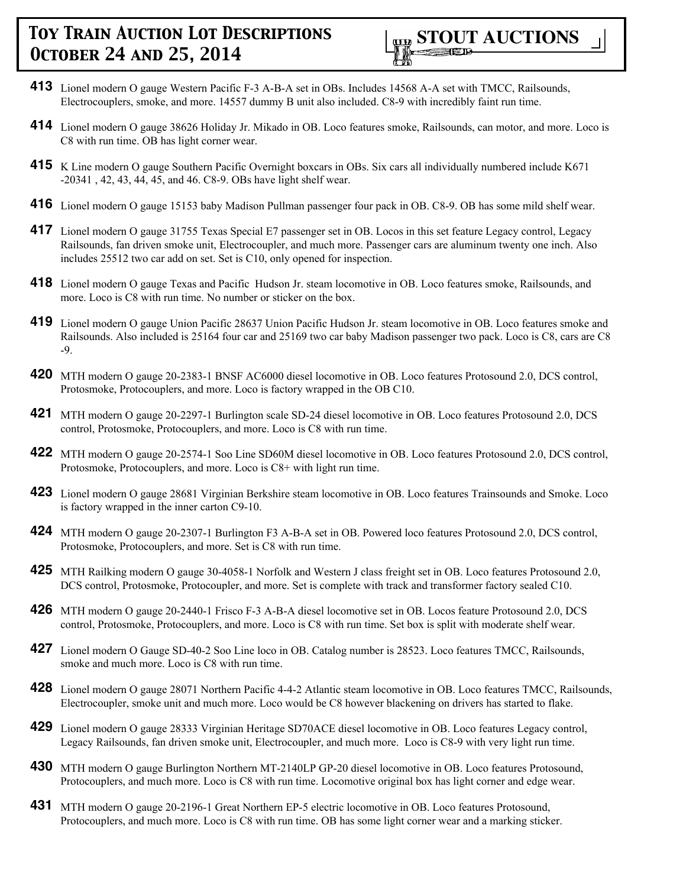

- **413** Lionel modern O gauge Western Pacific F-3 A-B-A set in OBs. Includes 14568 A-A set with TMCC, Railsounds, Electrocouplers, smoke, and more. 14557 dummy B unit also included. C8-9 with incredibly faint run time.
- **414** Lionel modern O gauge 38626 Holiday Jr. Mikado in OB. Loco features smoke, Railsounds, can motor, and more. Loco is C8 with run time. OB has light corner wear.
- **415** K Line modern O gauge Southern Pacific Overnight boxcars in OBs. Six cars all individually numbered include K671 -20341 , 42, 43, 44, 45, and 46. C8-9. OBs have light shelf wear.
- **416** Lionel modern O gauge 15153 baby Madison Pullman passenger four pack in OB. C8-9. OB has some mild shelf wear.
- **417** Lionel modern O gauge 31755 Texas Special E7 passenger set in OB. Locos in this set feature Legacy control, Legacy Railsounds, fan driven smoke unit, Electrocoupler, and much more. Passenger cars are aluminum twenty one inch. Also includes 25512 two car add on set. Set is C10, only opened for inspection.
- **418** Lionel modern O gauge Texas and Pacific Hudson Jr. steam locomotive in OB. Loco features smoke, Railsounds, and more. Loco is C8 with run time. No number or sticker on the box.
- **419** Lionel modern O gauge Union Pacific 28637 Union Pacific Hudson Jr. steam locomotive in OB. Loco features smoke and Railsounds. Also included is 25164 four car and 25169 two car baby Madison passenger two pack. Loco is C8, cars are C8 -9.
- **420** MTH modern O gauge 20-2383-1 BNSF AC6000 diesel locomotive in OB. Loco features Protosound 2.0, DCS control, Protosmoke, Protocouplers, and more. Loco is factory wrapped in the OB C10.
- **421** MTH modern O gauge 20-2297-1 Burlington scale SD-24 diesel locomotive in OB. Loco features Protosound 2.0, DCS control, Protosmoke, Protocouplers, and more. Loco is C8 with run time.
- **422** MTH modern O gauge 20-2574-1 Soo Line SD60M diesel locomotive in OB. Loco features Protosound 2.0, DCS control, Protosmoke, Protocouplers, and more. Loco is C8+ with light run time.
- **423** Lionel modern O gauge 28681 Virginian Berkshire steam locomotive in OB. Loco features Trainsounds and Smoke. Loco is factory wrapped in the inner carton C9-10.
- **424** MTH modern O gauge 20-2307-1 Burlington F3 A-B-A set in OB. Powered loco features Protosound 2.0, DCS control, Protosmoke, Protocouplers, and more. Set is C8 with run time.
- **425** MTH Railking modern O gauge 30-4058-1 Norfolk and Western J class freight set in OB. Loco features Protosound 2.0, DCS control, Protosmoke, Protocoupler, and more. Set is complete with track and transformer factory sealed C10.
- **426** MTH modern O gauge 20-2440-1 Frisco F-3 A-B-A diesel locomotive set in OB. Locos feature Protosound 2.0, DCS control, Protosmoke, Protocouplers, and more. Loco is C8 with run time. Set box is split with moderate shelf wear.
- **427** Lionel modern O Gauge SD-40-2 Soo Line loco in OB. Catalog number is 28523. Loco features TMCC, Railsounds, smoke and much more. Loco is C8 with run time.
- **428** Lionel modern O gauge 28071 Northern Pacific 4-4-2 Atlantic steam locomotive in OB. Loco features TMCC, Railsounds, Electrocoupler, smoke unit and much more. Loco would be C8 however blackening on drivers has started to flake.
- **429** Lionel modern O gauge 28333 Virginian Heritage SD70ACE diesel locomotive in OB. Loco features Legacy control, Legacy Railsounds, fan driven smoke unit, Electrocoupler, and much more. Loco is C8-9 with very light run time.
- **430** MTH modern O gauge Burlington Northern MT-2140LP GP-20 diesel locomotive in OB. Loco features Protosound, Protocouplers, and much more. Loco is C8 with run time. Locomotive original box has light corner and edge wear.
- **431** MTH modern O gauge 20-2196-1 Great Northern EP-5 electric locomotive in OB. Loco features Protosound, Protocouplers, and much more. Loco is C8 with run time. OB has some light corner wear and a marking sticker.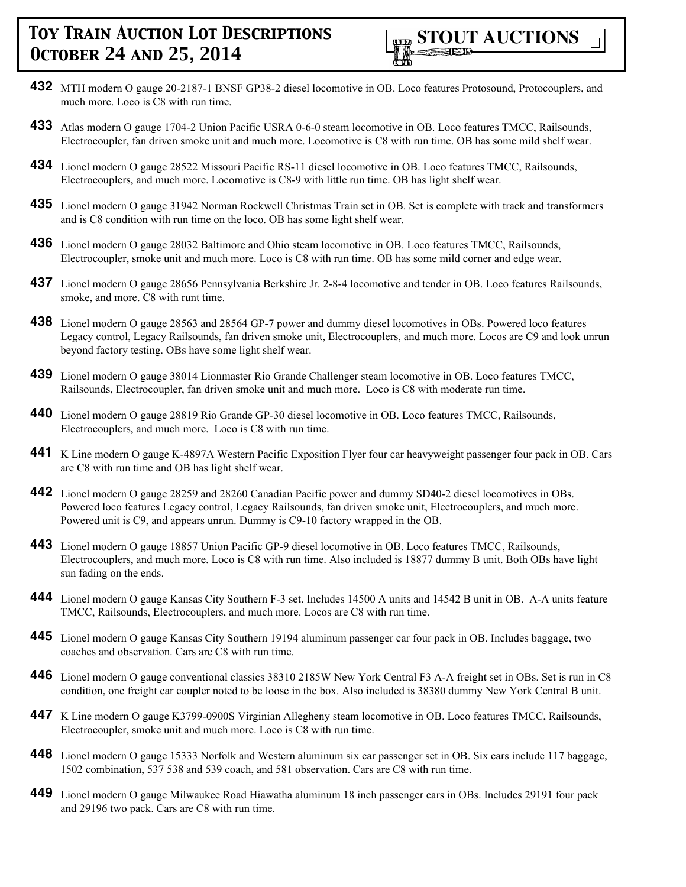- **432** MTH modern O gauge 20-2187-1 BNSF GP38-2 diesel locomotive in OB. Loco features Protosound, Protocouplers, and much more. Loco is C8 with run time.
- **433** Atlas modern O gauge 1704-2 Union Pacific USRA 0-6-0 steam locomotive in OB. Loco features TMCC, Railsounds, Electrocoupler, fan driven smoke unit and much more. Locomotive is C8 with run time. OB has some mild shelf wear.
- **434** Lionel modern O gauge 28522 Missouri Pacific RS-11 diesel locomotive in OB. Loco features TMCC, Railsounds, Electrocouplers, and much more. Locomotive is C8-9 with little run time. OB has light shelf wear.
- **435** Lionel modern O gauge 31942 Norman Rockwell Christmas Train set in OB. Set is complete with track and transformers and is C8 condition with run time on the loco. OB has some light shelf wear.
- **436** Lionel modern O gauge 28032 Baltimore and Ohio steam locomotive in OB. Loco features TMCC, Railsounds, Electrocoupler, smoke unit and much more. Loco is C8 with run time. OB has some mild corner and edge wear.
- **437** Lionel modern O gauge 28656 Pennsylvania Berkshire Jr. 2-8-4 locomotive and tender in OB. Loco features Railsounds, smoke, and more. C8 with runt time.
- **438** Lionel modern O gauge 28563 and 28564 GP-7 power and dummy diesel locomotives in OBs. Powered loco features Legacy control, Legacy Railsounds, fan driven smoke unit, Electrocouplers, and much more. Locos are C9 and look unrun beyond factory testing. OBs have some light shelf wear.
- **439** Lionel modern O gauge 38014 Lionmaster Rio Grande Challenger steam locomotive in OB. Loco features TMCC, Railsounds, Electrocoupler, fan driven smoke unit and much more. Loco is C8 with moderate run time.
- **440** Lionel modern O gauge 28819 Rio Grande GP-30 diesel locomotive in OB. Loco features TMCC, Railsounds, Electrocouplers, and much more. Loco is C8 with run time.
- **441** K Line modern O gauge K-4897A Western Pacific Exposition Flyer four car heavyweight passenger four pack in OB. Cars are C8 with run time and OB has light shelf wear.
- **442** Lionel modern O gauge 28259 and 28260 Canadian Pacific power and dummy SD40-2 diesel locomotives in OBs. Powered loco features Legacy control, Legacy Railsounds, fan driven smoke unit, Electrocouplers, and much more. Powered unit is C9, and appears unrun. Dummy is C9-10 factory wrapped in the OB.
- **443** Lionel modern O gauge 18857 Union Pacific GP-9 diesel locomotive in OB. Loco features TMCC, Railsounds, Electrocouplers, and much more. Loco is C8 with run time. Also included is 18877 dummy B unit. Both OBs have light sun fading on the ends.
- **444** Lionel modern O gauge Kansas City Southern F-3 set. Includes 14500 A units and 14542 B unit in OB. A-A units feature TMCC, Railsounds, Electrocouplers, and much more. Locos are C8 with run time.
- **445** Lionel modern O gauge Kansas City Southern 19194 aluminum passenger car four pack in OB. Includes baggage, two coaches and observation. Cars are C8 with run time.
- **446** Lionel modern O gauge conventional classics 38310 2185W New York Central F3 A-A freight set in OBs. Set is run in C8 condition, one freight car coupler noted to be loose in the box. Also included is 38380 dummy New York Central B unit.
- **447** K Line modern O gauge K3799-0900S Virginian Allegheny steam locomotive in OB. Loco features TMCC, Railsounds, Electrocoupler, smoke unit and much more. Loco is C8 with run time.
- **448** Lionel modern O gauge 15333 Norfolk and Western aluminum six car passenger set in OB. Six cars include 117 baggage, 1502 combination, 537 538 and 539 coach, and 581 observation. Cars are C8 with run time.
- **449** Lionel modern O gauge Milwaukee Road Hiawatha aluminum 18 inch passenger cars in OBs. Includes 29191 four pack and 29196 two pack. Cars are C8 with run time.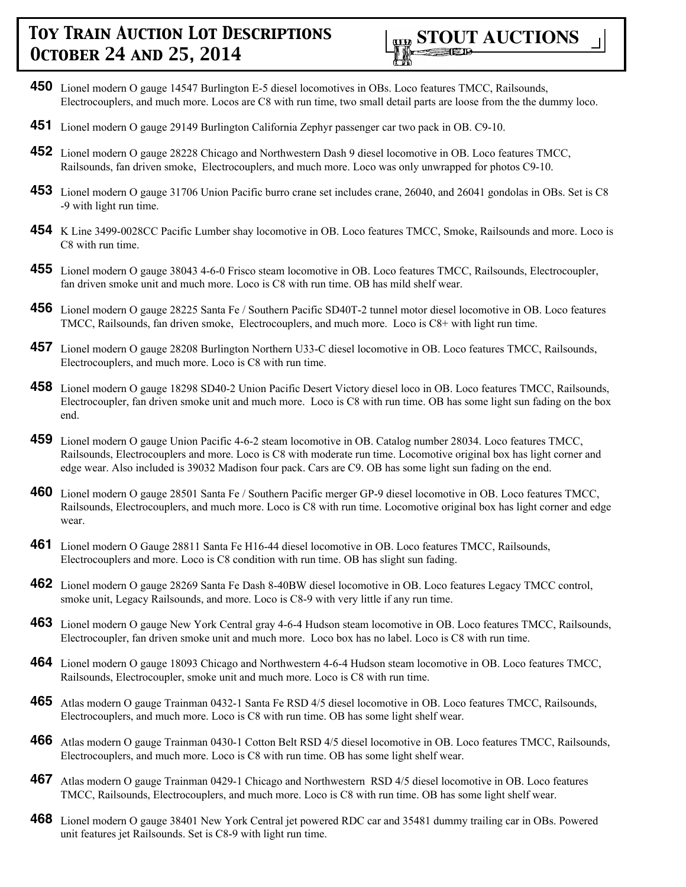

- **450** Lionel modern O gauge 14547 Burlington E-5 diesel locomotives in OBs. Loco features TMCC, Railsounds, Electrocouplers, and much more. Locos are C8 with run time, two small detail parts are loose from the the dummy loco.
- **451** Lionel modern O gauge 29149 Burlington California Zephyr passenger car two pack in OB. C9-10.
- **452** Lionel modern O gauge 28228 Chicago and Northwestern Dash 9 diesel locomotive in OB. Loco features TMCC, Railsounds, fan driven smoke, Electrocouplers, and much more. Loco was only unwrapped for photos C9-10.
- **453** Lionel modern O gauge 31706 Union Pacific burro crane set includes crane, 26040, and 26041 gondolas in OBs. Set is C8 -9 with light run time.
- **454** K Line 3499-0028CC Pacific Lumber shay locomotive in OB. Loco features TMCC, Smoke, Railsounds and more. Loco is C8 with run time.
- **455** Lionel modern O gauge 38043 4-6-0 Frisco steam locomotive in OB. Loco features TMCC, Railsounds, Electrocoupler, fan driven smoke unit and much more. Loco is C8 with run time. OB has mild shelf wear.
- **456** Lionel modern O gauge 28225 Santa Fe / Southern Pacific SD40T-2 tunnel motor diesel locomotive in OB. Loco features TMCC, Railsounds, fan driven smoke, Electrocouplers, and much more. Loco is C8+ with light run time.
- **457** Lionel modern O gauge 28208 Burlington Northern U33-C diesel locomotive in OB. Loco features TMCC, Railsounds, Electrocouplers, and much more. Loco is C8 with run time.
- **458** Lionel modern O gauge 18298 SD40-2 Union Pacific Desert Victory diesel loco in OB. Loco features TMCC, Railsounds, Electrocoupler, fan driven smoke unit and much more. Loco is C8 with run time. OB has some light sun fading on the box end.
- **459** Lionel modern O gauge Union Pacific 4-6-2 steam locomotive in OB. Catalog number 28034. Loco features TMCC, Railsounds, Electrocouplers and more. Loco is C8 with moderate run time. Locomotive original box has light corner and edge wear. Also included is 39032 Madison four pack. Cars are C9. OB has some light sun fading on the end.
- **460** Lionel modern O gauge 28501 Santa Fe / Southern Pacific merger GP-9 diesel locomotive in OB. Loco features TMCC, Railsounds, Electrocouplers, and much more. Loco is C8 with run time. Locomotive original box has light corner and edge wear.
- **461** Lionel modern O Gauge 28811 Santa Fe H16-44 diesel locomotive in OB. Loco features TMCC, Railsounds, Electrocouplers and more. Loco is C8 condition with run time. OB has slight sun fading.
- **462** Lionel modern O gauge 28269 Santa Fe Dash 8-40BW diesel locomotive in OB. Loco features Legacy TMCC control, smoke unit, Legacy Railsounds, and more. Loco is C8-9 with very little if any run time.
- **463** Lionel modern O gauge New York Central gray 4-6-4 Hudson steam locomotive in OB. Loco features TMCC, Railsounds, Electrocoupler, fan driven smoke unit and much more. Loco box has no label. Loco is C8 with run time.
- **464** Lionel modern O gauge 18093 Chicago and Northwestern 4-6-4 Hudson steam locomotive in OB. Loco features TMCC, Railsounds, Electrocoupler, smoke unit and much more. Loco is C8 with run time.
- **465** Atlas modern O gauge Trainman 0432-1 Santa Fe RSD 4/5 diesel locomotive in OB. Loco features TMCC, Railsounds, Electrocouplers, and much more. Loco is C8 with run time. OB has some light shelf wear.
- **466** Atlas modern O gauge Trainman 0430-1 Cotton Belt RSD 4/5 diesel locomotive in OB. Loco features TMCC, Railsounds, Electrocouplers, and much more. Loco is C8 with run time. OB has some light shelf wear.
- **467** Atlas modern O gauge Trainman 0429-1 Chicago and Northwestern RSD 4/5 diesel locomotive in OB. Loco features TMCC, Railsounds, Electrocouplers, and much more. Loco is C8 with run time. OB has some light shelf wear.
- **468** Lionel modern O gauge 38401 New York Central jet powered RDC car and 35481 dummy trailing car in OBs. Powered unit features jet Railsounds. Set is C8-9 with light run time.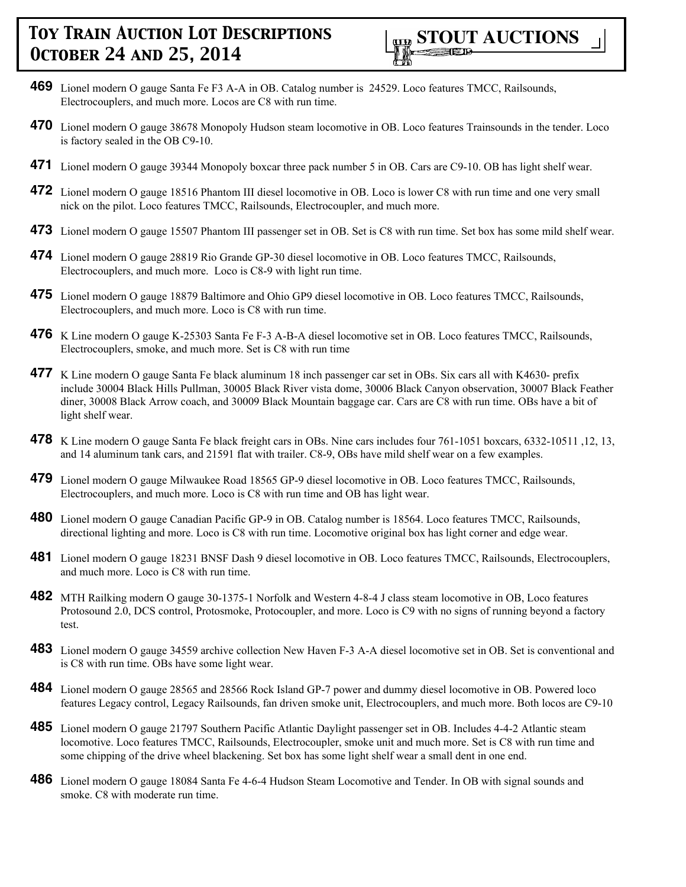

- **469** Lionel modern O gauge Santa Fe F3 A-A in OB. Catalog number is 24529. Loco features TMCC, Railsounds, Electrocouplers, and much more. Locos are C8 with run time.
- **470** Lionel modern O gauge 38678 Monopoly Hudson steam locomotive in OB. Loco features Trainsounds in the tender. Loco is factory sealed in the OB C9-10.
- **471** Lionel modern O gauge 39344 Monopoly boxcar three pack number 5 in OB. Cars are C9-10. OB has light shelf wear.
- **472** Lionel modern O gauge 18516 Phantom III diesel locomotive in OB. Loco is lower C8 with run time and one very small nick on the pilot. Loco features TMCC, Railsounds, Electrocoupler, and much more.
- **473** Lionel modern O gauge 15507 Phantom III passenger set in OB. Set is C8 with run time. Set box has some mild shelf wear.
- **474** Lionel modern O gauge 28819 Rio Grande GP-30 diesel locomotive in OB. Loco features TMCC, Railsounds, Electrocouplers, and much more. Loco is C8-9 with light run time.
- **475** Lionel modern O gauge 18879 Baltimore and Ohio GP9 diesel locomotive in OB. Loco features TMCC, Railsounds, Electrocouplers, and much more. Loco is C8 with run time.
- **476** K Line modern O gauge K-25303 Santa Fe F-3 A-B-A diesel locomotive set in OB. Loco features TMCC, Railsounds, Electrocouplers, smoke, and much more. Set is C8 with run time
- **477** K Line modern O gauge Santa Fe black aluminum 18 inch passenger car set in OBs. Six cars all with K4630- prefix include 30004 Black Hills Pullman, 30005 Black River vista dome, 30006 Black Canyon observation, 30007 Black Feather diner, 30008 Black Arrow coach, and 30009 Black Mountain baggage car. Cars are C8 with run time. OBs have a bit of light shelf wear.
- **478** K Line modern O gauge Santa Fe black freight cars in OBs. Nine cars includes four 761-1051 boxcars, 6332-10511 ,12, 13, and 14 aluminum tank cars, and 21591 flat with trailer. C8-9, OBs have mild shelf wear on a few examples.
- **479** Lionel modern O gauge Milwaukee Road 18565 GP-9 diesel locomotive in OB. Loco features TMCC, Railsounds, Electrocouplers, and much more. Loco is C8 with run time and OB has light wear.
- **480** Lionel modern O gauge Canadian Pacific GP-9 in OB. Catalog number is 18564. Loco features TMCC, Railsounds, directional lighting and more. Loco is C8 with run time. Locomotive original box has light corner and edge wear.
- **481** Lionel modern O gauge 18231 BNSF Dash 9 diesel locomotive in OB. Loco features TMCC, Railsounds, Electrocouplers, and much more. Loco is C8 with run time.
- **482** MTH Railking modern O gauge 30-1375-1 Norfolk and Western 4-8-4 J class steam locomotive in OB, Loco features Protosound 2.0, DCS control, Protosmoke, Protocoupler, and more. Loco is C9 with no signs of running beyond a factory test.
- **483** Lionel modern O gauge 34559 archive collection New Haven F-3 A-A diesel locomotive set in OB. Set is conventional and is C8 with run time. OBs have some light wear.
- **484** Lionel modern O gauge 28565 and 28566 Rock Island GP-7 power and dummy diesel locomotive in OB. Powered loco features Legacy control, Legacy Railsounds, fan driven smoke unit, Electrocouplers, and much more. Both locos are C9-10
- **485** Lionel modern O gauge 21797 Southern Pacific Atlantic Daylight passenger set in OB. Includes 4-4-2 Atlantic steam locomotive. Loco features TMCC, Railsounds, Electrocoupler, smoke unit and much more. Set is C8 with run time and some chipping of the drive wheel blackening. Set box has some light shelf wear a small dent in one end.
- **486** Lionel modern O gauge 18084 Santa Fe 4-6-4 Hudson Steam Locomotive and Tender. In OB with signal sounds and smoke. C8 with moderate run time.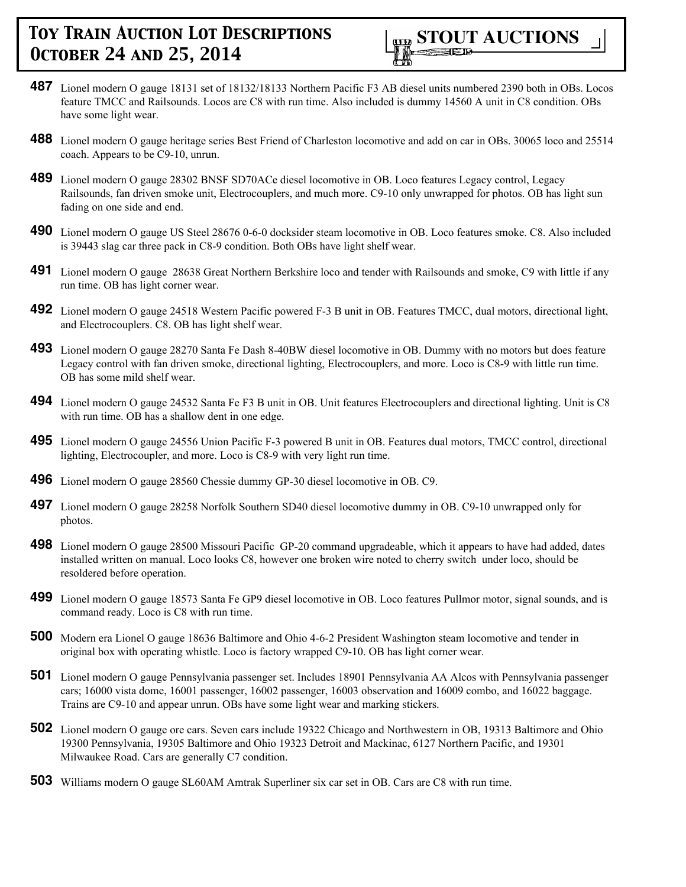

- **487** Lionel modern O gauge 18131 set of 18132/18133 Northern Pacific F3 AB diesel units numbered 2390 both in OBs. Locos feature TMCC and Railsounds. Locos are C8 with run time. Also included is dummy 14560 A unit in C8 condition. OBs have some light wear.
- **488** Lionel modern O gauge heritage series Best Friend of Charleston locomotive and add on car in OBs. 30065 loco and 25514 coach. Appears to be C9-10, unrun.
- **489** Lionel modern O gauge 28302 BNSF SD70ACe diesel locomotive in OB. Loco features Legacy control, Legacy Railsounds, fan driven smoke unit, Electrocouplers, and much more. C9-10 only unwrapped for photos. OB has light sun fading on one side and end.
- **490** Lionel modern O gauge US Steel 28676 0-6-0 docksider steam locomotive in OB. Loco features smoke. C8. Also included is 39443 slag car three pack in C8-9 condition. Both OBs have light shelf wear.
- **491** Lionel modern O gauge 28638 Great Northern Berkshire loco and tender with Railsounds and smoke, C9 with little if any run time. OB has light corner wear.
- **492** Lionel modern O gauge 24518 Western Pacific powered F-3 B unit in OB. Features TMCC, dual motors, directional light, and Electrocouplers. C8. OB has light shelf wear.
- **493** Lionel modern O gauge 28270 Santa Fe Dash 8-40BW diesel locomotive in OB. Dummy with no motors but does feature Legacy control with fan driven smoke, directional lighting, Electrocouplers, and more. Loco is C8-9 with little run time. OB has some mild shelf wear.
- **494** Lionel modern O gauge 24532 Santa Fe F3 B unit in OB. Unit features Electrocouplers and directional lighting. Unit is C8 with run time. OB has a shallow dent in one edge.
- **495** Lionel modern O gauge 24556 Union Pacific F-3 powered B unit in OB. Features dual motors, TMCC control, directional lighting, Electrocoupler, and more. Loco is C8-9 with very light run time.
- **496** Lionel modern O gauge 28560 Chessie dummy GP-30 diesel locomotive in OB. C9.
- **497** Lionel modern O gauge 28258 Norfolk Southern SD40 diesel locomotive dummy in OB. C9-10 unwrapped only for photos.
- **498** Lionel modern O gauge 28500 Missouri Pacific GP-20 command upgradeable, which it appears to have had added, dates installed written on manual. Loco looks C8, however one broken wire noted to cherry switch under loco, should be resoldered before operation.
- **499** Lionel modern O gauge 18573 Santa Fe GP9 diesel locomotive in OB. Loco features Pullmor motor, signal sounds, and is command ready. Loco is C8 with run time.
- **500** Modern era Lionel O gauge 18636 Baltimore and Ohio 4-6-2 President Washington steam locomotive and tender in original box with operating whistle. Loco is factory wrapped C9-10. OB has light corner wear.
- **501** Lionel modern O gauge Pennsylvania passenger set. Includes 18901 Pennsylvania AA Alcos with Pennsylvania passenger cars; 16000 vista dome, 16001 passenger, 16002 passenger, 16003 observation and 16009 combo, and 16022 baggage. Trains are C9-10 and appear unrun. OBs have some light wear and marking stickers.
- **502** Lionel modern O gauge ore cars. Seven cars include 19322 Chicago and Northwestern in OB, 19313 Baltimore and Ohio 19300 Pennsylvania, 19305 Baltimore and Ohio 19323 Detroit and Mackinac, 6127 Northern Pacific, and 19301 Milwaukee Road. Cars are generally C7 condition.
- **503** Williams modern O gauge SL60AM Amtrak Superliner six car set in OB. Cars are C8 with run time.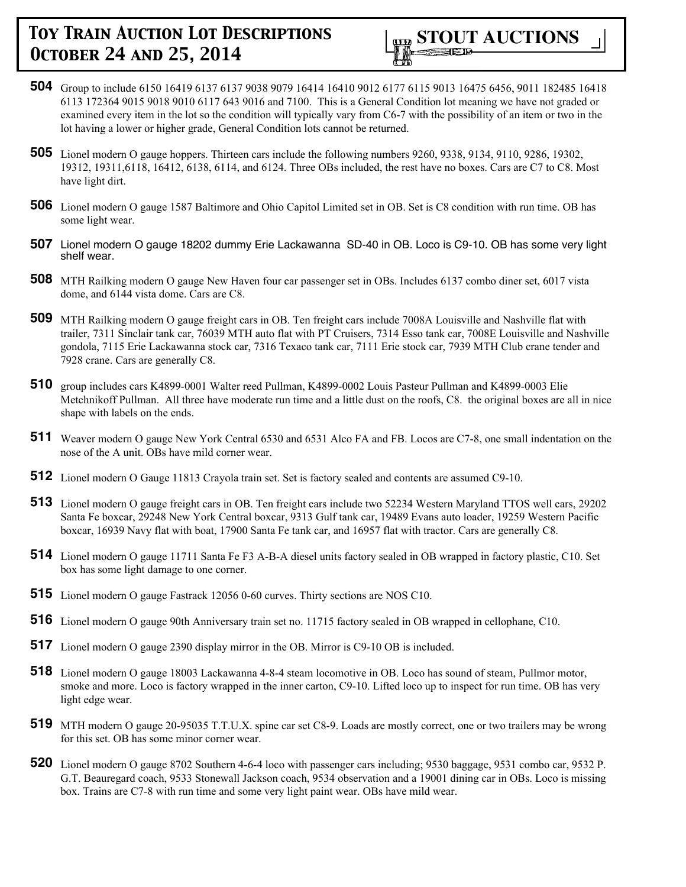- **504** Group to include 6150 16419 6137 6137 9038 9079 16414 16410 9012 6177 6115 9013 16475 6456, 9011 182485 16418 6113 172364 9015 9018 9010 6117 643 9016 and 7100. This is a General Condition lot meaning we have not graded or examined every item in the lot so the condition will typically vary from C6-7 with the possibility of an item or two in the lot having a lower or higher grade, General Condition lots cannot be returned.
- **505** Lionel modern O gauge hoppers. Thirteen cars include the following numbers 9260, 9338, 9134, 9110, 9286, 19302, 19312, 19311,6118, 16412, 6138, 6114, and 6124. Three OBs included, the rest have no boxes. Cars are C7 to C8. Most have light dirt.
- **506** Lionel modern O gauge 1587 Baltimore and Ohio Capitol Limited set in OB. Set is C8 condition with run time. OB has some light wear.
- **507** Lionel modern O gauge 18202 dummy Erie Lackawanna SD-40 in OB. Loco is C9-10. OB has some very light shelf wear.
- **508** MTH Railking modern O gauge New Haven four car passenger set in OBs. Includes 6137 combo diner set, 6017 vista dome, and 6144 vista dome. Cars are C8.
- **509** MTH Railking modern O gauge freight cars in OB. Ten freight cars include 7008A Louisville and Nashville flat with trailer, 7311 Sinclair tank car, 76039 MTH auto flat with PT Cruisers, 7314 Esso tank car, 7008E Louisville and Nashville gondola, 7115 Erie Lackawanna stock car, 7316 Texaco tank car, 7111 Erie stock car, 7939 MTH Club crane tender and 7928 crane. Cars are generally C8.
- **510** group includes cars K4899-0001 Walter reed Pullman, K4899-0002 Louis Pasteur Pullman and K4899-0003 Elie Metchnikoff Pullman. All three have moderate run time and a little dust on the roofs, C8. the original boxes are all in nice shape with labels on the ends.
- **511** Weaver modern O gauge New York Central 6530 and 6531 Alco FA and FB. Locos are C7-8, one small indentation on the nose of the A unit. OBs have mild corner wear.
- **512** Lionel modern O Gauge 11813 Crayola train set. Set is factory sealed and contents are assumed C9-10.
- **513** Lionel modern O gauge freight cars in OB. Ten freight cars include two 52234 Western Maryland TTOS well cars, 29202 Santa Fe boxcar, 29248 New York Central boxcar, 9313 Gulf tank car, 19489 Evans auto loader, 19259 Western Pacific boxcar, 16939 Navy flat with boat, 17900 Santa Fe tank car, and 16957 flat with tractor. Cars are generally C8.
- **514** Lionel modern O gauge 11711 Santa Fe F3 A-B-A diesel units factory sealed in OB wrapped in factory plastic, C10. Set box has some light damage to one corner.
- **515** Lionel modern O gauge Fastrack 12056 0-60 curves. Thirty sections are NOS C10.
- **516** Lionel modern O gauge 90th Anniversary train set no. 11715 factory sealed in OB wrapped in cellophane, C10.
- **517** Lionel modern O gauge 2390 display mirror in the OB. Mirror is C9-10 OB is included.
- **518** Lionel modern O gauge 18003 Lackawanna 4-8-4 steam locomotive in OB. Loco has sound of steam, Pullmor motor, smoke and more. Loco is factory wrapped in the inner carton, C9-10. Lifted loco up to inspect for run time. OB has very light edge wear.
- **519** MTH modern O gauge 20-95035 T.T.U.X. spine car set C8-9. Loads are mostly correct, one or two trailers may be wrong for this set. OB has some minor corner wear.
- **520** Lionel modern O gauge 8702 Southern 4-6-4 loco with passenger cars including; 9530 baggage, 9531 combo car, 9532 P. G.T. Beauregard coach, 9533 Stonewall Jackson coach, 9534 observation and a 19001 dining car in OBs. Loco is missing box. Trains are C7-8 with run time and some very light paint wear. OBs have mild wear.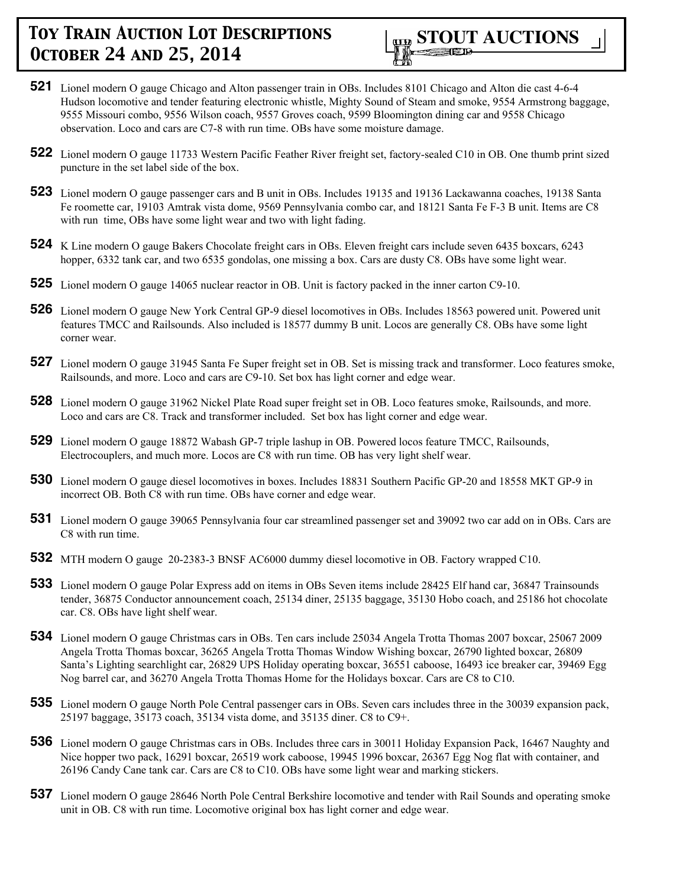

- **521** Lionel modern O gauge Chicago and Alton passenger train in OBs. Includes 8101 Chicago and Alton die cast 4-6-4 Hudson locomotive and tender featuring electronic whistle, Mighty Sound of Steam and smoke, 9554 Armstrong baggage, 9555 Missouri combo, 9556 Wilson coach, 9557 Groves coach, 9599 Bloomington dining car and 9558 Chicago observation. Loco and cars are C7-8 with run time. OBs have some moisture damage.
- **522** Lionel modern O gauge 11733 Western Pacific Feather River freight set, factory-sealed C10 in OB. One thumb print sized puncture in the set label side of the box.
- **523** Lionel modern O gauge passenger cars and B unit in OBs. Includes 19135 and 19136 Lackawanna coaches, 19138 Santa Fe roomette car, 19103 Amtrak vista dome, 9569 Pennsylvania combo car, and 18121 Santa Fe F-3 B unit. Items are C8 with run time, OBs have some light wear and two with light fading.
- **524** K Line modern O gauge Bakers Chocolate freight cars in OBs. Eleven freight cars include seven 6435 boxcars, 6243 hopper, 6332 tank car, and two 6535 gondolas, one missing a box. Cars are dusty C8. OBs have some light wear.
- **525** Lionel modern O gauge 14065 nuclear reactor in OB. Unit is factory packed in the inner carton C9-10.
- **526** Lionel modern O gauge New York Central GP-9 diesel locomotives in OBs. Includes 18563 powered unit. Powered unit features TMCC and Railsounds. Also included is 18577 dummy B unit. Locos are generally C8. OBs have some light corner wear.
- **527** Lionel modern O gauge 31945 Santa Fe Super freight set in OB. Set is missing track and transformer. Loco features smoke, Railsounds, and more. Loco and cars are C9-10. Set box has light corner and edge wear.
- **528** Lionel modern O gauge 31962 Nickel Plate Road super freight set in OB. Loco features smoke, Railsounds, and more. Loco and cars are C8. Track and transformer included. Set box has light corner and edge wear.
- **529** Lionel modern O gauge 18872 Wabash GP-7 triple lashup in OB. Powered locos feature TMCC, Railsounds, Electrocouplers, and much more. Locos are C8 with run time. OB has very light shelf wear.
- **530** Lionel modern O gauge diesel locomotives in boxes. Includes 18831 Southern Pacific GP-20 and 18558 MKT GP-9 in incorrect OB. Both C8 with run time. OBs have corner and edge wear.
- **531** Lionel modern O gauge 39065 Pennsylvania four car streamlined passenger set and 39092 two car add on in OBs. Cars are C8 with run time.
- **532** MTH modern O gauge 20-2383-3 BNSF AC6000 dummy diesel locomotive in OB. Factory wrapped C10.
- **533** Lionel modern O gauge Polar Express add on items in OBs Seven items include 28425 Elf hand car, 36847 Trainsounds tender, 36875 Conductor announcement coach, 25134 diner, 25135 baggage, 35130 Hobo coach, and 25186 hot chocolate car. C8. OBs have light shelf wear.
- **534** Lionel modern O gauge Christmas cars in OBs. Ten cars include 25034 Angela Trotta Thomas 2007 boxcar, 25067 2009 Angela Trotta Thomas boxcar, 36265 Angela Trotta Thomas Window Wishing boxcar, 26790 lighted boxcar, 26809 Santa's Lighting searchlight car, 26829 UPS Holiday operating boxcar, 36551 caboose, 16493 ice breaker car, 39469 Egg Nog barrel car, and 36270 Angela Trotta Thomas Home for the Holidays boxcar. Cars are C8 to C10.
- **535** Lionel modern O gauge North Pole Central passenger cars in OBs. Seven cars includes three in the 30039 expansion pack, 25197 baggage, 35173 coach, 35134 vista dome, and 35135 diner. C8 to C9+.
- **536** Lionel modern O gauge Christmas cars in OBs. Includes three cars in 30011 Holiday Expansion Pack, 16467 Naughty and Nice hopper two pack, 16291 boxcar, 26519 work caboose, 19945 1996 boxcar, 26367 Egg Nog flat with container, and 26196 Candy Cane tank car. Cars are C8 to C10. OBs have some light wear and marking stickers.
- **537** Lionel modern O gauge 28646 North Pole Central Berkshire locomotive and tender with Rail Sounds and operating smoke unit in OB. C8 with run time. Locomotive original box has light corner and edge wear.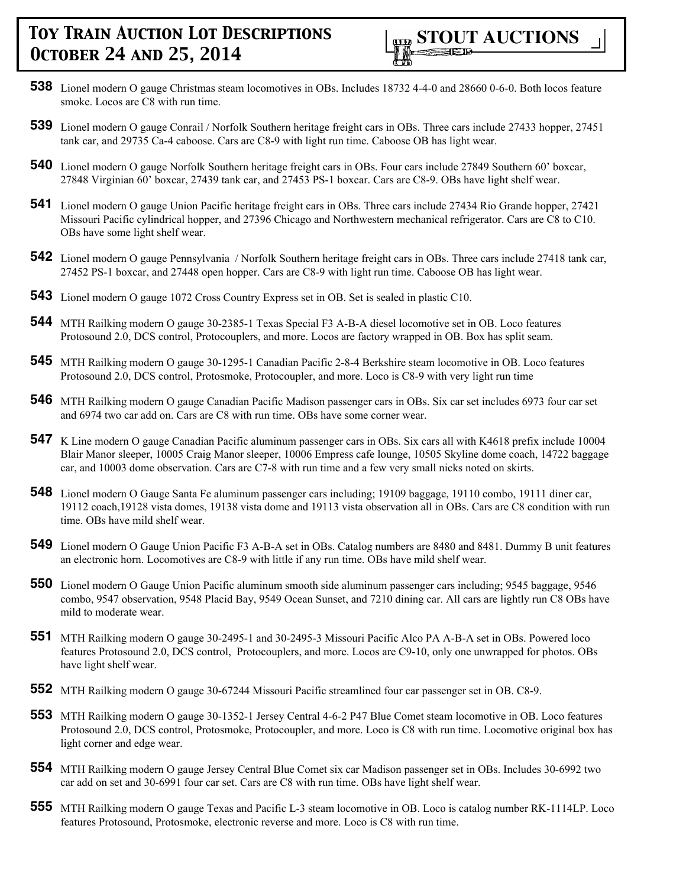- **538** Lionel modern O gauge Christmas steam locomotives in OBs. Includes 18732 4-4-0 and 28660 0-6-0. Both locos feature smoke. Locos are C8 with run time.
- **539** Lionel modern O gauge Conrail / Norfolk Southern heritage freight cars in OBs. Three cars include 27433 hopper, 27451 tank car, and 29735 Ca-4 caboose. Cars are C8-9 with light run time. Caboose OB has light wear.
- **540** Lionel modern O gauge Norfolk Southern heritage freight cars in OBs. Four cars include 27849 Southern 60' boxcar, 27848 Virginian 60' boxcar, 27439 tank car, and 27453 PS-1 boxcar. Cars are C8-9. OBs have light shelf wear.
- **541** Lionel modern O gauge Union Pacific heritage freight cars in OBs. Three cars include 27434 Rio Grande hopper, 27421 Missouri Pacific cylindrical hopper, and 27396 Chicago and Northwestern mechanical refrigerator. Cars are C8 to C10. OBs have some light shelf wear.
- **542** Lionel modern O gauge Pennsylvania / Norfolk Southern heritage freight cars in OBs. Three cars include 27418 tank car, 27452 PS-1 boxcar, and 27448 open hopper. Cars are C8-9 with light run time. Caboose OB has light wear.
- **543** Lionel modern O gauge 1072 Cross Country Express set in OB. Set is sealed in plastic C10.
- **544** MTH Railking modern O gauge 30-2385-1 Texas Special F3 A-B-A diesel locomotive set in OB. Loco features Protosound 2.0, DCS control, Protocouplers, and more. Locos are factory wrapped in OB. Box has split seam.
- **545** MTH Railking modern O gauge 30-1295-1 Canadian Pacific 2-8-4 Berkshire steam locomotive in OB. Loco features Protosound 2.0, DCS control, Protosmoke, Protocoupler, and more. Loco is C8-9 with very light run time
- **546** MTH Railking modern O gauge Canadian Pacific Madison passenger cars in OBs. Six car set includes 6973 four car set and 6974 two car add on. Cars are C8 with run time. OBs have some corner wear.
- **547** K Line modern O gauge Canadian Pacific aluminum passenger cars in OBs. Six cars all with K4618 prefix include 10004 Blair Manor sleeper, 10005 Craig Manor sleeper, 10006 Empress cafe lounge, 10505 Skyline dome coach, 14722 baggage car, and 10003 dome observation. Cars are C7-8 with run time and a few very small nicks noted on skirts.
- **548** Lionel modern O Gauge Santa Fe aluminum passenger cars including; 19109 baggage, 19110 combo, 19111 diner car, 19112 coach,19128 vista domes, 19138 vista dome and 19113 vista observation all in OBs. Cars are C8 condition with run time. OBs have mild shelf wear.
- **549** Lionel modern O Gauge Union Pacific F3 A-B-A set in OBs. Catalog numbers are 8480 and 8481. Dummy B unit features an electronic horn. Locomotives are C8-9 with little if any run time. OBs have mild shelf wear.
- **550** Lionel modern O Gauge Union Pacific aluminum smooth side aluminum passenger cars including; 9545 baggage, 9546 combo, 9547 observation, 9548 Placid Bay, 9549 Ocean Sunset, and 7210 dining car. All cars are lightly run C8 OBs have mild to moderate wear.
- **551** MTH Railking modern O gauge 30-2495-1 and 30-2495-3 Missouri Pacific Alco PA A-B-A set in OBs. Powered loco features Protosound 2.0, DCS control, Protocouplers, and more. Locos are C9-10, only one unwrapped for photos. OBs have light shelf wear.
- **552** MTH Railking modern O gauge 30-67244 Missouri Pacific streamlined four car passenger set in OB. C8-9.
- **553** MTH Railking modern O gauge 30-1352-1 Jersey Central 4-6-2 P47 Blue Comet steam locomotive in OB. Loco features Protosound 2.0, DCS control, Protosmoke, Protocoupler, and more. Loco is C8 with run time. Locomotive original box has light corner and edge wear.
- **554** MTH Railking modern O gauge Jersey Central Blue Comet six car Madison passenger set in OBs. Includes 30-6992 two car add on set and 30-6991 four car set. Cars are C8 with run time. OBs have light shelf wear.
- **555** MTH Railking modern O gauge Texas and Pacific L-3 steam locomotive in OB. Loco is catalog number RK-1114LP. Loco features Protosound, Protosmoke, electronic reverse and more. Loco is C8 with run time.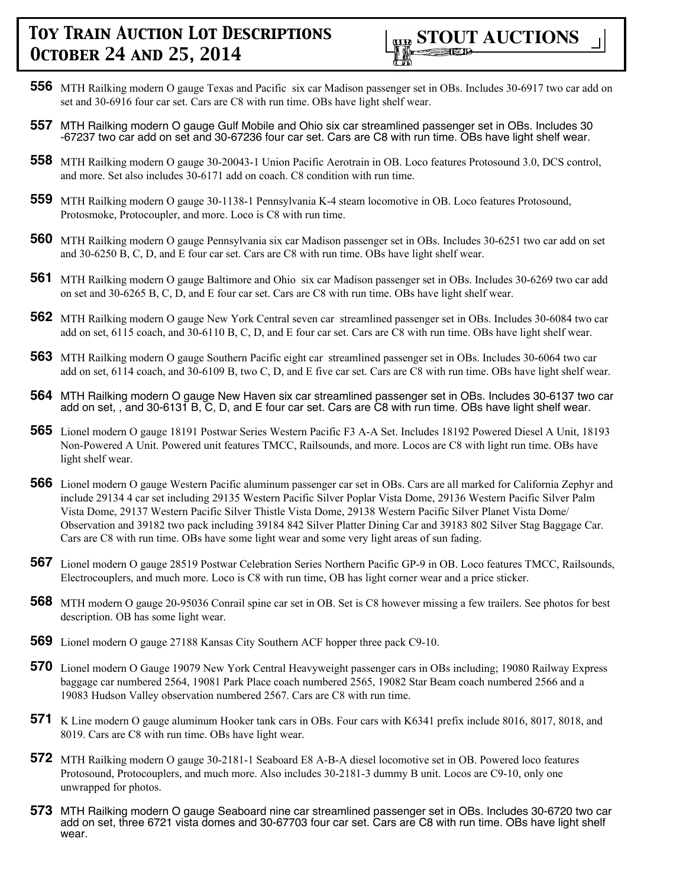

- **556** MTH Railking modern O gauge Texas and Pacific six car Madison passenger set in OBs. Includes 30-6917 two car add on set and 30-6916 four car set. Cars are C8 with run time. OBs have light shelf wear.
- **557** MTH Railking modern O gauge Gulf Mobile and Ohio six car streamlined passenger set in OBs. Includes 30 -67237 two car add on set and 30-67236 four car set. Cars are C8 with run time. OBs have light shelf wear.
- **558** MTH Railking modern O gauge 30-20043-1 Union Pacific Aerotrain in OB. Loco features Protosound 3.0, DCS control, and more. Set also includes 30-6171 add on coach. C8 condition with run time.
- **559** MTH Railking modern O gauge 30-1138-1 Pennsylvania K-4 steam locomotive in OB. Loco features Protosound, Protosmoke, Protocoupler, and more. Loco is C8 with run time.
- **560** MTH Railking modern O gauge Pennsylvania six car Madison passenger set in OBs. Includes 30-6251 two car add on set and 30-6250 B, C, D, and E four car set. Cars are C8 with run time. OBs have light shelf wear.
- **561** MTH Railking modern O gauge Baltimore and Ohio six car Madison passenger set in OBs. Includes 30-6269 two car add on set and 30-6265 B, C, D, and E four car set. Cars are C8 with run time. OBs have light shelf wear.
- **562** MTH Railking modern O gauge New York Central seven car streamlined passenger set in OBs. Includes 30-6084 two car add on set, 6115 coach, and 30-6110 B, C, D, and E four car set. Cars are C8 with run time. OBs have light shelf wear.
- **563** MTH Railking modern O gauge Southern Pacific eight car streamlined passenger set in OBs. Includes 30-6064 two car add on set, 6114 coach, and 30-6109 B, two C, D, and E five car set. Cars are C8 with run time. OBs have light shelf wear.
- **564** MTH Railking modern O gauge New Haven six car streamlined passenger set in OBs. Includes 30-6137 two car add on set, , and 30-6131 B, C, D, and E four car set. Cars are C8 with run time. OBs have light shelf wear.
- **565** Lionel modern O gauge 18191 Postwar Series Western Pacific F3 A-A Set. Includes 18192 Powered Diesel A Unit, 18193 Non-Powered A Unit. Powered unit features TMCC, Railsounds, and more. Locos are C8 with light run time. OBs have light shelf wear.
- **566** Lionel modern O gauge Western Pacific aluminum passenger car set in OBs. Cars are all marked for California Zephyr and include 29134 4 car set including 29135 Western Pacific Silver Poplar Vista Dome, 29136 Western Pacific Silver Palm Vista Dome, 29137 Western Pacific Silver Thistle Vista Dome, 29138 Western Pacific Silver Planet Vista Dome/ Observation and 39182 two pack including 39184 842 Silver Platter Dining Car and 39183 802 Silver Stag Baggage Car. Cars are C8 with run time. OBs have some light wear and some very light areas of sun fading.
- **567** Lionel modern O gauge 28519 Postwar Celebration Series Northern Pacific GP-9 in OB. Loco features TMCC, Railsounds, Electrocouplers, and much more. Loco is C8 with run time, OB has light corner wear and a price sticker.
- **568** MTH modern O gauge 20-95036 Conrail spine car set in OB. Set is C8 however missing a few trailers. See photos for best description. OB has some light wear.
- **569** Lionel modern O gauge 27188 Kansas City Southern ACF hopper three pack C9-10.
- **570** Lionel modern O Gauge 19079 New York Central Heavyweight passenger cars in OBs including; 19080 Railway Express baggage car numbered 2564, 19081 Park Place coach numbered 2565, 19082 Star Beam coach numbered 2566 and a 19083 Hudson Valley observation numbered 2567. Cars are C8 with run time.
- **571** K Line modern O gauge aluminum Hooker tank cars in OBs. Four cars with K6341 prefix include 8016, 8017, 8018, and 8019. Cars are C8 with run time. OBs have light wear.
- **572** MTH Railking modern O gauge 30-2181-1 Seaboard E8 A-B-A diesel locomotive set in OB. Powered loco features Protosound, Protocouplers, and much more. Also includes 30-2181-3 dummy B unit. Locos are C9-10, only one unwrapped for photos.
- **573** MTH Railking modern O gauge Seaboard nine car streamlined passenger set in OBs. Includes 30-6720 two car add on set, three 6721 vista domes and 30-67703 four car set. Cars are C8 with run time. OBs have light shelf wear.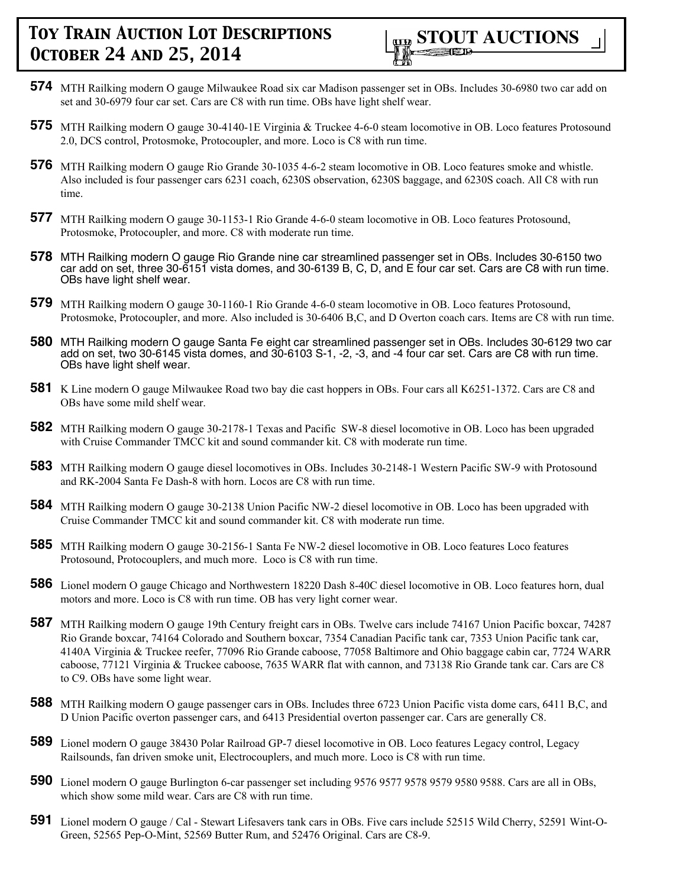

- **574** MTH Railking modern O gauge Milwaukee Road six car Madison passenger set in OBs. Includes 30-6980 two car add on set and 30-6979 four car set. Cars are C8 with run time. OBs have light shelf wear.
- **575** MTH Railking modern O gauge 30-4140-1E Virginia & Truckee 4-6-0 steam locomotive in OB. Loco features Protosound 2.0, DCS control, Protosmoke, Protocoupler, and more. Loco is C8 with run time.
- **576** MTH Railking modern O gauge Rio Grande 30-1035 4-6-2 steam locomotive in OB. Loco features smoke and whistle. Also included is four passenger cars 6231 coach, 6230S observation, 6230S baggage, and 6230S coach. All C8 with run time.
- **577** MTH Railking modern O gauge 30-1153-1 Rio Grande 4-6-0 steam locomotive in OB. Loco features Protosound, Protosmoke, Protocoupler, and more. C8 with moderate run time.
- **578** MTH Railking modern O gauge Rio Grande nine car streamlined passenger set in OBs. Includes 30-6150 two car add on set, three 30-6151 vista domes, and 30-6139 B, C, D, and E four car set. Cars are C8 with run time. OBs have light shelf wear.
- **579** MTH Railking modern O gauge 30-1160-1 Rio Grande 4-6-0 steam locomotive in OB. Loco features Protosound, Protosmoke, Protocoupler, and more. Also included is 30-6406 B,C, and D Overton coach cars. Items are C8 with run time.
- **580** MTH Railking modern O gauge Santa Fe eight car streamlined passenger set in OBs. Includes 30-6129 two car add on set, two 30-6145 vista domes, and 30-6103 S-1, -2, -3, and -4 four car set. Cars are C8 with run time. OBs have light shelf wear.
- **581** K Line modern O gauge Milwaukee Road two bay die cast hoppers in OBs. Four cars all K6251-1372. Cars are C8 and OBs have some mild shelf wear.
- **582** MTH Railking modern O gauge 30-2178-1 Texas and Pacific SW-8 diesel locomotive in OB. Loco has been upgraded with Cruise Commander TMCC kit and sound commander kit. C8 with moderate run time.
- **583** MTH Railking modern O gauge diesel locomotives in OBs. Includes 30-2148-1 Western Pacific SW-9 with Protosound and RK-2004 Santa Fe Dash-8 with horn. Locos are C8 with run time.
- **584** MTH Railking modern O gauge 30-2138 Union Pacific NW-2 diesel locomotive in OB. Loco has been upgraded with Cruise Commander TMCC kit and sound commander kit. C8 with moderate run time.
- **585** MTH Railking modern O gauge 30-2156-1 Santa Fe NW-2 diesel locomotive in OB. Loco features Loco features Protosound, Protocouplers, and much more. Loco is C8 with run time.
- **586** Lionel modern O gauge Chicago and Northwestern 18220 Dash 8-40C diesel locomotive in OB. Loco features horn, dual motors and more. Loco is C8 with run time. OB has very light corner wear.
- **587** MTH Railking modern O gauge 19th Century freight cars in OBs. Twelve cars include 74167 Union Pacific boxcar, 74287 Rio Grande boxcar, 74164 Colorado and Southern boxcar, 7354 Canadian Pacific tank car, 7353 Union Pacific tank car, 4140A Virginia & Truckee reefer, 77096 Rio Grande caboose, 77058 Baltimore and Ohio baggage cabin car, 7724 WARR caboose, 77121 Virginia & Truckee caboose, 7635 WARR flat with cannon, and 73138 Rio Grande tank car. Cars are C8 to C9. OBs have some light wear.
- **588** MTH Railking modern O gauge passenger cars in OBs. Includes three 6723 Union Pacific vista dome cars, 6411 B,C, and D Union Pacific overton passenger cars, and 6413 Presidential overton passenger car. Cars are generally C8.
- **589** Lionel modern O gauge 38430 Polar Railroad GP-7 diesel locomotive in OB. Loco features Legacy control, Legacy Railsounds, fan driven smoke unit, Electrocouplers, and much more. Loco is C8 with run time.
- **590** Lionel modern O gauge Burlington 6-car passenger set including 9576 9577 9578 9579 9580 9588. Cars are all in OBs, which show some mild wear. Cars are C8 with run time.
- **591** Lionel modern O gauge / Cal Stewart Lifesavers tank cars in OBs. Five cars include 52515 Wild Cherry, 52591 Wint-O-Green, 52565 Pep-O-Mint, 52569 Butter Rum, and 52476 Original. Cars are C8-9.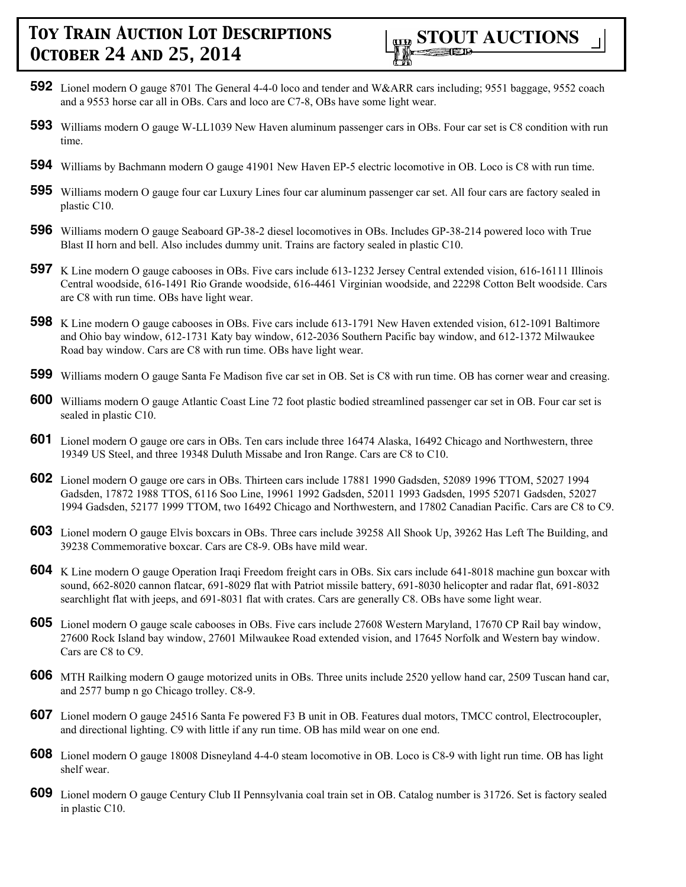

- **592** Lionel modern O gauge 8701 The General 4-4-0 loco and tender and W&ARR cars including; 9551 baggage, 9552 coach and a 9553 horse car all in OBs. Cars and loco are C7-8, OBs have some light wear.
- **593** Williams modern O gauge W-LL1039 New Haven aluminum passenger cars in OBs. Four car set is C8 condition with run time.
- **594** Williams by Bachmann modern O gauge 41901 New Haven EP-5 electric locomotive in OB. Loco is C8 with run time.
- **595** Williams modern O gauge four car Luxury Lines four car aluminum passenger car set. All four cars are factory sealed in plastic C10.
- **596** Williams modern O gauge Seaboard GP-38-2 diesel locomotives in OBs. Includes GP-38-214 powered loco with True Blast II horn and bell. Also includes dummy unit. Trains are factory sealed in plastic C10.
- **597** K Line modern O gauge cabooses in OBs. Five cars include 613-1232 Jersey Central extended vision, 616-16111 Illinois Central woodside, 616-1491 Rio Grande woodside, 616-4461 Virginian woodside, and 22298 Cotton Belt woodside. Cars are C8 with run time. OBs have light wear.
- **598** K Line modern O gauge cabooses in OBs. Five cars include 613-1791 New Haven extended vision, 612-1091 Baltimore and Ohio bay window, 612-1731 Katy bay window, 612-2036 Southern Pacific bay window, and 612-1372 Milwaukee Road bay window. Cars are C8 with run time. OBs have light wear.
- **599** Williams modern O gauge Santa Fe Madison five car set in OB. Set is C8 with run time. OB has corner wear and creasing.
- **600** Williams modern O gauge Atlantic Coast Line 72 foot plastic bodied streamlined passenger car set in OB. Four car set is sealed in plastic C10.
- **601** Lionel modern O gauge ore cars in OBs. Ten cars include three 16474 Alaska, 16492 Chicago and Northwestern, three 19349 US Steel, and three 19348 Duluth Missabe and Iron Range. Cars are C8 to C10.
- **602** Lionel modern O gauge ore cars in OBs. Thirteen cars include 17881 1990 Gadsden, 52089 1996 TTOM, 52027 1994 Gadsden, 17872 1988 TTOS, 6116 Soo Line, 19961 1992 Gadsden, 52011 1993 Gadsden, 1995 52071 Gadsden, 52027 1994 Gadsden, 52177 1999 TTOM, two 16492 Chicago and Northwestern, and 17802 Canadian Pacific. Cars are C8 to C9.
- **603** Lionel modern O gauge Elvis boxcars in OBs. Three cars include 39258 All Shook Up, 39262 Has Left The Building, and 39238 Commemorative boxcar. Cars are C8-9. OBs have mild wear.
- **604** K Line modern O gauge Operation Iraqi Freedom freight cars in OBs. Six cars include 641-8018 machine gun boxcar with sound, 662-8020 cannon flatcar, 691-8029 flat with Patriot missile battery, 691-8030 helicopter and radar flat, 691-8032 searchlight flat with jeeps, and 691-8031 flat with crates. Cars are generally C8. OBs have some light wear.
- **605** Lionel modern O gauge scale cabooses in OBs. Five cars include 27608 Western Maryland, 17670 CP Rail bay window, 27600 Rock Island bay window, 27601 Milwaukee Road extended vision, and 17645 Norfolk and Western bay window. Cars are C8 to C9.
- **606** MTH Railking modern O gauge motorized units in OBs. Three units include 2520 yellow hand car, 2509 Tuscan hand car, and 2577 bump n go Chicago trolley. C8-9.
- **607** Lionel modern O gauge 24516 Santa Fe powered F3 B unit in OB. Features dual motors, TMCC control, Electrocoupler, and directional lighting. C9 with little if any run time. OB has mild wear on one end.
- **608** Lionel modern O gauge 18008 Disneyland 4-4-0 steam locomotive in OB. Loco is C8-9 with light run time. OB has light shelf wear.
- **609** Lionel modern O gauge Century Club II Pennsylvania coal train set in OB. Catalog number is 31726. Set is factory sealed in plastic C10.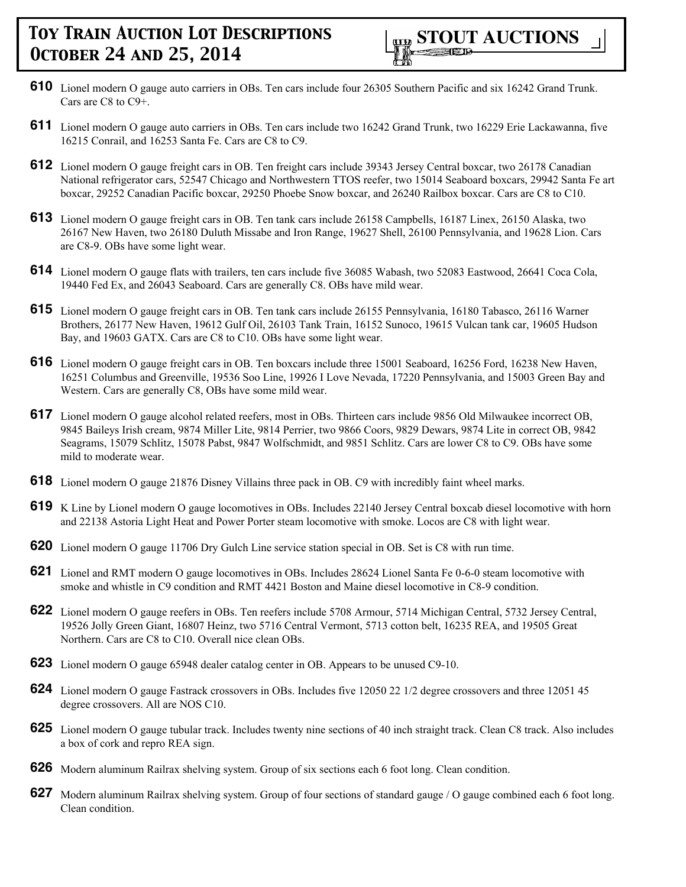- **610** Lionel modern O gauge auto carriers in OBs. Ten cars include four 26305 Southern Pacific and six 16242 Grand Trunk. Cars are C8 to C9+.
- **611** Lionel modern O gauge auto carriers in OBs. Ten cars include two 16242 Grand Trunk, two 16229 Erie Lackawanna, five 16215 Conrail, and 16253 Santa Fe. Cars are C8 to C9.
- **612** Lionel modern O gauge freight cars in OB. Ten freight cars include 39343 Jersey Central boxcar, two 26178 Canadian National refrigerator cars, 52547 Chicago and Northwestern TTOS reefer, two 15014 Seaboard boxcars, 29942 Santa Fe art boxcar, 29252 Canadian Pacific boxcar, 29250 Phoebe Snow boxcar, and 26240 Railbox boxcar. Cars are C8 to C10.
- **613** Lionel modern O gauge freight cars in OB. Ten tank cars include 26158 Campbells, 16187 Linex, 26150 Alaska, two 26167 New Haven, two 26180 Duluth Missabe and Iron Range, 19627 Shell, 26100 Pennsylvania, and 19628 Lion. Cars are C8-9. OBs have some light wear.
- **614** Lionel modern O gauge flats with trailers, ten cars include five 36085 Wabash, two 52083 Eastwood, 26641 Coca Cola, 19440 Fed Ex, and 26043 Seaboard. Cars are generally C8. OBs have mild wear.
- **615** Lionel modern O gauge freight cars in OB. Ten tank cars include 26155 Pennsylvania, 16180 Tabasco, 26116 Warner Brothers, 26177 New Haven, 19612 Gulf Oil, 26103 Tank Train, 16152 Sunoco, 19615 Vulcan tank car, 19605 Hudson Bay, and 19603 GATX. Cars are C8 to C10. OBs have some light wear.
- **616** Lionel modern O gauge freight cars in OB. Ten boxcars include three 15001 Seaboard, 16256 Ford, 16238 New Haven, 16251 Columbus and Greenville, 19536 Soo Line, 19926 I Love Nevada, 17220 Pennsylvania, and 15003 Green Bay and Western. Cars are generally C8, OBs have some mild wear.
- **617** Lionel modern O gauge alcohol related reefers, most in OBs. Thirteen cars include 9856 Old Milwaukee incorrect OB, 9845 Baileys Irish cream, 9874 Miller Lite, 9814 Perrier, two 9866 Coors, 9829 Dewars, 9874 Lite in correct OB, 9842 Seagrams, 15079 Schlitz, 15078 Pabst, 9847 Wolfschmidt, and 9851 Schlitz. Cars are lower C8 to C9. OBs have some mild to moderate wear.
- **618** Lionel modern O gauge 21876 Disney Villains three pack in OB. C9 with incredibly faint wheel marks.
- **619** K Line by Lionel modern O gauge locomotives in OBs. Includes 22140 Jersey Central boxcab diesel locomotive with horn and 22138 Astoria Light Heat and Power Porter steam locomotive with smoke. Locos are C8 with light wear.
- **620** Lionel modern O gauge 11706 Dry Gulch Line service station special in OB. Set is C8 with run time.
- **621** Lionel and RMT modern O gauge locomotives in OBs. Includes 28624 Lionel Santa Fe 0-6-0 steam locomotive with smoke and whistle in C9 condition and RMT 4421 Boston and Maine diesel locomotive in C8-9 condition.
- **622** Lionel modern O gauge reefers in OBs. Ten reefers include 5708 Armour, 5714 Michigan Central, 5732 Jersey Central, 19526 Jolly Green Giant, 16807 Heinz, two 5716 Central Vermont, 5713 cotton belt, 16235 REA, and 19505 Great Northern. Cars are C8 to C10. Overall nice clean OBs.
- **623** Lionel modern O gauge 65948 dealer catalog center in OB. Appears to be unused C9-10.
- **624** Lionel modern O gauge Fastrack crossovers in OBs. Includes five 12050 22 1/2 degree crossovers and three 12051 45 degree crossovers. All are NOS C10.
- **625** Lionel modern O gauge tubular track. Includes twenty nine sections of 40 inch straight track. Clean C8 track. Also includes a box of cork and repro REA sign.
- **626** Modern aluminum Railrax shelving system. Group of six sections each 6 foot long. Clean condition.
- **627** Modern aluminum Railrax shelving system. Group of four sections of standard gauge / O gauge combined each 6 foot long. Clean condition.